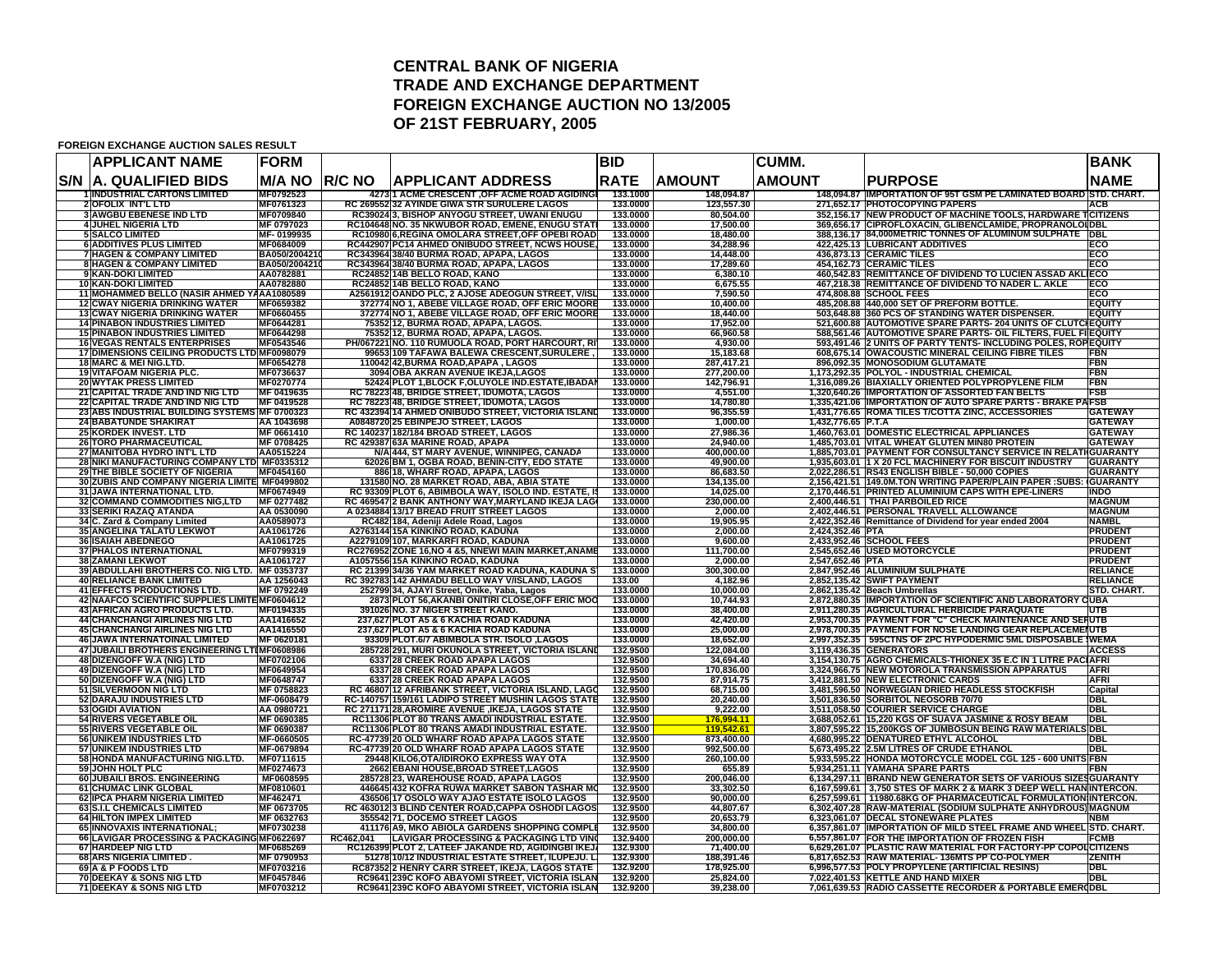## **CENTRAL BANK OF NIGERIATRADE AND EXCHANGE DEPARTMENT FOREIGN EXCHANGE AUCTION NO 13/2005 OF 21ST FEBRUARY, 2005**

#### **FOREIGN EXCHANGE AUCTION SALES RESULT**

|            | <b>APPLICANT NAME</b>                                                               | <b>FORM</b>                    |                |                                                                                    |                                                                                                        | <b>BID</b>           |                         | <b>CUMM.</b>       |                                                                                                                                 | <b>BANK</b>                        |
|------------|-------------------------------------------------------------------------------------|--------------------------------|----------------|------------------------------------------------------------------------------------|--------------------------------------------------------------------------------------------------------|----------------------|-------------------------|--------------------|---------------------------------------------------------------------------------------------------------------------------------|------------------------------------|
| <b>S/N</b> | <b>A. QUALIFIED BIDS</b>                                                            | M/A NO                         | <b>IR/C NO</b> | IAPPLICANT ADDRESS                                                                 |                                                                                                        | <b>RATE</b>          | <b>AMOUNT</b>           | <b>AMOUNT</b>      | <b>PURPOSE</b>                                                                                                                  | <b>NAME</b>                        |
|            | <b>INDUSTRIAL CARTONS LIMITED</b>                                                   | MF0792523                      |                |                                                                                    | 4273 1 ACME CRESCENT , OFF ACME ROAD AGIDING                                                           | 133.1000             | 148,094.87              |                    | 148,094.87 IMPORTATION OF 95T GSM PE LAMINATED BOARD STD. CHART.                                                                |                                    |
|            | 2 OFOLIX INT'L LTD<br><b>3 AWGBU EBENESE IND LTD</b>                                | MF0761323<br>MF0709840         |                |                                                                                    | RC 269552 32 AYINDE GIWA STR SURULERE LAGOS<br>RC39024 3, BISHOP ANYOGU STREET, UWANI ENUGU            | 133.0000<br>133.0000 | 123,557.30<br>80,504.00 |                    | 271,652.17 PHOTOCOPYING PAPERS<br>352,156.17 NEW PRODUCT OF MACHINE TOOLS, HARDWARE TCITIZENS                                   | <b>ACB</b>                         |
|            | 4 JUHEL NIGERIA LTD                                                                 | MF 0797023                     |                |                                                                                    | RC104648 NO. 35 NKWUBOR ROAD, EMENE, ENUGU STAT                                                        | 133.0000             | 17,500.00               |                    | 369,656.17 CIPROFLOXACIN, GLIBENCLAMIDE, PROPRANOLOI DBL                                                                        |                                    |
|            | <b>5 SALCO LIMITED</b>                                                              | MF-0199935                     |                |                                                                                    | RC10980 6, REGINA OMOLARA STREET, OFF OPEBI ROAD                                                       | 133.0000             | 18,480.00               |                    | 388,136.17 84,000METRIC TONNES OF ALUMINUM SULPHATE DBL                                                                         |                                    |
|            | <b>6 ADDITIVES PLUS LIMITED</b>                                                     | MF0684009                      |                |                                                                                    | RC442907 PC14 AHMED ONIBUDO STREET, NCWS HOUSE,                                                        | 133.0000             | 34,288.96               |                    | 422,425.13 LUBRICANT ADDITIVES                                                                                                  | ECO<br>ECO                         |
|            | <b>7 HAGEN &amp; COMPANY LIMITED</b><br><b>8 HAGEN &amp; COMPANY LIMITED</b>        | BA050/2004210<br>BA050/2004210 |                | RC343964 38/40 BURMA ROAD, APAPA, LAGOS<br>RC343964 38/40 BURMA ROAD, APAPA, LAGOS |                                                                                                        | 133.0000<br>133.0000 | 14,448.00<br>17,289.60  |                    | 436,873.13 CERAMIC TILES<br>454,162.73 CERAMIC TILES                                                                            | ECO                                |
|            | 9 KAN-DOKI LIMITED                                                                  | AA0782881                      |                | RC24852 14B BELLO ROAD, KANO                                                       |                                                                                                        | 133.0000             | 6,380.10                |                    | 460,542.83 REMITTANCE OF DIVIDEND TO LUCIEN ASSAD AKLIECO                                                                       |                                    |
|            | <b>10 KAN-DOKI LIMITED</b>                                                          | AA0782880                      |                | RC24852 14B BELLO ROAD, KANO                                                       |                                                                                                        | 133.0000             | 6,675.55                |                    | 467,218.38 REMITTANCE OF DIVIDEND TO NADER L. AKLE                                                                              | ECO                                |
|            | 11 MOHAMMED BELLO (NASIR AHMED YAAA1080589<br><b>12 CWAY NIGERIA DRINKING WATER</b> | MF0659382                      |                |                                                                                    | A2561912 OANDO PLC, 2 AJOSE ADEOGUN STREET, V/ISL<br>372774 NO 1, ABEBE VILLAGE ROAD, OFF ERIC MOORE   | 133.0000<br>133.0000 | 7,590.50<br>10,400.00   |                    | 474,808.88 SCHOOL FEES<br>485,208.88 440,000 SET OF PREFORM BOTTLE.                                                             | ECO<br>EQUITY                      |
|            | <b>13 CWAY NIGERIA DRINKING WATER</b>                                               | MF0660455                      |                |                                                                                    | 372774 NO 1, ABEBE VILLAGE ROAD, OFF ERIC MOORE                                                        | 133.0000             | 18,440.00               |                    | 503,648.88 360 PCS OF STANDING WATER DISPENSER.                                                                                 | <b>EQUITY</b>                      |
|            | <b>14 PINABON INDUSTRIES LIMITED</b>                                                | MF0644281                      |                | 75352 12, BURMA ROAD, APAPA, LAGOS.                                                |                                                                                                        | 133.0000             | 17,952.00               |                    | 521,600.88 AUTOMOTIVE SPARE PARTS- 204 UNITS OF CLUTCHEQUITY                                                                    |                                    |
|            | <b>15 PINABON INDUSTRIES LIMITED</b>                                                | MF0644298                      |                | 75352 12, BURMA ROAD, APAPA, LAGOS.                                                |                                                                                                        | 133.0000             | 66,960.58               |                    | 588,561.46 AUTOMOTIVE SPARE PARTS- OIL FILTERS, FUEL FIEQUITY                                                                   |                                    |
|            | <b>16 VEGAS RENTALS ENTERPRISES</b><br>17 DIMENSIONS CEILING PRODUCTS LTD MF0098079 | MF0543546                      |                |                                                                                    | PH/067221 NO. 110 RUMUOLA ROAD, PORT HARCOURT, RI<br>99653 109 TAFAWA BALEWA CRESCENT, SURULERE        | 133.0000<br>133.0000 | 4,930.00<br>15,183.68   |                    | 593,491.46 2 UNITS OF PARTY TENTS- INCLUDING POLES, ROPEQUITY<br>608,675.14 OWACOUSTIC MINERAL CEILING FIBRE TILES              | FBN                                |
|            | 18 MARC & MEI NIG.LTD.                                                              | MF0654278                      |                | 110042 42, BURMA ROAD, APAPA, LAGOS                                                |                                                                                                        | 133.0000             | 287,417.21              |                    | 896,092.35 MONOSODIUM GLUTAMATE                                                                                                 | FBN                                |
|            | <b>19 VITAFOAM NIGERIA PLC.</b>                                                     | MF0736637                      |                | 3094 OBA AKRAN AVENUE IKEJA, LAGOS                                                 |                                                                                                        | 133.0000             | 277,200.00              |                    | 1,173,292.35 POLYOL - INDUSTRIAL CHEMICAL                                                                                       | FBN                                |
|            | <b>20 WYTAK PRESS LIMITED</b><br>21 CAPITAL TRADE AND IND NIG LTD                   | MF0270774<br>MF 0419635        |                | RC 78223 48, BRIDGE STREET, IDUMOTA, LAGOS                                         | 52424 PLOT 1, BLOCK F, OLUYOLE IND. ESTATE, IBADAN                                                     | 133.0000<br>133.0000 | 142,796.91<br>4,551.00  |                    | 1,316,089.26 BIAXIALLY ORIENTED POLYPROPYLENE FILM<br>1,320,640.26 IMPORTATION OF ASSORTED FAN BELTS                            | <b>FBN</b><br>FSB                  |
|            | 22 CAPITAL TRADE AND IND NIG LTD                                                    | MF 0419528                     |                | RC 78223 48, BRIDGE STREET, IDUMOTA, LAGOS                                         |                                                                                                        | 133,0000             | 14.780.80               |                    | 1,335,421.06 IMPORTATION OF AUTO SPARE PARTS - BRAKE PAFSB                                                                      |                                    |
|            | 23 ABS INDUSTRIAL BUILDING SYSTEMS MF 0700323                                       |                                |                |                                                                                    | RC 432394 14 AHMED ONIBUDO STREET, VICTORIA ISLAND                                                     | 133,0000             | 96,355.59               |                    | 1,431,776.65 ROMA TILES T/COTTA ZINC, ACCESSORIES                                                                               | <b>GATEWAY</b>                     |
|            | <b>24 BABATUNDE SHAKIRAT</b>                                                        | AA 1043698                     |                | A0848720 25 EBINPEJO STREET, LAGOS                                                 |                                                                                                        | 133,0000             | 1,000.00                | 1,432,776.65 P.T.A |                                                                                                                                 | <b>GATEWAY</b>                     |
|            | <b>25 KORDEK INVEST. LTD</b><br><b>26 TORO PHARMACEUTICAL</b>                       | MF 0661410<br>MF 0708425       |                | RC 140237 182/184 BROAD STREET, LAGOS<br>RC 429387 63A MARINE ROAD, APAPA          |                                                                                                        | 133.0000<br>133.0000 | 27,986.36<br>24.940.00  |                    | 1,460,763.01 DOMESTIC ELECTRICAL APPLIANCES<br>1,485,703.01 VITAL WHEAT GLUTEN MIN80 PROTEIN                                    | <b>GATEWAY</b><br><b>GATEWAY</b>   |
|            | 27 MANITOBA HYDRO INT'L LTD                                                         | AA0515224                      |                |                                                                                    | N/A 444, ST MARY AVENUE, WINNIPEG, CANADA                                                              | 133.0000             | 400.000.00              |                    | 1,885,703.01 PAYMENT FOR CONSULTANCY SERVICE IN RELATI(GUARANT)                                                                 |                                    |
|            | 28 NIKI MANUFACTURING COMPANY LTD MF0335312                                         |                                |                |                                                                                    | 62026 BM 1, OGBA ROAD, BENIN-CITY, EDO STATE                                                           | 133.0000             | 49.900.00               |                    | 1,935,603.01 1 X 20 FCL MACHINERY FOR BISCUIT INDUSTRY                                                                          | <b>GUARANTY</b>                    |
|            | 29 THE BIBLE SOCIETY OF NIGERIA                                                     | MF0454160                      |                | 886 18, WHARF ROAD, APAPA, LAGOS                                                   |                                                                                                        | 133.0000             | 86,683.50               |                    | 2,022,286.51 RS43 ENGLISH BIBLE - 50,000 COPIES                                                                                 | <b>GUARANTY</b>                    |
|            | 30 ZUBIS AND COMPANY NIGERIA LIMITE MF0499802<br>31 JAWA INTERNATIONAL LTD.         | MF0674949                      |                |                                                                                    | 131580 NO. 28 MARKET ROAD, ABA, ABIA STATE<br>RC 93309 PLOT 6, ABIMBOLA WAY, ISOLO IND. ESTATE, IS     | 133,0000<br>133.0000 | 134,135.00<br>14,025.00 |                    | 2,156,421.51   149.0M.TON WRITING PAPER/PLAIN PAPER : SUBS: GUARANTY<br>2,170,446.51 PRINTED ALUMINIUM CAPS WITH EPE-LINERS     | <b>INDO</b>                        |
|            | 32 COMMAND COMMODITIES NIG, LTD                                                     | MF 0277482                     |                |                                                                                    | RC 469547 2 BANK ANTHONY WAY,MARYLAND IKEJA LAG(                                                       | 133.0000             | 230.000.00              |                    | 2,400,446.51   THAI PARBOILED RICE                                                                                              | <b>MAGNUM</b>                      |
|            | 33 SERIKI RAZAQ ATANDA                                                              | AA 0530090                     |                | A 0234884 13/17 BREAD FRUIT STREET LAGOS                                           |                                                                                                        | 133,0000             | 2.000.00                |                    | 2,402,446.51 PERSONAL TRAVELL ALLOWANCE                                                                                         | <b>MAGNUM</b>                      |
|            | 34 C. Zard & Company Limited                                                        | AA0589073                      |                | RC482 184, Adeniji Adele Road, Lagos                                               |                                                                                                        | 133.0000             | 19.905.95               |                    | 2,422,352.46 Remittance of Dividend for year ended 2004                                                                         | <b>NAMBL</b>                       |
|            | <b>35 ANGELINA TALATU LEKWOT</b><br><b>36 ISAIAH ABEDNEGO</b>                       | AA1061726<br>AA1061725         |                | A2763144 15A KINKINO ROAD, KADUNA<br>A2279109 107, MARKARFI ROAD, KADUNA           |                                                                                                        | 133.0000<br>133.0000 | 2.000.00<br>9.600.00    | 2,424,352.46 PTA   | 2,433,952.46 SCHOOL FEES                                                                                                        | <b>PRUDENT</b><br><b>PRUDENT</b>   |
|            | <b>37 PHALOS INTERNATIONAL</b>                                                      | MF0799319                      |                |                                                                                    | RC276952 ZONE 16, NO 4 & 5, NNEWI MAIN MARKET, ANAME                                                   | 133.0000             | 111.700.00              |                    | 2,545,652.46 USED MOTORCYCLE                                                                                                    | <b>PRUDENT</b>                     |
|            | <b>38 ZAMANI LEKWOT</b>                                                             | AA1061727                      |                | A1057556 15A KINKINO ROAD, KADUNA                                                  |                                                                                                        | 133,0000             | 2.000.00                | 2,547,652.46 PTA   |                                                                                                                                 | <b>PRUDENT</b>                     |
|            | 39 ABDULLAHI BROTHERS CO. NIG LTD.<br><b>40 RELIANCE BANK LIMITED</b>               | MF 0353737<br>AA 1256043       |                |                                                                                    | RC 21399 34/36 YAM MARKET ROAD KADUNA, KADUNA S<br>RC 392783 142 AHMADU BELLO WAY V/ISLAND, LAGOS      | 133.0000<br>133.00   | 300.300.00              |                    | 2,847,952.46 ALUMINIUM SULPHATE<br>2,852,135.42 SWIFT PAYMENT                                                                   | <b>RELIANCE</b><br><b>RELIANCE</b> |
|            | 41 EFFECTS PRODUCTIONS LTD.                                                         | MF 0792249                     |                | 252799 34, AJAYI Street, Onike, Yaba, Lagos                                        |                                                                                                        | 133.0000             | 4,182.96<br>10.000.00   |                    | 2,862,135.42 Beach Umbrellas                                                                                                    | STD, CHART.                        |
|            | 42 NAAFCO SCIENTIFIC SUPPLIES LIMITE MF0604612                                      |                                |                |                                                                                    | 2873 PLOT 56, AKANBI ONITIRI CLOSE, OFF ERIC MOO                                                       | 133.0000             | 10,744.93               |                    | 2,872,880.35 IMPORTATION OF SCIENTIFIC AND LABORATORY                                                                           | <b>CUBA</b>                        |
|            | 43 AFRICAN AGRO PRODUCTS LTD.                                                       | MF0194335                      |                | 391026 NO. 37 NIGER STREET KANO.                                                   |                                                                                                        | 133.0000             | 38,400.00               |                    | 2,911,280.35 AGRICULTURAL HERBICIDE PARAQUATE                                                                                   | UTB                                |
|            | <b>44 CHANCHANGI AIRLINES NIG LTD</b><br><b>45 CHANCHANGI AIRLINES NIG LTD</b>      | AA1416652<br>AA1416550         |                | 237,627 PLOT A5 & 6 KACHIA ROAD KADUNA<br>237,627 PLOT A5 & 6 KACHIA ROAD KADUNA   |                                                                                                        | 133.0000<br>133.0000 | 42,420.00<br>25,000.00  |                    | 2,953,700.35 PAYMENT FOR "C" CHECK MAINTENANCE AND SERUTB<br>2,978,700.35 PAYMENT FOR NOSE LANDING GEAR REPLACEMENUTB           |                                    |
|            | <b>46 JAWA INTERNATOINAL LIMITED</b>                                                | MF 0620181                     |                |                                                                                    | 93309 PLOT.6/7 ABIMBOLA STR. ISOLO ,LAGOS                                                              | 133.0000             | 18,652.00               |                    | 2,997,352.35   595CTNS OF 2PC HYPODERMIC 5ML DISPOSABLE (WEMA                                                                   |                                    |
|            | 47 JUBAILI BROTHERS ENGINEERING LTIMF0608986                                        |                                |                |                                                                                    | 285728 291, MURI OKUNOLA STREET, VICTORIA ISLAND                                                       | 132.9500             | 122,084.00              |                    | 3,119,436.35 GENERATORS                                                                                                         | <b>ACCESS</b>                      |
|            | 48 DIZENGOFF W.A (NIG) LTD<br>49 DIZENGOFF W.A (NIG) LTD                            | MF0702106<br>MF0649954         |                | 6337 28 CREEK ROAD APAPA LAGOS<br>6337 28 CREEK ROAD APAPA LAGOS                   |                                                                                                        | 132.9500<br>132.9500 | 34,694.40<br>170,836.00 |                    | 3,154,130.75 AGRO CHEMICALS-THIONEX 35 E.C IN 1 LITRE PACIAFRI<br>3,324,966.75 NEW MOTOROLA TRANSMISSION APPARATUS              | <b>AFRI</b>                        |
|            | 50 DIZENGOFF W.A (NIG) LTD                                                          | MF0648747                      |                | 6337 28 CREEK ROAD APAPA LAGOS                                                     |                                                                                                        | 132.9500             | 87,914.75               |                    | 3,412,881.50 NEW ELECTRONIC CARDS                                                                                               | <b>AFRI</b>                        |
|            | 51 SILVERMOON NIG LTD                                                               | MF 0758823                     |                |                                                                                    | RC 46807 12 AFRIBANK STREET, VICTORIA ISLAND, LAGO                                                     | 132.9500             | 68,715.00               |                    | 3,481,596.50 NORWEGIAN DRIED HEADLESS STOCKFISH                                                                                 | Capita                             |
|            | 52 DARAJU INDUSTRIES LTD                                                            | MF-0608479                     |                |                                                                                    | RC-140757 159/161 LADIPO STREET MUSHIN LAGOS STATE                                                     | 132.9500             | 20,240.00               |                    | 3,501,836.50 SORBITOL NEOSORB 70/70                                                                                             | <b>DBL</b>                         |
|            | 53 OGIDI AVIATION<br><b>54 RIVERS VEGETABLE OIL</b>                                 | AA 0980721<br>MF 0690385       |                |                                                                                    | RC 271171 28, AROMIRE AVENUE, IKEJA, LAGOS STATE<br>RC11306 PLOT 80 TRANS AMADI INDUSTRIAL ESTATE.     | 132.9500<br>132.9500 | 9,222.00<br>176,994.11  |                    | 3,511,058.50 COURIER SERVICE CHARGE<br>3,688,052.61 15,220 KGS OF SUAVA JASMINE & ROSY BEAM                                     | <b>DBL</b><br><b>DBL</b>           |
|            | 55 RIVERS VEGETABLE OIL                                                             | MF 0690387                     |                |                                                                                    | RC11306 PLOT 80 TRANS AMADI INDUSTRIAL ESTATE.                                                         | 132.9500             | 119,542.61              |                    | 3,807,595.22 15,200KGS OF JUMBOSUN BEING RAW MATERIA                                                                            | <b>SIDBL</b>                       |
|            | <b>56 UNIKEM INDUSTRIES LTD</b>                                                     | MF-0660505                     |                |                                                                                    | RC-47739 20 OLD WHARF ROAD APAPA LAGOS STATE                                                           | 132.9500             | 873,400.00              |                    | 4,680,995.22 DENATURED ETHYL ALCOHOL                                                                                            | <b>DBL</b>                         |
|            | 57 UNIKEM INDUSTRIES LTD                                                            | MF-0679894                     |                |                                                                                    | RC-47739 20 OLD WHARF ROAD APAPA LAGOS STATE                                                           | 132.9500<br>132.9500 | 992,500.00              |                    | 5,673,495.22 2.5M LITRES OF CRUDE ETHANOL                                                                                       | <b>DBL</b><br><b>IS FBN</b>        |
|            | 58 HONDA MANUFACTURING NIG.LTD.<br>59 JOHN HOLT PLC                                 | MF0711615<br>MF0274673         |                | 2662 EBANI HOUSE, BROAD STREET, LAGOS                                              | 29448 KILO6,OTA/IDIROKO EXPRESS WAY OTA                                                                | 132.9500             | 260,100.00<br>655.89    |                    | 5,933,595.22 HONDA MOTORCYCLE MODEL CGL 125 - 600 UNI<br>5,934,251.11 YAMAHA SPARE PARTS                                        | <b>FBN</b>                         |
|            | 60 JUBAILI BROS. ENGINEERING                                                        | MF0608595                      |                | 285728 23, WAREHOUSE ROAD, APAPA LAGOS                                             |                                                                                                        | 132.9500             | 200,046.00              |                    | 6,134,297.11 BRAND NEW GENERATOR SETS OF VARIOUS SIZESGUARANTY                                                                  |                                    |
|            | <b>61 CHUMAC LINK GLOBAL</b>                                                        | MF0810601                      |                |                                                                                    | 446645 432 KOFRA RUWA MARKET SABON TASHAR MO                                                           | 132.9500             | 33,302.50               |                    | 6,167,599.61 3,750 STES OF MARK 2 & MARK 3 DEEP WELL HAN INTERCON.                                                              |                                    |
|            | 62 IPCA PHARM NIGERIA LIMITED<br>63 S.I.L CHEMICALS LIMITED                         | MF462471<br>MF 0673705         |                |                                                                                    | 436506 17 OSOLO WAY AJAO ESTATE ISOLO LAGOS<br>RC 463012 3 BLIND CENTER ROAD, CAPPA OSHODI LAGOS       | 132.9500<br>132.9500 | 90,000.00<br>44,807.67  |                    | 6,257,599.61 11980.68KG OF PHARMACEUTICAL FORMULATION INTERCON.<br>6,302,407.28 RAW-MATERIAL (SODIUM SULPHATE ANHYDROUS) MAGNUM |                                    |
|            | <b>64 HILTON IMPEX LIMITED</b>                                                      | MF 0632763                     |                | 355542 71, DOCEMO STREET LAGOS                                                     |                                                                                                        | 132.9500             | 20,653.79               |                    | 6,323,061.07 DECAL STONEWARE PLATES                                                                                             | <b>NBM</b>                         |
|            | 65 INNOVAXIS INTERNATIONAL                                                          | MF0730238                      |                |                                                                                    | 411176 A9, MKO ABIOLA GARDENS SHOPPING COMPLI                                                          | 132.9500             | 34,800.00               |                    | 6,357,861.07 IMPORTATION OF MILD STEEL FRAME AND WHEEL STD. CHART.                                                              |                                    |
|            | 66 LAVIGAR PROCESSING & PACKAGING MF0622697                                         |                                | RC462,041      |                                                                                    | LAVIGAR PROCESSING & PACKAGING LTD VING                                                                | 132.9400             | 200,000.00              |                    | 6,557,861.07 FOR THE IMPORTATION OF FROZEN FISH                                                                                 | FCMB                               |
|            | 67 HARDEEP NIG LTD<br><b>68 ARS NIGERIA LIMITED</b>                                 | MF0685269<br>MF 0790953        |                |                                                                                    | RC126399 PLOT 2, LATEEF JAKANDE RD, AGIDINGBI IKEJ<br>51278 10/12 INDUSTRIAL ESTATE STREET, ILUPEJU. L | 132.9300<br>132.9300 | 71,400.00<br>188,391.46 |                    | 6,629,261.07 PLASTIC RAW MATERIAL FOR FACTORY-PP COPOL CITIZENS<br>6,817,652.53 RAW MATERIAL-136MTS PP CO-POLYMER               | <b>ZENITH</b>                      |
|            | 69 A & P FOODS LTD                                                                  | MF0703216                      |                |                                                                                    | RC87352 2 HENRY CARR STREET, IKEJA, LAGOS STATE                                                        | 132.9200             | 178,925.00              |                    | 6,996,577.53 POLY PROPYLENE (ARTIFICIAL RESINS)                                                                                 | <b>DBL</b>                         |
|            | <b>70 DEEKAY &amp; SONS NIG LTD</b>                                                 | MF0457846                      |                |                                                                                    | RC9641 239C KOFO ABAYOMI STREET, VICTORIA ISLAN                                                        | 132.9200             | 25,824.00               |                    | 7,022,401.53 KETTLE AND HAND MIXER                                                                                              | <b>DBL</b>                         |
|            | 71 DEEKAY & SONS NIG LTD                                                            | MF0703212                      |                |                                                                                    | RC9641 239C KOFO ABAYOMI STREET, VICTORIA ISLAN                                                        | 132.9200             | 39,238.00               |                    | 7,061,639.53 RADIO CASSETTE RECORDER & PORTABLE EMERODBL                                                                        |                                    |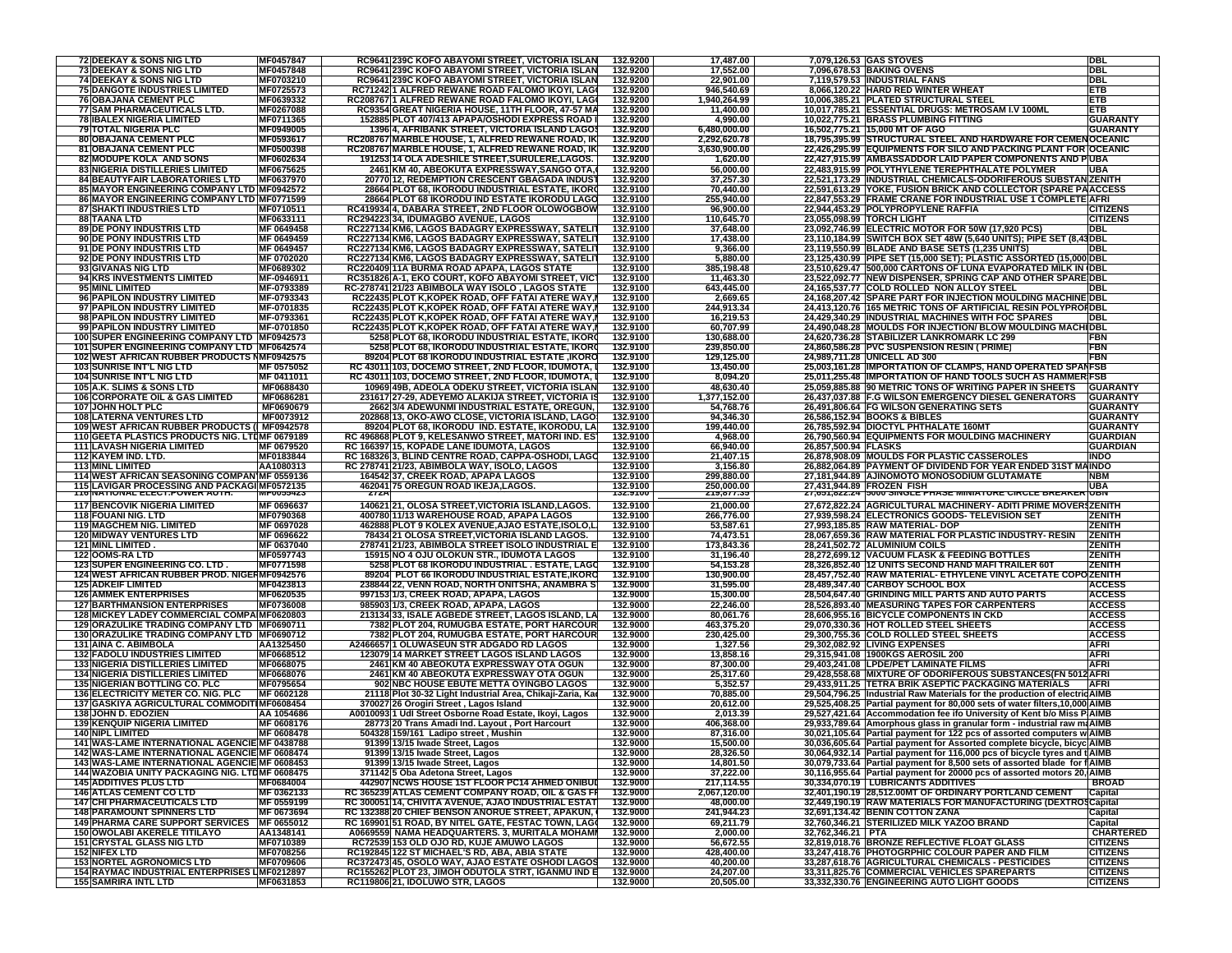| <b>72 DEEKAY &amp; SONS NIG LTD</b>                  | MF0457847         | RC9641 239C KOFO ABAYOMI STREET, VICTORIA ISLAN            | 132.9200             | 17,487.00              |                      | 7,079,126.53 GAS STOVES                                                     | DBL                                |
|------------------------------------------------------|-------------------|------------------------------------------------------------|----------------------|------------------------|----------------------|-----------------------------------------------------------------------------|------------------------------------|
|                                                      |                   | RC9641 239C KOFO ABAYOMI STREET, VICTORIA ISLAN            |                      |                        |                      |                                                                             |                                    |
| 73 DEEKAY & SONS NIG LTD                             | MF0457848         |                                                            | 132.9200             | 17,552.00              |                      | 7,096,678.53 BAKING OVENS                                                   | DBI                                |
| <b>74 DEEKAY &amp; SONS NIG LTD</b>                  | MF0703210         | RC9641 239C KOFO ABAYOMI STREET, VICTORIA ISLAN            | 132.9200             | 22,901.00              |                      | 7,119,579.53 INDUSTRIAL FANS                                                | <b>DBL</b>                         |
| <b>75 DANGOTE INDUSTRIES LIMITED</b>                 | MF0725573         | RC71242 1 ALFRED REWANE ROAD FALOMO IKOYI, LAGI            | 132.9200             | 946,540.69             |                      | 8,066,120.22 HARD RED WINTER WHEAT                                          | ETB                                |
| <b>76 OBAJANA CEMENT PLC</b>                         | MF0639332         | RC208767 1 ALFRED REWANE ROAD FALOMO IKOYI, LAGO           | 132.9200             | 1,940,264.99           |                      | 10,006,385.21 PLATED STRUCTURAL STEEL                                       | <b>ETB</b>                         |
| 77 SAM PHARMACEUTICALS LTD.                          | MF0267088         | RC9354 GREAT NIGERIA HOUSE, 11TH FLOOR, 47-57 MA           | 132.9200             | 11,400.00              |                      | 10,017,785.21 ESSENTIAL DRUGS: METROSAM I.V 100ML                           | ETB                                |
|                                                      |                   |                                                            |                      |                        |                      |                                                                             |                                    |
| <b>78 IBALEX NIGERIA LIMITED</b>                     | MF0711365         | 152885 PLOT 407/413 APAPA/OSHODI EXPRESS ROAD              | 132.9200             | 4,990.00               |                      | 10,022,775.21 BRASS PLUMBING FITTING                                        | <b>GUARANTY</b>                    |
| <b>79 TOTAL NIGERIA PLC</b>                          | MF0949005         | 1396 4, AFRIBANK STREET, VICTORIA ISLAND LAGOS             | 132.9200             | 6,480,000.00           |                      | 16,502,775.21 15,000 MT OF AGO                                              | <b>GUARANTY</b>                    |
| 80 OBAJANA CEMENT PLC                                | MF0593617         | RC208767 MARBLE HOUSE, 1, ALFRED REWANE ROAD, IK           | 132.9200             | 2,292,620.78           |                      | 18,795,395.99 STRUCTURAL STEEL AND HARDWARE FOR CEMENOCEANIC                |                                    |
|                                                      |                   |                                                            |                      | 3,630,900.00           |                      |                                                                             |                                    |
| 81 OBAJANA CEMENT PLC                                | MF0500398         | RC208767 MARBLE HOUSE, 1, ALFRED REWANE ROAD, IK           | 132.9200             |                        |                      | 22,426,295.99 EQUIPMENTS FOR SILO AND PACKING PLANT FOR OCEANIC             |                                    |
| 82 MODUPE KOLA AND SONS                              | MF0602634         | 191253 14 OLA ADESHILE STREET, SURULERE, LAGOS.            | 132.9200             | 1,620.00               |                      | 22,427,915.99 AMBASSADDOR LAID PAPER COMPONENTS AND PUBA                    |                                    |
| <b>83 NIGERIA DISTILLERIES LIMITED</b>               | MF0675625         | 2461 KM 40, ABEOKUTA EXPRESSWAY, SANGO OTA,                | 132.9200             | 56,000.00              |                      | 22,483,915.99 POLYTHYLENE TEREPHTHALATE POLYMER                             | <b>UBA</b>                         |
| 84 BEAUTYFAIR LABORATORIES LTD                       | <b>MF0637970</b>  | 20770 12, REDEMPTION CRESCENT GBAGADA INDUST               | 132.9200             | 37,257.30              |                      | 22,521,173.29 INDUSTRIAL CHEMICALS-ODORIFEROUS SUBSTAN ZENITH               |                                    |
|                                                      |                   |                                                            |                      |                        |                      |                                                                             |                                    |
| 85 MAYOR ENGINEERING COMPANY LTD MF0942572           |                   | 28664 PLOT 68, IKORODU INDUSTRIAL ESTATE, IKORO            | 132.9100             | 70,440.00              |                      | 22,591,613.29 YOKE, FUSION BRICK AND COLLECTOR (SPARE PAACCESS              |                                    |
| 86 MAYOR ENGINEERING COMPANY LTD MF0771599           |                   | 28664 PLOT 68 IKORODU IND ESTATE IKORODU LAGO              | 132.9100             | 255,940.00             |                      | 22,847,553.29 FRAME CRANE FOR INDUSTRIAL USE 1 COMPLETE AFRI                |                                    |
| <b>87 SHAKTI INDUSTRIES LTD</b>                      | MF0710511         | RC419934 4, DABARA STREET, 2ND FLOOR OLOWOGBOW             | 132.9100             | 96,900.00              |                      | 22,944,453.29 POLYPROPYLENE RAFFIA                                          | <b>CITIZENS</b>                    |
| <b>88 TAANA LTD</b>                                  | MF0633111         | RC294223 34, IDUMAGBO AVENUE, LAGOS                        | 132.9100             | 110,645.70             |                      | 23,055,098.99 TORCH LIGHT                                                   | <b>CITIZENS</b>                    |
| 89 DE PONY INDUSTRIS LTD                             | MF 0649458        | RC227134 KM6, LAGOS BADAGRY EXPRESSWAY, SATELI             | 132.9100             | 37,648.00              |                      | 23,092,746.99 ELECTRIC MOTOR FOR 50W (17,920 PCS)                           | <b>DBL</b>                         |
|                                                      |                   |                                                            |                      |                        |                      |                                                                             |                                    |
| 90 DE PONY INDUSTRIS LTD                             | MF 0649459        | RC227134 KM6, LAGOS BADAGRY EXPRESSWAY, SATELIT            | 132.9100             | 17,438.00              |                      | 23,110,184.99 SWITCH BOX SET 48W (5,640 UNITS); PIPE SET (8,                | <b>I3DBL</b>                       |
| 91 DE PONY INDUSTRIS LTD                             | MF 0649457        | RC227134 KM6, LAGOS BADAGRY EXPRESSWAY, SATELIT            | 132.9100             | 9,366.00               |                      | 23,119,550.99 BLADE AND BASE SETS (1,235 UNITS)                             | <b>DBL</b>                         |
| <b>92 DE PONY INDUSTRIS LTD</b>                      | MF 0702020        | RC227134 KM6, LAGOS BADAGRY EXPRESSWAY, SATELIT            | 132.9100             | 5,880.00               |                      | 23,125,430.99 PIPE SET (15,000 SET); PLASTIC ASSORTED (15,000 DBL           |                                    |
| 93 GIVANAS NIG LTD                                   |                   |                                                            |                      | 385,198.48             |                      |                                                                             |                                    |
|                                                      | MF0689302         | RC220409 11A BURMA ROAD APAPA, LAGOS STATE                 | 132.9100             |                        |                      | 23,510,629.47 500,000 CARTONS OF LUNA EVAPORATED MILK IN (DBL               |                                    |
| 94 KRS INVESTMENTS LIMITED                           | MF-0946911        | RC351826 A-1, EKO COURT, KOFO ABAYOMI STREET, VICT         | 132.9100             | 11,463.30              |                      | 23,522,092.77 NEW DISPENSER, SPRING CAP AND OTHER SPARE DBL                 |                                    |
| 95 MINL LIMITED                                      | MF-0793389        | RC-278741 21/23 ABIMBOLA WAY ISOLO, LAGOS STATE            | 132.9100             | 643,445.00             |                      | 24,165,537.77 COLD ROLLED NON ALLOY STEEL                                   | <b>DBL</b>                         |
| 96 PAPILON INDUSTRY LIMITED                          | MF-0793343        | RC22435 PLOT K, KOPEK ROAD, OFF FATAI ATERE WAY,           | 132.9100             | 2,669.65               |                      | 24,168,207.42 SPARE PART FOR INJECTION MOULDING MACHINE DBL                 |                                    |
|                                                      |                   |                                                            |                      |                        |                      |                                                                             |                                    |
| 97 PAPILON INDUSTRY LIMITED                          | MF-0701835        | RC22435 PLOT K, KOPEK ROAD, OFF FATAI ATERE WAY,           | 132.9100             | 244,913.34             |                      | 24,413,120.76 165 METRIC TONS OF ARTIFICIAL RESIN POLYPROFDBL               |                                    |
| 98 PAPILON INDUSTRY LIMITED                          | MF-0793361        | RC22435 PLOT K,KOPEK ROAD, OFF FATAI ATERE WAY,I           | 132.9100             | 16,219.53              |                      | 24,429,340.29 INDUSTRIAL MACHINES WITH FOC SPARES                           | DBL                                |
| 99 PAPILON INDUSTRY LIMITED                          | MF-0701850        | RC22435 PLOT K, KOPEK ROAD, OFF FATAI ATERE WAY, I         | 132.9100             | 60,707.99              |                      | 24,490,048.28 MOULDS FOR INJECTION/ BLOW MOULDING MACHI DBL                 |                                    |
| 100 SUPER ENGINEERING COMPANY LTD   MF0942573        |                   | 5258 PLOT 68, IKORODU INDUSTRIAL ESTATE, IKORO             | 132.9100             | 130,688.00             |                      | 24,620,736.28 STABILIZER LANKROMARK LC 299                                  | FBN                                |
|                                                      |                   |                                                            |                      |                        |                      |                                                                             |                                    |
| 101 SUPER ENGINEERING COMPANY LTD   MF0642574        |                   | 5258 PLOT 68, IKORODU INDUSTRIAL ESTATE, IKORO             | 132.9100             | 239,850.00             |                      | 24,860,586.28 PVC SUSPENSION RESIN ( PRIME)                                 | FBN                                |
| 102 WEST AFRICAN RUBBER PRODUCTS NMF0942575          |                   | <b>89204 PLOT 68 IKORODU INDUSTRIAL ESTATE ,IKORO</b>      | 132.9100             | 129,125.00             |                      | 24,989,711.28 UNICELL AD 300                                                | FBN                                |
| 103 SUNRISE INT'L NIG LTD                            | MF 0575052        | RC 43011 103, DOCEMO STREET, 2ND FLOOR, IDUMOTA,           | 132.9100             | 13,450.00              |                      | 25,003,161.28 IMPORTATION OF CLAMPS, HAND OPERATED SPANFSB                  |                                    |
|                                                      | MF 0411011        |                                                            |                      |                        |                      |                                                                             |                                    |
| <b>104 SUNRISE INT'L NIG LTD</b>                     |                   | RC 43011 103, DOCEMO STREET, 2ND FLOOR, IDUMOTA,           | 132.9100             | 8,094.20               |                      | 25,011,255.48 IMPORTATION OF HAND TOOLS SUCH AS HAMMER FSB                  |                                    |
| 105 A.K. SLIMS & SONS LTD                            | MF0688430         | 10969 49B, ADEOLA ODEKU STREET, VICTORIA ISLAN             | 132.9100             | 48,630.40              |                      | 25,059,885.88 90 METRIC TONS OF WRITING PAPER IN SHEETS                     | <b>GUARANTY</b>                    |
| <b>106 CORPORATE OIL &amp; GAS LIMITED</b>           | MF0686281         | 231617 27-29, ADEYEMO ALAKIJA STREET, VICTORIA IS          | 132.9100             | 1,377,152.00           |                      | 26,437,037.88 F.G WILSON EMERGENCY DIESEL GENERATORS                        | <b>GUARANTY</b>                    |
| 107 JOHN HOLT PLC                                    | MF0690679         | 2662 3/4 ADEWUNMI INDUSTRIAL ESTATE, OREGUN,               | 132.9100             | 54,768.76              |                      | 26,491,806.64 FG WILSON GENERATING SETS                                     | <b>GUARANTY</b>                    |
|                                                      |                   |                                                            |                      |                        |                      |                                                                             |                                    |
| <b>108 LATERNA VENTURES LTD</b>                      | MF0073912         | 202868 13, OKO-AWO CLOSE, VICTORIA ISLAND, LAGO            | 132.9100             | 94,346.30              |                      | 26,586,152.94 BOOKS & BIBLES                                                | <b>GUARANTY</b>                    |
| 109 WEST AFRICAN RUBBER PRODUCTS (I MF0942578        |                   | 89204 PLOT 68, IKORODU IND. ESTATE, IKORODU, LA            | 132.9100             | 199,440.00             |                      | 26,785,592.94 DIOCTYL PHTHALATE 160MT                                       | <b>GUARANTY</b>                    |
| 110 GEETA PLASTICS PRODUCTS NIG. LTDMF 0679189       |                   | RC 496868 PLOT 9, KELESANWO STREET, MATORI IND. ES         | 132.9100             | 4,968.00               |                      | 26,790,560.94 EQUIPMENTS FOR MOULDING MACHINERY                             | <b>GUARDIAN</b>                    |
| <b>111 LAVASH NIGERIA LIMITED</b>                    | <b>MF 0679520</b> | RC 166397 15, KOPADE LANE IDUMOTA, LAGOS                   | 132.9100             | 66,940.00              | 26,857,500.94 FLASKS |                                                                             | <b>GUARDIAN</b>                    |
|                                                      |                   |                                                            |                      |                        |                      |                                                                             |                                    |
| 112 KAYEM IND. LTD.                                  | MF0183844         | RC 168326 3. BLIND CENTRE ROAD, CAPPA-OSHODI, LAGO         | 132.9100             | 21,407.15              |                      | 26,878,908.09 MOULDS FOR PLASTIC CASSEROLES                                 | <b>INDO</b>                        |
| <b>113 MINL LIMITED</b>                              | AA1080313         | RC 278741 21/23, ABIMBOLA WAY, ISOLO, LAGOS                | 132.9100             | 3,156.80               |                      | 26,882,064.89 PAYMENT OF DIVIDEND FOR YEAR ENDED 31ST MAINDO                |                                    |
| 114 WEST AFRICAN SEASONING COMPANIMF 0559136         |                   | 164542 37, CREEK ROAD, APAPA LAGOS                         | 132.9100             | 299,880.00             |                      | 27,181,944.89 AJINOMOTO MONOSODIUM GLUTAMATE                                | <b>NBM</b>                         |
| 115 LAVIGAR PROCESSING AND PACKAGI MF0572135         |                   | 462041 75 OREGUN ROAD IKEJA, LAGOS.                        | 132.9100             | 250,000.00             |                      | 27,431,944.89 FROZEN FISH                                                   | <b>UBA</b>                         |
| TT6 NATIONAL ELECT.POWER AUTH.                       | <b>MFUU334Z3</b>  | <b>ZTZA</b>                                                | 132.9100             | 219,677.35             |                      | 27,051,822.24 JOUU SINGLE PHASE MINIATURE CIRCLE BREAKER UBN                |                                    |
|                                                      |                   |                                                            |                      |                        |                      |                                                                             |                                    |
| <b>117 BENCOVIK NIGERIA LIMITED</b>                  | MF 0696637        | 140621 21, OLOSA STREET, VICTORIA ISLAND, LAGOS.           | 132.9100             | 21,000.00              |                      | 27,672,822.24 AGRICULTURAL MACHINERY- ADITI PRIME MOVER ZENITH              |                                    |
| <b>118 FOUANI NIG. LTD</b>                           | MF0790368         | 400780 11/13 WAREHOUSE ROAD, APAPA LAGOS                   | 132.9100             | 266,776.00             |                      | 27,939,598.24 ELECTRONICS GOODS- TELEVISION SET                             | <b>ZENITH</b>                      |
|                                                      |                   |                                                            |                      |                        |                      |                                                                             |                                    |
| <b>119 MAGCHEM NIG. LIMITED</b>                      | MF 0697028        | 462888 PLOT 9 KOLEX AVENUE, AJAO ESTATE, ISOLO, L          | 132.9100             | 53,587.61              |                      | 27,993,185.85 RAW MATERIAL-DOP                                              | <b>ZENITH</b>                      |
| <b>120 MIDWAY VENTURES LTD</b>                       | MF 0696622        | 78434 21 OLOSA STREET, VICTORIA ISLAND LAGOS.              | 132.9100             | 74,473.51              |                      | 28,067,659.36 RAW MATERIAL FOR PLASTIC INDUSTRY-RESIN                       | <b>ZENITH</b>                      |
| <b>121 MINL LIMITED</b>                              | MF 0637040        | 278741 21/23, ABIMBOLA STREET ISOLO INDUSTRIAL E           | 132.9100             | 173,843.36             |                      | 28,241,502.72 ALUMINIUM COILS                                               | <b>ZENITH</b>                      |
| <b>122 OOMS-RA LTD</b>                               | MF0597743         | 15915 NO 4 OJU OLOKUN STR., IDUMOTA LAGOS                  | 132.9100             | 31,196.40              |                      | 28,272,699.12 VACUUM FLASK & FEEDING BOTTLES                                | <b>ZENITH</b>                      |
| 123 SUPER ENGINEERING CO. LTD.                       | MF0771598         | 5258 PLOT 68 IKORODU INDUSTRIAL . ESTATE, LAGO             | 132.9100             | 54,153.28              |                      | 28,326,852.40 12 UNITS SECOND HAND MAFI TRAILER 60T                         | <b>ZENITH</b>                      |
|                                                      |                   |                                                            |                      |                        |                      |                                                                             |                                    |
| 124 WEST AFRICAN RUBBER PROD. NIGERMF0942576         |                   | 89204 PLOT 66 IKORODU INDUSTRIAL ESTATE, IKORO             | 132.9100             | 130,900.00             |                      | 28,457,752.40 RAW MATERIAL- ETHYLENE VINYL ACETATE COPO ZENITH              |                                    |
| <b>125 ADKEIF LIMITED</b>                            | MF0423813         | 238844 22, VENN ROAD, NORTH ONITSHA, ANAMBRA S'            | 132.9000             | 31,595.00              |                      | 28,489,347.40 CARBOY SCHOOL BOX                                             | <b>ACCESS</b>                      |
| <b>126 AMMEK ENTERPRISES</b>                         | MF0620535         | 997153 1/3, CREEK ROAD, APAPA, LAGOS                       | 132.9000             | 15,300.00              |                      | 28,504,647.40 GRINDING MILL PARTS AND AUTO PARTS                            | <b>ACCESS</b>                      |
|                                                      | MF0736008         |                                                            | 132.9000             |                        |                      |                                                                             | <b>ACCESS</b>                      |
| <b>127 BARTHMANSION ENTERPRISES</b>                  |                   | 985903 1/3, CREEK ROAD, APAPA, LAGOS                       |                      | 22,246.00              |                      | 28,526,893.40 MEASURING TAPES FOR CARPENTERS                                |                                    |
| 128 MICKEY LADEY COMMERCIAL COMPAIMF0620803          |                   | 213134 33, ISALE AGBEDE STREET, LAGOS ISLAND, LA           | 132.9000             | 80,061.76              |                      | 28,606,955.16 BICYCLE COMPONENTS IN CKD                                     | <b>ACCESS</b>                      |
| 129 ORAZULIKE TRADING COMPANY LTD   MF0690711        |                   | 7382 PLOT 204, RUMUGBA ESTATE, PORT HARCOUR                | 132.9000             | 463,375.20             |                      | 29,070,330.36 HOT ROLLED STEEL SHEETS                                       | <b>ACCESS</b>                      |
| 130 ORAZULIKE TRADING COMPANY LTD MF0690712          |                   |                                                            |                      |                        |                      |                                                                             |                                    |
|                                                      |                   |                                                            |                      |                        |                      |                                                                             |                                    |
|                                                      |                   | 7382 PLOT 204, RUMUGBA ESTATE, PORT HARCOUR                | 132.9000             | 230,425.00             |                      | 29,300,755.36 COLD ROLLED STEEL SHEETS                                      | <b>ACCESS</b>                      |
| 131 AINA C. ABIMBOLA                                 | AA1325450         | A2466657 1 OLUWASEUN STR ADGADO RD LAGOS                   | 132.9000             | 1,327.56               |                      | 29,302,082.92 LIVING EXPENSES                                               | <b>AFRI</b>                        |
| <b>132 FADOLU INDUSTRIES LIMITED</b>                 | MF0668512         | 123079 14 MARKET STREET LAGOS ISLAND LAGOS                 | 132.9000             | 13,858.16              |                      | 29,315,941.08 1900KGS AEROSIL 200                                           | <b>AFRI</b>                        |
| <b>133 NIGERIA DISTILLERIES LIMITED</b>              | MF0668075         | 2461 KM 40 ABEOKUTA EXPRESSWAY OTA OGUN                    | 132.9000             | 87,300.00              |                      | 29,403,241.08 LPDE/PET LAMINATE FILMS                                       | <b>AFRI</b>                        |
|                                                      |                   |                                                            |                      |                        |                      |                                                                             |                                    |
| <b>134 NIGERIA DISTILLERIES LIMITED</b>              | MF0668076         | 2461 KM 40 ABEOKUTA EXPRESSWAY OTA OGUN                    | 132.9000             | 25,317.60              |                      | 29,428,558.68 MIXTURE OF ODORIFEROUS SUBSTANCES(FN 5012 AFRI                |                                    |
| <b>135 NIGERIAN BOTTLING CO. PLC</b>                 | MF0795654         | 902 NBC HOUSE EBUTE METTA OYINGBO LAGOS                    | 132.9000             | 5,352.57               |                      | 29,433,911.25 TETRA BRIK ASEPTIC PACKAGING MATERIALS                        | <b>AFRI</b>                        |
| 136 ELECTRICITY METER CO. NIG. PLC                   | MF 0602128        | 21118 Plot 30-32 Light Industrial Area, Chikaji-Zaria, Kao | 132.9000             | 70,885.00              |                      | 29,504,796.25 Industrial Raw Materials for the production of electric AIMB  |                                    |
| 137 GASKIYA AGRICULTURAL COMMODITIMF0608454          |                   | 370027 26 Orogiri Street, Lagos Island                     | 132.9000             | 20,612.00              |                      | 29,525,408.25 Partial payment for 80,000 sets of water filters, 10,000 AIMB |                                    |
| 138 JOHN D. EDOZIEN                                  | AA 1054686        |                                                            | 132.9000             | 2,013.39               |                      |                                                                             |                                    |
|                                                      |                   | A0010093 1 Udl Street Osborne Road Estate, Ikoyi, Lagos    |                      |                        |                      | 29,527,421.64 Accommodation fee ifo University of Kent b/o Miss P AIMB      |                                    |
| <b>139 KENQUIP NIGERIA LIMITED</b>                   | MF 0608176        | 28773 20 Trans Amadi Ind. Layout, Port Harcourt            | 132.9000             | 406,368.00             |                      | 29,933,789.64 Amorphous glass in granular form - industrial raw ma AIMB     |                                    |
| <b>140 NIPL LIMITED</b>                              | MF 0608478        | 504328 159/161 Ladipo street, Mushin                       | 132.9000             | 87,316.00              |                      | 30,021,105.64 Partial payment for 122 pcs of assorted computers w AIMB      |                                    |
| 141 WAS-LAME INTERNATIONAL AGENCIE MF 0438788        |                   | 91399 13/15 Iwade Street, Lagos                            | 132.9000             | 15,500.00              |                      | 30,036,605.64 Partial payment for Assorted complete bicycle, bicyc AIMB     |                                    |
|                                                      |                   |                                                            |                      |                        |                      |                                                                             |                                    |
| 142 WAS-LAME INTERNATIONAL AGENCIE MF 0608474        |                   | 91399 13/15 Iwade Street, Lagos                            | 132.9000             | 28,326.50              |                      | 30,064,932.14 Partial payment for 116,000 pcs of bicycle tyres and t AIMB   |                                    |
| 143 WAS-LAME INTERNATIONAL AGENCIE MF 0608453        |                   | 91399 13/15 Iwade Street, Lagos                            | 132.9000             | 14,801.50              |                      | 30,079,733.64 Partial payment for 8,500 sets of assorted blade for f AIMB   |                                    |
| 144 WAZOBIA UNITY PACKAGING NIG. LTDMF 0608475       |                   | 371142 5 Oba Adetona Street, Lagos                         | 132.9000             | 37,222.00              |                      | 30,116,955.64 Partial payment for 20000 pcs of assorted motors 20, AIMB     |                                    |
| <b>145 ADDITIVES PLUS LTD</b>                        | MF0684004         | 442907 NCWS HOUSE 1ST FLOOR PC14 AHMED ONIBUD              | 132.9000             | 217,114.55             |                      | 30,334,070.19 LUBRICANTS ADDITIVES                                          | <b>BROAD</b>                       |
| <b>146 ATLAS CEMENT CO LTD</b>                       |                   |                                                            |                      |                        |                      | 32.401.190.19 28.512.00MT OF ORDINARY PORTLAND CEMENT                       |                                    |
|                                                      | MF 0362133        | RC 365239 ATLAS CEMENT COMPANY ROAD, OIL & GAS FF          | 132.9000             | 2,067,120.00           |                      |                                                                             | Capital                            |
| <b>147 CHI PHARMACEUTICALS LTD</b>                   | MF 0559199        | RC 300051 14, CHIVITA AVENUE, AJAO INDUSTRIAL ESTAT        | 132.9000             | 48,000.00              |                      | 32,449,190.19 RAW MATERIALS FOR MANUFACTURING (DEXTROSCapital               |                                    |
| <b>148 PARAMOUNT SPINNERS LTD</b>                    | MF 0673694        | RC 132388 20 CHIEF BENSON ANORUE STREET, APAKUN,           | 132.9000             | 241,944.23             |                      | 32,691,134.42 BENIN COTTON ZANA                                             | Capital                            |
| 149 PHARMA CARE SUPPORT SERVICES MF 0655012          |                   | RC 169901 51 ROAD, BY NITEL GATE, FESTAC TOWN, LAGO        | 132.9000             | 69,211.79              |                      | 32,760,346.21 STERILIZED MILK YAZOO BRAND                                   | Capital                            |
| <b>150 OWOLABI AKERELE TITILAYO</b>                  | AA1348141         |                                                            |                      |                        |                      |                                                                             |                                    |
|                                                      |                   | A0669559 NAMA HEADQUARTERS. 3, MURITALA MOHAMI             | 132.9000             | 2,000.00               | 32,762,346.21 PTA    |                                                                             | <b>CHARTERED</b>                   |
| <b>151 CRYSTAL GLASS NIG LTD</b>                     | MF0710389         | RC72539 153 OLD OJO RD. KUJE AMUWO LAGOS                   | 132.9000             | 56,672.55              |                      | 32,819,018.76 BRONZE REFLECTIVE FLOAT GLASS                                 | <b>CITIZENS</b>                    |
| <b>152 NIFEX LTD</b>                                 | MF0708256         | RC192845 122 ST MICHAEL'S RD, ABA, ABIA STATE              | 132.9000             | 428,400.00             |                      | 33,247,418.76 PHOTOGRPHIC COLOUR PAPER AND FILM                             | <b>CITIZENS</b>                    |
| <b>153 NORTEL AGRONOMICS LTD</b>                     | MF0709606         | RC372473 45, OSOLO WAY, AJAO ESTATE OSHODI LAGOS           | 132.9000             | 40,200.00              |                      | 33,287,618.76 AGRICULTURAL CHEMICALS - PESTICIDES                           | <b>CITIZENS</b>                    |
| <b>154 RAYMAC INDUSTRIAL ENTERPRISES LIMF0212897</b> |                   | RC155262 PLOT 23, JIMOH ODUTOLA STRT, IGANMU IND E         |                      |                        |                      | 33.311.825.76 COMMERCIAL VEHICLES SPAREPARTS                                |                                    |
| <b>155 SAMRIRA INTL LTD</b>                          | MF0631853         | RC119806 21, IDOLUWO STR, LAGOS                            | 132.9000<br>132.9000 | 24,207.00<br>20,505.00 |                      | 33,332,330.76 ENGINEERING AUTO LIGHT GOODS                                  | <b>CITIZENS</b><br><b>CITIZENS</b> |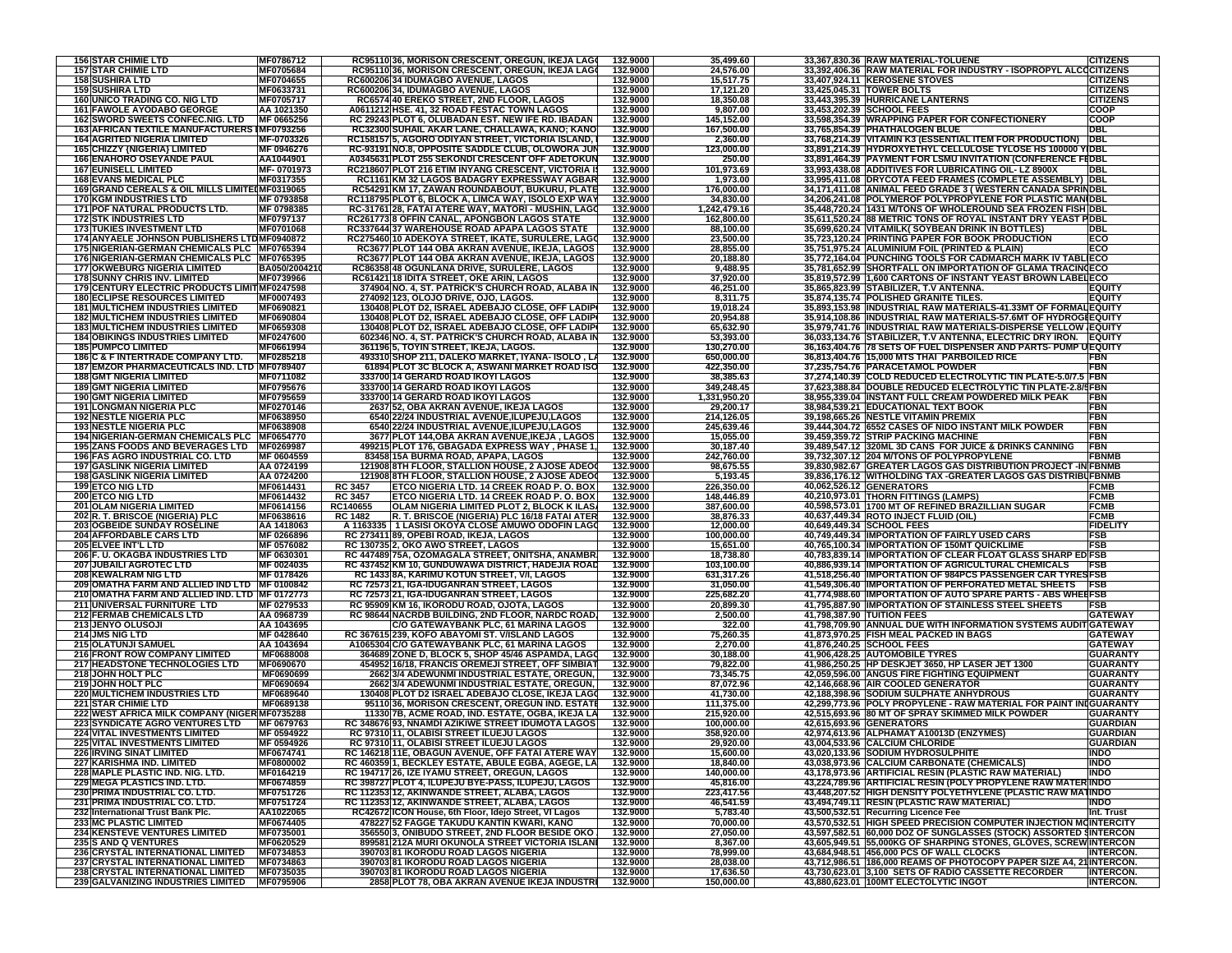| <b>156 STAR CHIMIE LTD</b>                                              |                        |                | RC95110 36, MORISON CRESCENT, OREGUN, IKEJA LAGO                                      | 132.9000             | 35,499.60               | 33,367,830.36 RAW MATERIAL-TOLUENE                                                           | <b>CITIZENS</b>                      |
|-------------------------------------------------------------------------|------------------------|----------------|---------------------------------------------------------------------------------------|----------------------|-------------------------|----------------------------------------------------------------------------------------------|--------------------------------------|
| <b>157 STAR CHIMIE LTD</b>                                              | MF0786712<br>MF0705684 |                | RC95110 36, MORISON CRESCENT, OREGUN, IKEJA LAGO                                      | 132.9000             | 24,576.00               | 33,392,406.36 RAW MATERIAL FOR INDUSTRY - ISOPROPYL ALC                                      | <b>CCITIZENS</b>                     |
| <b>158 SUSHIRA LTD</b>                                                  | MF0704655              |                | RC600206 34 IDUMAGBO AVENUE, LAGOS                                                    | 132.9000             | 15,517.75               | 33,407,924.11 KEROSENE STOVES                                                                | <b>CITIZENS</b>                      |
| <b>159 SUSHIRA LTD</b>                                                  | MF0633731              |                | RC600206 34, IDUMAGBO AVENUE, LAGOS                                                   | 132.9000             | 17,121.20               | 33,425,045.31 TOWER BOLTS                                                                    | <b>CITIZENS</b>                      |
| <b>160 UNICO TRADING CO. NIG LTD</b>                                    | MF0705717              |                |                                                                                       | 132.9000             | 18,350.08               | 33,443,395.39 HURRICANE LANTERNS                                                             | <b>CITIZENS</b>                      |
|                                                                         |                        |                | RC6574 40 EREKO STREET, 2ND FLOOR, LAGOS                                              |                      |                         |                                                                                              |                                      |
| <b>161 FAWOLE AYODABO GEORGE</b>                                        | AA 1021350             |                | A0611212 HSE. 41, 32 ROAD FESTAC TOWN LAGOS                                           | 132.9000             | 9,807.00                | 33,453,202.39 SCHOOL FEES                                                                    | <b>COOP</b>                          |
| 162 SWORD SWEETS CONFEC.NIG. LTD                                        | MF 0665256             |                | RC 29243 PLOT 6, OLUBADAN EST. NEW IFE RD. IBADAN                                     | 132.9000             | 145,152.00              | 33,598,354.39 WRAPPING PAPER FOR CONFECTIONERY                                               | <b>COOP</b>                          |
| <b>163 AFRICAN TEXTILE MANUFACTURERS IMF0793256</b>                     |                        |                | RC32300 SUHAIL AKAR LANE, CHALLAWA, KANO; KANO                                        | 132.9000             | 167,500.00              | 33,765,854.39 PHATHALOGEN BLUE                                                               | DBL                                  |
| <b>164 AGRITED NIGERIA LIMITED</b>                                      | MF-0703326             |                | RC158157 5, AGORO ODIYAN STREET, VICTORIA ISLAND,                                     | 132.9000             | 2,360.00                | 33,768,214.39 VITAMIN K3 (ESSENTIAL ITEM FOR PRODUCTION)                                     | <b>IDBL</b>                          |
| 165 CHIZZY {NIGERIA} LIMITED                                            | MF 0946276             |                | RC-93191 NO.8, OPPOSITE SADDLE CLUB, OLOWORA JUN                                      | 132.9000             | 123,000.00              | 33,891,214.39 HYDROXYETHYL CELLULOSE TYLOSE HS 100000 YIDBL                                  |                                      |
| <b>166 ENAHORO OSEYANDE PAUL</b>                                        | AA1044901              |                | A0345631 PLOT 255 SEKONDI CRESCENT OFF ADETOKUN                                       | 132.9000             | 250.00                  | 33,891,464.39 PAYMENT FOR LSMU INVITATION (CONFERENCE FEDBL                                  |                                      |
| <b>167 EUNISELL LIMITED</b>                                             | MF-0701973             |                | RC218607 PLOT 216 ETIM INYANG CRESCENT, VICTORIA IS                                   | 132.9000             | 101,973.69              | 33,993,438.08 ADDITIVES FOR LUBRICATING OIL- LZ 8900X                                        | <b>DBL</b>                           |
| <b>168 EVANS MEDICAL PLC</b>                                            | MF0317355              |                | RC1161 KM 32 LAGOS BADAGRY EXPRESSWAY AGBAR                                           | 132.9000             | 1,973.00                | 33,995,411.08 DRYCOTA FEED FRAMES (COMPLETE ASSEMBLY) DBL                                    |                                      |
| 169 GRAND CEREALS & OIL MILLS LIMITEDMF0319065                          |                        |                | RC54291 KM 17, ZAWAN ROUNDABOUT, BUKURU, PLATE                                        | 132.9000             | 176,000.00              | 34,171,411.08 ANIMAL FEED GRADE 3 (WESTERN CANADA SPRINDBL                                   |                                      |
|                                                                         |                        |                | RC118795 PLOT 6, BLOCK A, LIMCA WAY, ISOLO EXP WAY                                    | 132.9000             |                         |                                                                                              |                                      |
| <b>170 KGM INDUSTRIES LTD</b>                                           | MF 0793858             |                |                                                                                       |                      | 34,830.00               | 34,206,241.08 POLYMEROF POLYPROPYLENE FOR PLASTIC MANIDBL                                    |                                      |
| 171 POF NATURAL PRODUCTS LTD.                                           | MF 0798385             |                | RC-31761 28, FATAI ATERE WAY, MATORI - MUSHIN, LAGO                                   | 132.9000             | 1,242,479.16            | 35,448,720.24 1431 M/TONS OF WHOLEROUND SEA FROZEN FISH DBL                                  |                                      |
| <b>172 STK INDUSTRIES LTD</b>                                           | <b>MF0797137</b>       |                | RC261773 8 OFFIN CANAL, APONGBON LAGOS STATE                                          | 132.9000             | 162,800.00              | 35,611,520.24 88 METRIC TONS OF ROYAL INSTANT DRY YEAST PIDBL                                |                                      |
| <b>173 TUKIES INVESTMENT LTD</b>                                        | MF0701068              |                | RC337644 37 WAREHOUSE ROAD APAPA LAGOS STATE                                          | 132.9000             | 88.100.00               | 35,699,620.24 VITAMILK(SOYBEAN DRINK IN BOTTLES)                                             | DBL                                  |
| 174 ANYAELE JOHNSON PUBLISHERS LTD MF0940872                            |                        |                | RC275460 10 ADEKOYA STREET, IKATE, SURULERE, LAGO                                     | 132.9000             | 23,500.00               | 35,723,120.24 PRINTING PAPER FOR BOOK PRODUCTION                                             | ECO                                  |
| 175 NIGERIAN-GERMAN CHEMICALS PLC MF0765394                             |                        |                | RC3677 PLOT 144 OBA AKRAN AVENUE, IKEJA, LAGOS                                        | 132.9000             | 28,855.00               | 35,751,975.24 ALUMINIUM FOIL (PRINTED & PLAIN)                                               | ECO                                  |
| 176 NIGERIAN-GERMAN CHEMICALS PLC MF0765395                             |                        |                | RC3677 PLOT 144 OBA AKRAN AVENUE, IKEJA, LAGOS                                        | 132.9000             | 20,188.80               | 35,772,164.04 PUNCHING TOOLS FOR CADMARCH MARK IV TABLIECO                                   |                                      |
| <b>177 OKWEBURG NIGERIA LIMITED</b>                                     | BA050/2004210          |                | RC86358 48 OGUNLANA DRIVE, SURULERE, LAGOS                                            | 132.9000             | 9,488.95                | 35,781,652.99 SHORTFALL ON IMPORTATION OF GLAMA TRACINCECO                                   |                                      |
| <b>178 SUNNY CHRIS INV. LIMITED</b>                                     | MF0739966              |                | RC61421 18 IDITA STREET, OKE ARIN, LAGOS                                              | 132.9000             | 37,920.00               | 35,819,572.99 1,600 CARTONS OF INSTANT YEAST BROWN LABELECO                                  |                                      |
| 179 CENTURY ELECTRIC PRODUCTS LIMIT MF0247598                           |                        |                |                                                                                       |                      |                         |                                                                                              |                                      |
|                                                                         |                        |                | 374904 NO. 4, ST. PATRICK'S CHURCH ROAD, ALABA IN                                     | 132.9000             | 46,251.00               | 35,865,823.99 STABILIZER, T.V ANTENNA.                                                       | <b>EQUITY</b>                        |
| <b>180 ECLIPSE RESOURCES LIMITED</b>                                    | MF0007493              |                | 274092 123, OLOJO DRIVE, OJO, LAGOS.                                                  | 132.9000             | 8,311.75                | 35,874,135.74 POLISHED GRANITE TILES.                                                        | <b>EQUITY</b>                        |
| <b>181 MULTICHEM INDUSTRIES LIMITED</b>                                 | MF0690821              |                | 130408 PLOT D2, ISRAEL ADEBAJO CLOSE, OFF LADIP                                       | 132.9000             | 19,018.24               | 35,893,153.98 INDUSTRIAL RAW MATERIALS-41.33MT OF FORMAL EQUITY                              |                                      |
| <b>182 MULTICHEM INDUSTRIES LIMITED</b>                                 | MF0690804              |                | 130408 PLOT D2, ISRAEL ADEBAJO CLOSE, OFF LADIP                                       | 132.9000             | 20,954.88               | 35,914,108.86 INDUSTRIAL RAW MATERIALS-57.6MT OF HYDROGEEQUITY                               |                                      |
| <b>183 MULTICHEM INDUSTRIES LIMITED</b>                                 | MF0659308              |                | 130408 PLOT D2, ISRAEL ADEBAJO CLOSE, OFF LADIP                                       | 132.9000             | 65,632.90               | 35,979,741.76   INDUSTRIAL RAW MATERIALS-DISPERSE YELLOW   EQUITY                            |                                      |
| <b>184 OBIKINGS INDUSTRIES LIMITED</b>                                  | MF0247600              |                | 602346 NO. 4, ST. PATRICK'S CHURCH ROAD, ALABA IN                                     | 132.9000             | 53,393.00               | 36,033,134.76 STABILIZER, T.V ANTENNA, ELECTRIC DRY IRON. EQUITY                             |                                      |
| <b>185 PUMPCO LIMITED</b>                                               | MF0661994              |                | 361196 5, TOYIN STREET, IKEJA, LAGOS.                                                 | 132.9000             | 130,270.00              | 36,163,404.76 78 SETS OF FUEL DISPENSER AND PARTS- PUMP U EQUITY                             |                                      |
| 186 C & F INTERTRADE COMPANY LTD.                                       |                        |                |                                                                                       |                      |                         |                                                                                              |                                      |
|                                                                         | MF0285218              |                | 493310 SHOP 211, DALEKO MARKET, IYANA- ISOLO, LA                                      | 132.9000             | 650,000.00              | 36,813,404.76 15,000 MTS THAI PARBOILED RICE                                                 | <b>FBN</b>                           |
| 187 EMZOR PHARMACEUTICALS IND. LTD MF0789407                            |                        |                | 61894 PLOT 3C BLOCK A, ASWANI MARKET ROAD ISO                                         | 132.9000             | 422,350.00              | 37,235,754.76 PARACETAMOL POWDER                                                             | <b>FBN</b>                           |
| <b>188 GMT NIGERIA LIMITED</b>                                          | MF0711082              |                | 333700 14 GERARD ROAD IKOYI LAGOS                                                     | 132.9000             | 38,385.63               | 37,274,140.39 COLD REDUCED ELECTROLYTIC TIN PLATE-5.0/7.5 FBN                                |                                      |
| <b>189 GMT NIGERIA LIMITED</b>                                          | MF0795676              |                | 333700 14 GERARD ROAD IKOYI LAGOS                                                     | 132.9000             | 349,248.45              | 37,623,388.84 DOUBLE REDUCED ELECTROLYTIC TIN PLATE-2.8/5FBN                                 |                                      |
| <b>190 GMT NIGERIA LIMITED</b>                                          | MF0795659              |                | 333700 14 GERARD ROAD IKOYI LAGOS                                                     | 132.9000             | 1,331,950.20            | 38,955,339.04 INSTANT FULL CREAM POWDERED MILK PEAK                                          | <b>FBN</b>                           |
| <b>191 LONGMAN NIGERIA PLC</b>                                          | <b>MF0270146</b>       |                | 2637 52, OBA AKRAN AVENUE, IKEJA LAGOS                                                | 132.9000             | 29,200.17               | 38,984,539.21 EDUCATIONAL TEXT BOOK                                                          | <b>FBN</b>                           |
| <b>192 NESTLE NIGERIA PLC</b>                                           | MF0638950              |                | 6540 22/24 INDUSTRIAL AVENUE,ILUPEJU,LAGOS                                            | 132.9000             | 214.126.05              | 39,198,665.26 NESTLE VITAMIN PREMIX                                                          | <b>FBN</b>                           |
|                                                                         |                        |                |                                                                                       |                      |                         |                                                                                              |                                      |
| <b>193 NESTLE NIGERIA PLC</b>                                           | MF0638908              |                | 6540 22/24 INDUSTRIAL AVENUE, ILUPEJU, LAGOS                                          | 132.9000             | 245,639.46              | 39,444,304.72 6552 CASES OF NIDO INSTANT MILK POWDER                                         | FBN                                  |
| 194 NIGERIAN-GERMAN CHEMICALS PLC MF0654770                             |                        |                | 3677 PLOT 144, OBA AKRAN AVENUE, IKEJA, LAGOS                                         | 132.9000             | 15,055.00               | 39,459,359.72 STRIP PACKING MACHINE                                                          | <b>FBN</b>                           |
| 195 ZANS FOODS AND BEVERAGES LTD MF0269987                              |                        |                | 499215 PLOT 176, GBAGADA EXPRESS WAY, PHASE 1,                                        | 132.9000             | 30,187.40               | 39,489,547.12 320ML 3D CANS FOR JUICE & DRINKS CANNING                                       | FBN                                  |
| <b>196 FAS AGRO INDUSTRIAL CO. LTD</b>                                  | MF 0604559             |                | 83458 15A BURMA ROAD, APAPA, LAGOS                                                    | 132.9000             | 242,760.00              | 39.732.307.12 204 M/TONS OF POLYPROPYLENE                                                    | <b>FBNMB</b>                         |
| <b>197 GASLINK NIGERIA LIMITED</b>                                      | AA 0724199             |                | 121908 8TH FLOOR, STALLION HOUSE, 2 AJOSE ADEOC                                       | 132.9000             | 98,675.55               | 39,830,982.67 GREATER LAGOS GAS DISTRIBUTION PROJECT -IN FBNMB                               |                                      |
| <b>198 GASLINK NIGERIA LIMITED</b>                                      | AA 0724200             |                | 121908 8TH FLOOR, STALLION HOUSE, 2 AJOSE ADEO                                        | 132.9000             | 5,193.45                | 39,836,176.12 WITHOLDING TAX -GREATER LAGOS GAS DISTRIBUFBNMB                                |                                      |
| 199 ETCO NIG LTD                                                        | MF0614431              | <b>RC 3457</b> | ETCO NIGERIA LTD. 14 CREEK ROAD P. O. BOX                                             | 132.9000             | 226,350.00              | 40,062,526.12 GENERATORS                                                                     | <b>FCMB</b>                          |
|                                                                         |                        |                |                                                                                       |                      |                         |                                                                                              |                                      |
| 200 ETCO NIG LTD                                                        | MF0614432              | <b>RC 3457</b> | <u>ETCO NIGERIA LTD. 14 CREEK ROAD P. O. BOX</u>                                      | 132.9000             | 148,446.89              | 40,210,973.01 THORN FITTINGS (LAMPS)                                                         | <b>FCMB</b>                          |
| <b>201 OLAM NIGERIA LIMITED</b>                                         | MF0614156              | RC140655       | OLAM NIGERIA LIMITED PLOT 2, BLOCK K ILAS/                                            | 132.9000             | 387,600.00              | 40,598,573.01 1700 MT OF REFINED BRAZILLIAN SUGAR                                            | <b>FCMB</b>                          |
| 202 R. T. BRISCOE (NIGERIA) PLC                                         | MF0638616              | <b>RC 1482</b> | R. T. BRISCOE (NIGERIA) PLC 16/18 FATAI ATER                                          | 132.9000             | 38,876.33               | 40,637,449.34 ROTO INJECT FLUID (OIL)                                                        | <b>FCMB</b>                          |
| 203 OGBEIDE SUNDAY ROSELINE                                             | AA 1418063             |                | A 1163335   1 LASISI OKOYA CLOSE AMUWO ODOFIN LAGO                                    | 132.9000             | 12,000.00               | 40,649,449.34 SCHOOL FEES                                                                    | <b>FIDELITY</b>                      |
| 204 AFFORDABLE CARS LTD                                                 | MF 0266896             |                | RC 273411 89, OPEBI ROAD, IKEJA, LAGOS                                                | 132.9000             | 100,000.00              | 40,749,449.34 IMPORTATION OF FAIRLY USED CARS                                                | <b>FSB</b>                           |
| 205 ELVEE INT'L LTD                                                     | MF 0576082             |                | RC 130735 2, OKO AWO STREET, LAGOS                                                    | 132.9000             | 15,651.00               | 40,765,100.34 IMPORTATION OF 150MT QUICKLIME                                                 | <b>FSB</b>                           |
| 206 F. U. OKAGBA INDUSTRIES LTD                                         | MF 0630301             |                | RC 447489 75A, OZOMAGALA STREET, ONITSHA, ANAMBR.                                     | 132.9000             | 18,738.80               | 40,783,839.14 IMPORTATION OF CLEAR FLOAT GLASS SHARP ED FSB                                  |                                      |
| 207 JUBAILI AGROTEC LTD                                                 | MF 0024035             |                | RC 437452 KM 10, GUNDUWAWA DISTRICT, HADEJIA ROAD                                     | 132.9000             |                         |                                                                                              |                                      |
| <b>208 KEWALRAM NIG LTD</b>                                             |                        |                |                                                                                       |                      |                         |                                                                                              |                                      |
|                                                                         |                        |                |                                                                                       |                      | 103,100.00              | 40,886,939.14 IMPORTATION OF AGRICULTURAL CHEMICALS                                          | <b>FSB</b>                           |
|                                                                         | MF 0178426             |                | RC 1433 8A, KARIMU KOTUN STREET, V/I, LAGOS                                           | 132.9000             | 631,317.26              | 41,518,256.40 IMPORTATION OF 984PCS PASSENGER CAR TYRESFSB                                   |                                      |
| 209 OMATHA FARM AND ALLIED IND LTD MF 0100842                           |                        |                | RC 72573 21, IGA-IDUGANRAN STREET, LAGOS                                              | 132.9000             | 31,050.00               | 41,549,306.40 IMPORTATION OF PERFORATED METAL SHEETS FSB                                     |                                      |
| 210 OMATHA FARM AND ALLIED IND. LTD   MF 0172773                        |                        |                | RC 72573 21, IGA-IDUGANRAN STREET, LAGOS                                              | 132.9000             | 225,682.20              | 41,774,988.60 IMPORTATION OF AUTO SPARE PARTS - ABS WHEEFSB                                  |                                      |
| 211 UNIVERSAL FURNITURE LTD                                             | MF 0279533             |                | RC 95909 KM 16, IKORODU ROAD, OJOTA, LAGOS                                            | 132.9000             | 20,899.30               | 41,795,887.90 IMPORTATION OF STAINLESS STEEL SHEETS                                          | <b>FSB</b>                           |
| 212 FERMAB CHEMICALS LTD                                                | AA 0968739             |                | RC 98644 NACRDB BUILDING, 2ND FLOOR, NARDC ROAD,                                      | 132.9000             | 2,500.00                | 41,798,387.90 TUITION FEES                                                                   | <b>GATEWAY</b>                       |
| 213 JENYO OLUSOJI                                                       | AA 1043695             |                | C/O GATEWAYBANK PLC, 61 MARINA LAGOS                                                  | 132.9000             | 322.00                  | 41,798,709.90 ANNUAL DUE WITH INFORMATION SYSTEMS AUDIT GATEWAY                              |                                      |
| 214 JMS NIG LTD                                                         | MF 0428640             |                | RC 367615 239, KOFO ABAYOMI ST. V/ISLAND LAGOS                                        | 132.9000             | 75,260.35               | 41,873,970.25 FISH MEAL PACKED IN BAGS                                                       | <b>GATEWAY</b>                       |
|                                                                         |                        |                |                                                                                       | 132.9000             |                         |                                                                                              |                                      |
| 215 OLATUNJI SAMUEL                                                     | AA 1043694             |                | A1065304 C/O GATEWAYBANK PLC, 61 MARINA LAGOS                                         |                      | 2,270.00                | 41,876,240.25 SCHOOL FEES                                                                    | <b>GATEWAY</b>                       |
| <b>216 FRONT ROW COMPANY LIMITED</b>                                    | MF0688008              |                | 364689 ZONE D, BLOCK 5, SHOP 45/46 ASPAMDA, LAGO                                      | 132.9000             | 30,188.00               | 41,906,428.25 AUTOMOBILE TYRES                                                               | <b>GUARANTY</b>                      |
| 217 HEADSTONE TECHNOLOGIES LTD                                          | MF0690670              |                | 454952 16/18, FRANCIS OREMEJI STREET, OFF SIMBIAT                                     | 132.9000             | 79,822.00               | 41,986,250.25 HP DESKJET 3650, HP LASER JET 1300                                             | <b>GUARANTY</b>                      |
| 218 JOHN HOLT PLC                                                       | MF0690699              |                | 2662 3/4 ADEWUNMI INDUSTRIAL ESTATE, OREGUN,                                          | 132.9000             | 73,345.75               | 42,059,596.00 ANGUS FIRE FIGHTING EQUIPMENT                                                  | <b>GUARANTY</b>                      |
| 219 JOHN HOLT PLC                                                       | MF0690694              |                | 2662 3/4 ADEWUNMI INDUSTRIAL ESTATE, OREGUN,                                          | 132.9000             | 87,072.96               | 42,146,668.96 AIR COOLED GENERATOR                                                           | <b>GUARANTY</b>                      |
| 220 MULTICHEM INDUSTRIES LTD                                            | MF0689640              |                | 130408 PLOT D2 ISRAEL ADEBAJO CLOSE, IKEJA LAGO                                       | 132.9000             | 41,730.00               | 42,188,398.96 SODIUM SULPHATE ANHYDROUS                                                      | <b>GUARANTY</b>                      |
| <b>221 STAR CHIMIE LTD</b>                                              | MF0689138              |                | 95110 36, MORISON CRESCENT, OREGUN IND. ESTATE                                        | 132.9000             | 111,375.00              | 42,299,773.96 POLY PROPYLENE - RAW MATERIAL FOR PAINT INIGUARANTY                            |                                      |
| 222 WEST AFRICA MILK COMPANY (NIGER MF0735288                           |                        |                | 11330 7B, ACME ROAD, IND. ESTATE, OGBA, IKEJA LA                                      | 132.9000             | 215,920.00              | 42,515,693.96 80 MT OF SPRAY SKIMMED MILK POWDER                                             | <b>GUARANTY</b>                      |
| <b>223 SYNDICATE AGRO VENTURES LTD</b>                                  | MF 0679763             |                |                                                                                       | 132.9000             | 100,000.00              | 42,615,693.96 GENERATORS                                                                     | <b>GUARDIAN</b>                      |
|                                                                         |                        |                | RC 348676 93, NNAMDI AZIKIWE STREET IDUMOTA LAGOS                                     |                      |                         |                                                                                              |                                      |
| <b>224 VITAL INVESTMENTS LIMITED</b>                                    | MF 0594922             |                | RC 97310 11, OLABISI STREET ILUEJU LAGOS                                              | 132.9000             | 358,920.00              | 42,974,613.96 ALPHAMAT A10013D (ENZYMES)                                                     | <b>GUARDIAN</b>                      |
| <b>225 VITAL INVESTMENTS LIMITED</b>                                    | MF 0594926             |                | RC 97310 11, OLABISI STREET ILUEJU LAGOS                                              | 132.9000             | 29,920.00               | 43,004,533.96 CALCIUM CHLORIDE                                                               | <b>GUARDIAN</b>                      |
| 226 IRVING SINAT LIMITED                                                | MF0674741              |                | RC 146218 11E, OBAGUN AVENUE, OFF FATAI ATERE WAY                                     | 132.9000             | 15,600.00               | 43,020,133.96 SODIUM HYDROSULPHITE                                                           | טשוון                                |
| 227 KARISHMA IND. LIMITED                                               | MF0800002              |                | RC 460359 1, BECKLEY ESTATE, ABULE EGBA, AGEGE, LA                                    | 132.9000             | 18,840.00               | 43,038,973.96 CALCIUM CARBONATE (CHEMICALS)                                                  | <b>INDO</b>                          |
| 228 MAPLE PLASTIC IND. NIG. LTD.                                        | MF0164219              |                | RC 194717 26, IZE IYAMU STREET, OREGUN, LAGOS                                         | 132.9000             | 140,000.00              | 43,178,973.96 ARTIFICIAL RESIN (PLASTIC RAW MATERIAL)                                        | <b>INDO</b>                          |
| 229 MEGA PLASTICS IND. LTD.                                             | MF0674859              |                | RC 398727 PLOT 4, ILUPEJU BYE-PASS, ILUPEJU, LAGOS                                    | 132.9000             | 45,816.00               | 43,224,789.96 ARTIFICIAL RESIN (POLY PROPYLENE RAW MATER INDO                                |                                      |
| 230 PRIMA INDUSTRIAL CO. LTD.                                           | MF0751726              |                | RC 112353 12, AKINWANDE STREET, ALABA, LAGOS                                          | 132.9000             | 223.417.56              | 43,448,207.52 HIGH DENSITY POLYETHYLENE (PLASTIC RAW MATINDO                                 |                                      |
|                                                                         |                        |                |                                                                                       |                      |                         |                                                                                              |                                      |
| 231 PRIMA INDUSTRIAL CO. LTD.                                           | MF0751724              |                | RC 112353 12, AKINWANDE STREET, ALABA, LAGOS                                          | 132.9000             | 46,541.59               | 43,494,749.11 RESIN (PLASTIC RAW MATERIAL)                                                   | <b>INDO</b>                          |
| 232 International Trust Bank Plc.                                       | AA1022065              |                | RC42672 ICON House, 6th Floor, Idejo Street, VI Lagos                                 | 132.9000             | 5,783.40                | 43,500,532.51 Recurring Licence Fee                                                          | Int. Trust                           |
| <b>233 MC PLASTIC LIMITED</b>                                           | MF0674405              |                | 478227 52 FAGGE TAKUDU KANTIN KWARI, KANO                                             | 132.9000             | 70,000.00               | 43,570,532.51 HIGH SPEED PRECISION COMPUTER INJECTION MOINTERCITY                            |                                      |
| <b>234 KENSTEVE VENTURES LIMITED</b>                                    | MF0735001              |                | 356550 3, ONIBUDO STREET, 2ND FLOOR BESIDE OKO                                        | 132.9000             | 27,050.00               | 43,597,582.51 60,000 DOZ OF SUNGLASSES (STOCK) ASSORTED SINTERCON                            |                                      |
| 235 S AND Q VENTURES                                                    | MF0620529              |                | 899581 212A MURI OKUNOLA STREET VICTORIA ISLANI                                       | 132.9000             | 8,367.00                | 43,605,949.51 55,000KG OF SHARPING STONES, GLOVES, SCREW INTERCON                            |                                      |
| 236 CRYSTAL INTERNATIONAL LIMITED                                       | MF0734853              |                | 390703 81 IKORODU ROAD LAGOS NIGERIA                                                  | 132.9000             | 78,999.00               | 43,684,948.51 456,000 PCS OF WALL CLOCKS                                                     | <b>INTERCON.</b>                     |
|                                                                         | MF0734863              |                |                                                                                       |                      |                         |                                                                                              |                                      |
| 237 CRYSTAL INTERNATIONAL LIMITED                                       |                        |                | 390703 81 IKORODU ROAD LAGOS NIGERIA                                                  | 132.9000             | 28,038.00               | 43,712,986.51 186,000 REAMS OF PHOTOCOPY PAPER SIZE A4, 21 INTERCON.                         |                                      |
| 238 CRYSTAL INTERNATIONAL LIMITED<br>239 GALVANIZING INDUSTRIES LIMITED | MF0735035<br>MF0795906 |                | 390703 81 IKORODU ROAD LAGOS NIGERIA<br>2858 PLOT 78, OBA AKRAN AVENUE IKEJA INDUSTRI | 132.9000<br>132.9000 | 17,636.50<br>150,000.00 | 43,730,623.01 3,100 SETS OF RADIO CASSETTE RECORDER<br>43,880,623.01 100MT ELECTOLYTIC INGOT | <b>INTERCON.</b><br><b>INTERCON.</b> |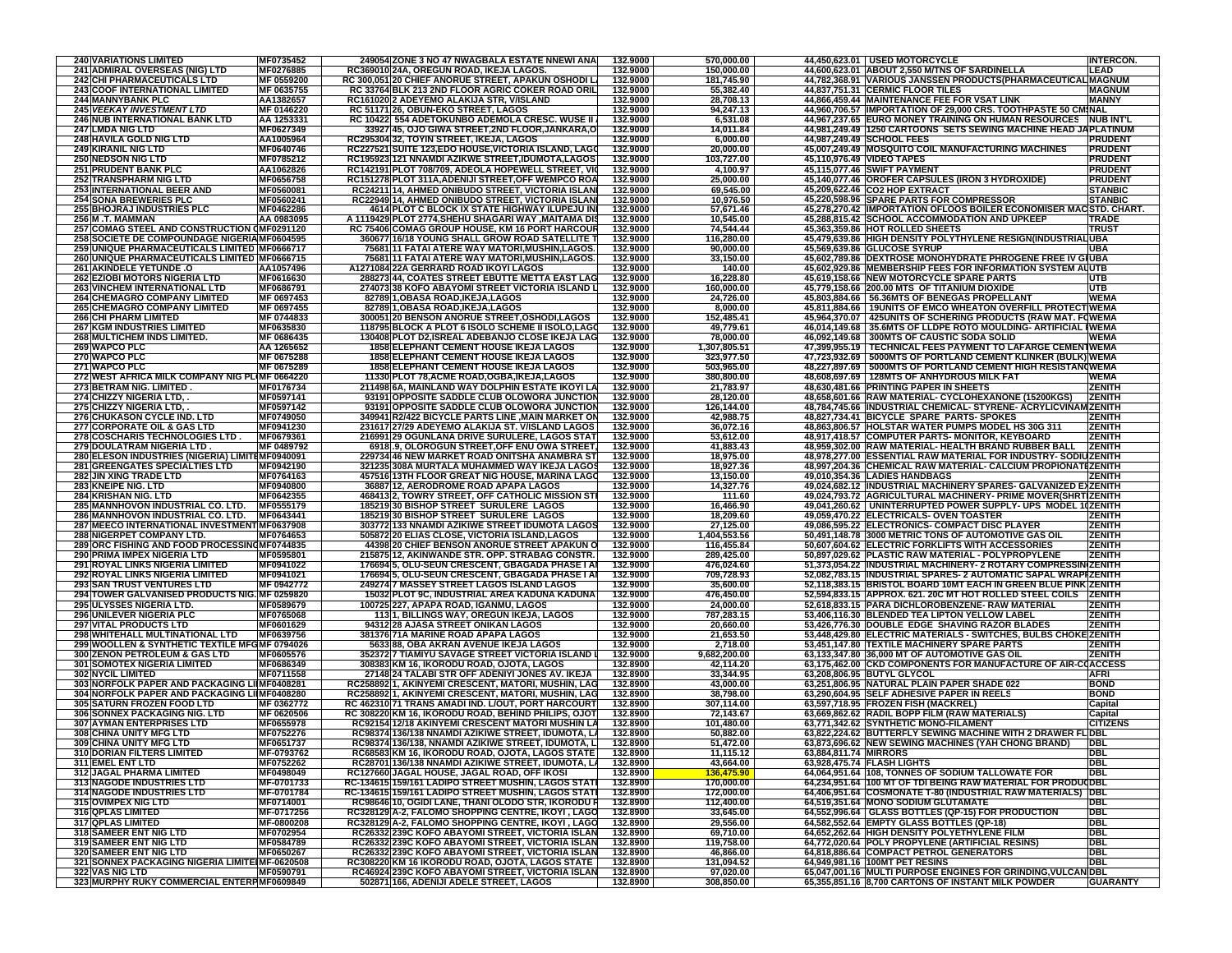| <b>240 VARIATIONS LIMITED</b>                                                                | MF0735452               | 249054 ZONE 3 NO 47 NWAGBALA ESTATE NNEWI ANA                                                           | 132.9000             | 570,000.00                |                           | 44,450,623.01 USED MOTORCYCLE                                                                                                     | <b>INTERCON.</b>               |
|----------------------------------------------------------------------------------------------|-------------------------|---------------------------------------------------------------------------------------------------------|----------------------|---------------------------|---------------------------|-----------------------------------------------------------------------------------------------------------------------------------|--------------------------------|
| 241 ADMIRAL OVERSEAS (NIG) LTD                                                               | MF0276885               | RC369010 24A, OREGUN ROAD, IKEJA LAGOS.                                                                 | 132.9000             | 150,000.00                |                           | 44,600,623.01 ABOUT 2,550 M/TNS OF SARDINELLA                                                                                     | LEAD                           |
| <b>242 CHI PHARMACEUTICALS LTD</b>                                                           | MF 0559200              | RC 300,051 20 CHIEF ANORUE STREET, APAKUN OSHODI L.                                                     | 132.9000             | 181,745.90                |                           | 44,782,368.91 VARIOUS JANSSEN PRODUCTS(PHARMACEUTICAL MAGNUM                                                                      |                                |
| <b>243 COOF INTERNATIONAL LIMITED</b>                                                        | MF 0635755              | RC 33764 BLK 213 2ND FLOOR AGRIC COKER ROAD ORIL                                                        | 132.9000             | 55,382.40                 |                           | 44,837,751.31 CERMIC FLOOR TILES                                                                                                  | <b>MAGNUM</b>                  |
| <b>244 MANNYBANK PLC</b>                                                                     | AA1382657               | RC161020 2 ADEYEMO ALAKIJA STR, V/ISLAND                                                                | 132.9000             | 28,708.13                 |                           | 44,866,459.44 MAINTENANCE FEE FOR VSAT LINK                                                                                       | <b>MANNY</b>                   |
| <b>245 VEEKAY INVESTMENT LTD</b>                                                             | MF 0146220              | RC 51171 26, OBUN-EKO STREET, LAGOS                                                                     | 132.9000             | 94,247.13                 |                           | 44,960,706.57 IMPORTATION OF 29,000 CRS. TOOTHPASTE 50 CMINAL                                                                     |                                |
| <b>246 NUB INTERNATIONAL BANK LTD</b><br><b>247 LMDA NIG LTD</b>                             | AA 1253331<br>MF0627349 | RC 10422 554 ADETOKUNBO ADEMOLA CRESC. WUSE II<br>33927 45, OJO GIWA STREET, 2ND FLOOR, JANKARA, O      | 132.9000<br>132.9000 | 6,531.08<br>14,011.84     |                           | 44,967,237.65 EURO MONEY TRAINING ON HUMAN RESOURCES NUB INT'L<br>44,981,249.49 1250 CARTOONS SETS SEWING MACHINE HEAD JAPLATINUM |                                |
| <b>248 HAVILA GOLD NIG LTD</b>                                                               | AA1005964               | RC295304 32, TOYIN STREET, IKEJA, LAGOS                                                                 | 132.9000             | 6,000.00                  |                           | 44,987,249.49 SCHOOL FEES                                                                                                         | <b>PRUDENT</b>                 |
| <b>249 KIRANIL NIG LTD</b>                                                                   | MF0640746               | RC227521 SUITE 123, EDO HOUSE, VICTORIA ISLAND, LAGO                                                    | 132.9000             | 20,000.00                 |                           | 45,007,249.49 MOSQUITO COIL MANUFACTURING MACHINES                                                                                | <b>PRUDENT</b>                 |
| <b>250 NEDSON NIG LTD</b>                                                                    | MF0785212               | RC195923 121 NNAMDI AZIKWE STREET,IDUMOTA,LAGOS                                                         | 132.9000             | 103,727.00                | 45,110,976.49 VIDEO TAPES |                                                                                                                                   | <b>PRUDENT</b>                 |
| <b>251 PRUDENT BANK PLC</b>                                                                  | AA1062826               | RC142191 PLOT 708/709, ADEOLA HOPEWELL STREET, VIO                                                      | 132.9000             | 4,100.97                  |                           | 45,115,077.46 SWIFT PAYMENT                                                                                                       | <b>PRUDENT</b>                 |
| <b>252 TRANSPHARM NIG LTD</b>                                                                | MF0656758               | RC151278 PLOT 311A, ADENIJI STREET, OFF WEMPCO ROA                                                      | 132.9000             | 25,000.00                 |                           | 45,140,077.46 OROFER CAPSULES (IRON 3 HYDROXIDE)                                                                                  | <b>PRUDENT</b>                 |
| <b>253 INTERNATIONAL BEER AND</b>                                                            | MF0560081               | RC24211 14, AHMED ONIBUDO STREET, VICTORIA ISLAN                                                        | 132.9000             | 69,545.00                 |                           | 45,209,622.46 CO2 HOP EXTRACT                                                                                                     | <b>STANBIC</b>                 |
| <b>254 SONA BREWERIES PLC</b>                                                                | MF0560241               | RC22949 14, AHMED ONIBUDO STREET, VICTORIA ISLAN                                                        | 132.9000             | 10,976.50                 |                           | 45,220,598.96 SPARE PARTS FOR COMPRESSOR                                                                                          | <b>STANBIC</b>                 |
| 255 BHOJRAJ INDUSTRIES PLC                                                                   | MF0462286               | 4614 PLOT C BLOCK IX STATE HIGHWAY ILUPEJU IN                                                           | 132.9000             | 57,671.46                 |                           | 45,278,270.42 IMPORTATION OFLOOS BOILER ECONOMISER MACSTD. CHART.                                                                 |                                |
| <b>256 M.T. MAMMAN</b>                                                                       | AA 0983095              | A 1119429 PLOT 2774, SHEHU SHAGARI WAY, MAITAMA DIS                                                     | 132.9000             | 10,545.00                 |                           | 45,288,815.42 SCHOOL ACCOMMODATION AND UPKEEP                                                                                     | <b>TRADE</b>                   |
| 257 COMAG STEEL AND CONSTRUCTION (MF0291120                                                  |                         | RC 75406 COMAG GROUP HOUSE, KM 16 PORT HARCOUR                                                          | 132.9000             | 74,544.44                 |                           | 45,363,359.86 HOT ROLLED SHEETS                                                                                                   | <b>TRUST</b>                   |
| 258 SOCIETE DE COMPOUNDAGE NIGERIA MF0604595                                                 |                         | 360677 16/18 YOUNG SHALL GROW ROAD SATELLITE T                                                          | 132.9000<br>132.9000 | 116,280.00<br>90,000.00   |                           | 45,479,639.86 HIGH DENSITY POLYTHYLENE RESIGN(INDUSTRIALUBA<br>45,569,639.86 GLUCOSE SYRUP                                        | UBA                            |
| 259 UNIQUE PHARMACEUTICALS LIMITED MF0666717<br>260 UNIQUE PHARMACEUTICALS LIMITED MF0666715 |                         | 75681 11 FATAI ATERE WAY MATORI, MUSHIN, LAGOS.<br>75681 11 FATAI ATERE WAY MATORI, MUSHIN, LAGOS.      | 132.9000             | 33,150.00                 |                           | 45,602,789.86 DEXTROSE MONOHYDRATE PHROGENE FREE IV GIUBA                                                                         |                                |
| 261 AKINDELE YETUNDE .O                                                                      | AA1057496               | A1271084 22A GERRARD ROAD IKOYI LAGOS                                                                   | 132.9000             | 140.00                    |                           | 45,602,929.86 MEMBERSHIP FEES FOR INFORMATION SYSTEM AUUTB                                                                        |                                |
| <b>262 EZIOBI MOTORS NIGERIA LTD</b>                                                         | MF0616630               | 288273 44, COATES STREET EBUTTE METTA EAST LAG                                                          | 132.9000             | 16,228.80                 |                           | 45,619,158.66 NEW MOTORCYCLE SPARE PARTS                                                                                          | UTB                            |
| <b>263 VINCHEM INTERNATIONAL LTD</b>                                                         | MF0686791               | 274073 38 KOFO ABAYOMI STREET VICTORIA ISLAND L                                                         | 132.9000             | 160,000.00                |                           | 45,779,158.66 200.00 MTS OF TITANIUM DIOXIDE                                                                                      | UTB                            |
| <b>264 CHEMAGRO COMPANY LIMITED</b>                                                          | MF 0697453              | 82789 1, OBASA ROAD, IKEJA, LAGOS                                                                       | 132.9000             | 24,726.00                 |                           | 45,803,884.66 56.36MTS OF BENEGAS PROPELLANT                                                                                      | <b>WEMA</b>                    |
| <b>265 CHEMAGRO COMPANY LIMITED</b>                                                          | MF 0697455              | 82789 1, OBASA ROAD, IKEJA, LAGOS                                                                       | 132.9000             | 8,000.00                  |                           | 45,811,884.66   19UNITS OF EMCO WHEATON OVERFILL PROTECT WEMA                                                                     |                                |
| <b>266 CHI PHARM LIMITED</b>                                                                 | MF 0744833              | 300051 20 BENSON ANORUE STREET, OSHODI, LAGOS                                                           | 132.9000             | 152,485.41                |                           | 45,964,370.07   425UNITS OF SCHERING PRODUCTS (RAW MAT. FOWEMA                                                                    |                                |
| <b>267 KGM INDUSTRIES LIMITED</b>                                                            | MF0635830               | 118795 BLOCK A PLOT 6 ISOLO SCHEME II ISOLO,LAGO                                                        | 132.9000             | 49,779.61                 |                           | 46,014,149.68 35.6MTS OF LLDPE ROTO MOULDING- ARTIFICIAL IWEMA                                                                    |                                |
| 268 MULTICHEM INDS LIMITED.                                                                  | MF 0686435              | 130408 PLOT D2,ISREAL ADEBANJO CLOSE IKEJA LAG                                                          | 132.9000             | 78,000.00                 |                           | 46,092,149.68 300MTS OF CAUSTIC SODA SOLID                                                                                        | WEMA                           |
| 269 WAPCO PLC                                                                                | AA 1265652              | <b>1858 ELEPHANT CEMENT HOUSE IKEJA LAGOS</b>                                                           | 132.9000             | 1,307,805.51              |                           | 47,399,955.19   TECHNICAL FEES PAYMENT TO LAFARGE CEMENTWEMA                                                                      |                                |
| 270 WAPCO PLC                                                                                | MF 0675288              | <b>1858 ELEPHANT CEMENT HOUSE IKEJA LAGOS</b>                                                           | 132.9000             | 323,977.50                |                           | 47,723,932.69   5000MTS OF PORTLAND CEMENT KLINKER (BULK) WEMA                                                                    |                                |
| 271 WAPCO PLC                                                                                | MF 0675289              | <b>1858 ELEPHANT CEMENT HOUSE IKEJA LAGOS</b>                                                           | 132.9000             | 503,965.00                |                           | 48,227,897.69   5000MTS OF PORTLAND CEMENT HIGH RESISTAN(WEMA                                                                     |                                |
| 272 WEST AFRICA MILK COMPANY NIG PLIMF 0664220<br>273 BETRAM NIG. LIMITED.                   | MF0176734               | 11330 PLOT 78, ACME ROAD, OGBA, IKEJA, LAGOS<br>211498 6A, MAINLAND WAY DOLPHIN ESTATE IKOYI LA         | 132.9000<br>132.9000 | 380,800.00<br>21,783.97   |                           | 48,608,697.69   128MTS OF ANHYDROUS MILK FAT<br>48,630,481.66 PRINTING PAPER IN SHEETS                                            | <b>WEMA</b><br><b>ZENITH</b>   |
| 274 CHIZZY NIGERIA LTD,                                                                      | MF0597141               | 93191 OPPOSITE SADDLE CLUB OLOWORA JUNCTION                                                             | 132.9000             | 28,120.00                 |                           | 48,658,601.66 RAW MATERIAL- CYCLOHEXANONE (15200KGS)                                                                              | <b>ZENITH</b>                  |
| 275 CHIZZY NIGERIA LTD.                                                                      | MF0597142               | 93191 OPPOSITE SADDLE CLUB OLOWORA JUNCTION                                                             | 132.9000             | 126,144.00                |                           | 48,784,745.66 INDUSTRIAL CHEMICAL- STYRENE- ACRYLICVINAM ZENITH                                                                   |                                |
| 276 CHUKASON CYCLE IND. LTD                                                                  | MF0749050               | 349941 R2/422 BICYCLE PARTS LINE , MAIN MARKET ON                                                       | 132.9000             | 42,988.75                 |                           | 48,827,734.41 BICYCLE SPARE PARTS-SPOKES                                                                                          | <b>ZENITH</b>                  |
| 277 CORPORATE OIL & GAS LTD                                                                  | MF0941230               | 231617 27/29 ADEYEMO ALAKIJA ST. V/ISLAND LAGOS                                                         | 132.9000             | 36,072.16                 |                           | 48,863,806.57 HOLSTAR WATER PUMPS MODEL HS 30G 311                                                                                | ZENITH                         |
| <b>278 COSCHARIS TECHNOLOGIES LTD.</b>                                                       | MF0679361               | 216991 29 OGUNLANA DRIVE SURULERE, LAGOS STAT                                                           | 132.9000             | 53,612.00                 |                           | 48,917,418.57 COMPUTER PARTS- MONITOR, KEYBOARD                                                                                   | <b>ZENITH</b>                  |
| <b>279 DOULATRAM NIGERIA LTD</b>                                                             | MF 0489792              | 6918.9. OLOROGUN STREET.OFF ENU OWA STREET.                                                             | 132.9000             | 41,883.43                 |                           | 48,959,302.00 RAW MATERIAL- HEALTH BRAND RUBBER BALL                                                                              | <b>ZENITH</b>                  |
| 280 ELESON INDUSTRIES (NIGERIA) LIMITEMF0940091                                              |                         | 229734 46 NEW MARKET ROAD ONITSHA ANAMBRA ST                                                            | 132.9000             | 18,975.00                 |                           | 48.978.277.00 ESSENTIAL RAW MATERIAL FOR INDUSTRY- SODIUZENITH                                                                    |                                |
| 281 GREENGATES SPECIALTIES LTD                                                               | MF0942190               | 321235 308A MURTALA MUHAMMED WAY IKEJA LAGOS                                                            | 132.9000             | 18,927.36                 |                           | 48,997,204.36 CHEMICAL RAW MATERIAL- CALCIUM PROPIONATEZENITH                                                                     |                                |
| 282 JIN XING TRADE LTD                                                                       | MF0764163               | 457516 13TH FLOOR GREAT NIG HOUSE, MARINA LAGO                                                          | 132.9000             | 13,150.00                 |                           | 49,010,354.36 LADIES HANDBAGS                                                                                                     | ZENITH                         |
| 283 KNEIPE NIG. LTD                                                                          | MF0940800               | 36887 12, AERODROME ROAD APAPA LAGOS                                                                    | 132.9000             | 14,327.76                 |                           | 49,024,682.12 INDUSTRIAL MACHINERY SPARES- GALVANIZED EXZENITH                                                                    |                                |
| 284 KRISHAN NIG. LTD                                                                         | MF0642355               | 468413 2, TOWRY STREET, OFF CATHOLIC MISSION STI                                                        | 132.9000             | 111.60                    |                           | 49,024,793.72 AGRICULTURAL MACHINERY- PRIME MOVER(SHRTIZENITH                                                                     |                                |
| 285 MANNHOVON INDUSTRIAL CO. LTD.                                                            | MF0555179               | 185219 30 BISHOP STREET SURULERE LAGOS                                                                  | 132.9000             | 16,466.90                 |                           | 49,041,260.62   UNINTERRUPTED POWER SUPPLY- UPS MODEL 10ZENITH                                                                    |                                |
| 286 MANNHOVON INDUSTRIAL CO. LTD.                                                            | MF0643441               | 185219 30 BISHOP STREET SURULERE LAGOS                                                                  | 132.9000             | 18,209.60                 |                           | 49,059,470.22 ELECTRICALS- OVEN TOASTER                                                                                           | ZENITH                         |
| 287 MEECO INTERNATIONAL INVESTMENT MF0637908<br><b>288 NIGERPET COMPANY LTD.</b>             | MF0764653               | 303772 133 NNAMDI AZIKIWE STREET IDUMOTA LAGOS<br>505872 20 ELIAS CLOSE, VICTORIA ISLAND, LAGOS         | 132.9000<br>132.9000 | 27,125.00<br>1,404,553.56 |                           | 49,086,595.22 ELECTRONICS- COMPACT DISC PLAYER                                                                                    | <b>ZENITH</b><br><b>ZENITH</b> |
| 289 ORC FISHING AND FOOD PROCESSINGMF0744835                                                 |                         | 44398 20 CHIEF BENSON ANORUE STREET APAKUN O                                                            | 132.9000             | 116,455.84                |                           | 50,491,148.78 3000 METRIC TONS OF AUTOMOTIVE GAS OIL<br>50,607,604.62 ELECTRIC FORKLIFTS WITH ACCESSORIES                         | <b>ZENITH</b>                  |
| 290 PRIMA IMPEX NIGERIA LTD                                                                  | MF0595801               | 215875 12, AKINWANDE STR. OPP. STRABAG CONSTR.                                                          | 132.9000             | 289,425.00                |                           | 50,897,029.62 PLASTIC RAW MATERIAL - POLYPROPYLENE                                                                                | ZENITH                         |
| 291 ROYAL LINKS NIGERIA LIMITED                                                              | MF0941022               | 176694 5, OLU-SEUN CRESCENT, GBAGADA PHASE I AI                                                         | 132.9000             | 476,024.60                |                           | 51,373,054.22  INDUSTRIAL MACHINERY- 2 ROTARY COMPRESSIN(ZENITH                                                                   |                                |
| <b>292 ROYAL LINKS NIGERIA LIMITED</b>                                                       | MF0941021               | 176694 5, OLU-SEUN CRESCENT, GBAGADA PHASE I AI                                                         | 132.9000             | 709,728.93                |                           | 52,082,783.15 INDUSTRIAL SPARES- 2 AUTOMATIC SAPAL WRAPFZENITH                                                                    |                                |
| 293 SAN TRUST VENTURES LTD                                                                   | MF 0942772              | 249274 7 MASSEY STREET LAGOS ISLAND LAGOS                                                               | 132.9000             | 35,600.00                 |                           | 52,118,383.15 BRISTOL BOARD 10MT EACH IN GREEN BLUE PINK ZENITH                                                                   |                                |
| 294 TOWER GALVANISED PRODUCTS NIG. MF 0259820                                                |                         | 15032 PLOT 9C, INDUSTRIAL AREA KADUNA KADUNA                                                            | 132.9000             | 476,450.00                |                           | 52,594,833.15 APPROX. 621. 20C MT HOT ROLLED STEEL COILS   ZENITH                                                                 |                                |
| 295 ULYSSES NIGERIA LTD.                                                                     | MF0589679               | 100725 227, APAPA ROAD, IGANMU, LAGOS                                                                   | 132.9000             | 24,000.00                 |                           | 52,618,833.15 PARA DICHLOROBENZENE- RAW MATERIAL                                                                                  | <b>ZENITH</b>                  |
| <b>296 UNILEVER NIGERIA PLC</b>                                                              | MF0765068               | 1131, BILLINGS WAY, OREGUN IKEJA, LAGOS                                                                 | 132.9000             | 787,283.15                |                           | 53,406,116.30 BLENDED TEA LIPTON YELLOW LABEL                                                                                     | <b>ZENITH</b>                  |
| 297 VITAL PRODUCTS LTD                                                                       | MF0601629               | 94312 28 AJASA STREET ONIKAN LAGOS                                                                      | 132.9000             | 20,660.00                 |                           | 53,426,776.30 DOUBLE EDGE SHAVING RAZOR BLADES                                                                                    | <b>ZENITH</b>                  |
| 298 WHITEHALL MULTINATIONAL LTD                                                              | MF0639756               | 381376 71A MARINE ROAD APAPA LAGOS                                                                      | 132.9000             | 21,653.50                 |                           | 53,448,429.80 ELECTRIC MATERIALS - SWITCHES, BULBS CHOKE ZENITH                                                                   |                                |
| 299 WOOLLEN & SYNTHETIC TEXTILE MFGMF 0794026                                                |                         | 5633 88, OBA AKRAN AVENUE IKEJA LAGOS                                                                   | 132.9000             | 2,718.00                  |                           | 53,451,147.80 TEXTILE MACHINERY SPARE PARTS                                                                                       | <b>ZENITH</b>                  |
| 300 ZENON PETROLEUM & GAS LTD                                                                | MF0605576               | 352372 7 TIAMIYU SAVAGE STREET VICTORIA ISLAND L                                                        | 132.9000             | 9,682,200.00              |                           | 63,133,347.80 36,000 MT OF AUTOMOTIVE GAS OIL                                                                                     | ZENITH                         |
| <b>301 SOMOTEX NIGERIA LIMITED</b>                                                           | MF0686349               | 308383 KM 16, IKORODU ROAD, OJOTA, LAGOS                                                                | 132.8900<br>132.8900 | 42,114.20                 |                           | 63,175,462.00 CKD COMPONENTS FOR MANUFACTURE OF AIR-COACCESS                                                                      |                                |
| 302 NYCIL LIMITED<br>303 NORFOLK PAPER AND PACKAGING LIIMF0408281                            | MF0711558               | 27148 24 TALABI STR OFF ADENIYI JONES AV. IKEJA<br>RC258892 1, AKINYEMI CRESCENT, MATORI, MUSHIN, LAG   | 132.8900             | 33,344.95<br>43,000.00    |                           | 63,208,806.95 BUTYL GLYCOL<br>63,251,806.95 NATURAL PLAIN PAPER SHADE 022                                                         | AFRI<br><b>BOND</b>            |
| 304 NORFOLK PAPER AND PACKAGING LIIMF0408280                                                 |                         | RC258892 1, AKINYEMI CRESCENT, MATORI, MUSHIN, LAG                                                      | 132.8900             | 38,798.00                 |                           | 63,290,604.95 SELF ADHESIVE PAPER IN REELS                                                                                        | <b>BOND</b>                    |
| 305 SATURN FROZEN FOOD LTD                                                                   | MF 0362772              | RC 462310 71 TRANS AMADI IND. L/OUT, PORT HARCOURT                                                      | 132.8900             | 307.114.00                |                           | 63,597,718.95 FROZEN FISH (MACKREL)                                                                                               | Capital                        |
| 306 SONNEX PACKAGING NIG. LTD                                                                | MF 0620506              | RC 308220 KM 16, IKORODU ROAD, BEHIND PHILIPS, OJOT                                                     | 132.8900             | 72,143.67                 |                           | 63,669,862.62 RADIL BOPP FILM (RAW MATERIALS)                                                                                     | Capital                        |
| 307 AYMAN ENTERPRISES LTD                                                                    | MF0655978               | RC92154 12/18 AKINYEMI CRESCENT MATORI MUSHIN LA                                                        | 132.8900             | 101,480.00                |                           | 63,771,342.62 SYNTHETIC MONO-FILAMENT                                                                                             | <b>CITIZENS</b>                |
| 308 CHINA UNITY MFG LTD                                                                      | MF0752276               | RC98374 136/138 NNAMDI AZIKIWE STREET, IDUMOTA, LA                                                      | 132.8900             | 50,882.00                 |                           | 63,822,224.62 BUTTERFLY SEWING MACHINE WITH 2 DRAWER FLOBL                                                                        |                                |
| <b>309 CHINA UNITY MFG LTD</b>                                                               | MF0651737               | RC98374 136/138, NNAMDI AZIKIWE STREET, IDUMOTA, L                                                      | 132.8900             | 51.472.00                 |                           | 63,873,696.62 NEW SEWING MACHINES (YAH CHONG BRAND)                                                                               | <b>DBL</b>                     |
| 310 DORIAN FILTERS LIMITED                                                                   | <b>MF-0793762</b>       | RC68583 KM 16, IKORODU ROAD, OJOTA, LAGOS STATE                                                         | 132.8900             | 11,115.12                 | 63,884,811.74 MIRRORS     |                                                                                                                                   | DBL                            |
| 311 EMEL ENT LTD                                                                             | MF0752262               | RC28701 136/138 NNAMDI AZIKIWE STREET, IDUMOTA, LA                                                      | 132.8900             | 43,664.00                 |                           | 63,928,475.74 FLASH LIGHTS                                                                                                        | DBL                            |
| <b>312 JAGAL PHARMA LIMITED</b>                                                              | MF0498049               | RC127660 JAGAL HOUSE, JAGAL ROAD, OFF IKOSI                                                             | 132.8900             | <u>136,475.90</u>         |                           | 64,064,951.64 108, TONNES OF SODIUM TALLOWATE FOR                                                                                 | DBL                            |
| <b>313 NAGODE INDUSTRIES LTD</b>                                                             | MF-0701733              | RC-134615 159/161 LADIPO STREET MUSHIN, LAGOS STATI                                                     | 132.8900             | 170,000.00                |                           | 64,234,951.64 100 MT OF TDI BEING RAW MATERIAL FOR PRODUCDBL                                                                      |                                |
| 314 NAGODE INDUSTRIES LTD                                                                    | MF-0701784              | RC-134615 159/161 LADIPO STREET MUSHIN, LAGOS STATI                                                     | 132.8900             | 172,000.00                |                           | 64,406,951.64 COSMONATE T-80 (INDUSTRIAL RAW MATERIALS) DBL                                                                       |                                |
| 315 OVIMPEX NIG LTD<br>316 QPLAS LIMITED                                                     | MF0714001<br>MF-0717256 | RC98646 10, OGIDI LANE, THANI OLODO STR, IKORODU R<br>RC328129 A-2, FALOMO SHOPPING CENTRE, IKOYI, LAGO | 132.8900<br>132.8900 | 112,400.00<br>33,645.00   |                           | 64,519,351.64 MONO SODIUM GLUTAMATE<br>64,552,996.64 GLASS BOTTLES (QP-15) FOR PRODUCTION                                         | <b>DBL</b><br><b>DBL</b>       |
| 317 QPLAS LIMITED                                                                            | MF-0800208              | RC328129 A-2, FALOMO SHOPPING CENTRE, IKOYI, LAGO                                                       | 132.8900             | 29.556.00                 |                           | 64,582,552.64 EMPTY GLASS BOTTLES (QP-18)                                                                                         | <b>DBL</b>                     |
| 318 SAMEER ENT NIG LTD                                                                       | MF0702954               | RC26332 239C KOFO ABAYOMI STREET, VICTORIA ISLAN                                                        | 132.8900             | 69,710.00                 |                           | 64,652,262.64 HIGH DENSITY POLYETHYLENE FILM                                                                                      | <b>DBL</b>                     |
| 319 SAMEER ENT NIG LTD                                                                       | MF0584789               | RC26332 239C KOFO ABAYOMI STREET, VICTORIA ISLAN                                                        | 132.8900             | 119,758.00                |                           | 64,772,020.64 POLY PROPYLENE (ARTIFICIAL RESINS)                                                                                  | <b>DBL</b>                     |
| 320 SAMEER ENT NIG LTD                                                                       | MF0650267               | RC26332 239C KOFO ABAYOMI STREET, VICTORIA ISLAN                                                        | 132.8900             | 46,866.00                 |                           | 64,818,886.64 COMPACT PETROL GENERATORS                                                                                           | <b>DBL</b>                     |
| 321 SONNEX PACKAGING NIGERIA LIMITEIMF-0620508                                               |                         | RC308220 KM 16 IKORODU ROAD, OJOTA, LAGOS STATE                                                         | 132.8900             | 131,094.52                |                           | 64.949.981.16 100MT PET RESINS                                                                                                    | <b>DBL</b>                     |
| 322 VAS NIG LTD                                                                              | MF0590791               | RC46924 239C KOFO ABAYOMI STREET, VICTORIA ISLAN                                                        | 132.8900             | 97,020.00                 |                           | 65,047,001.16 MULTI PURPOSE ENGINES FOR GRINDING, VULCAN DBL                                                                      |                                |
| 323 MURPHY RUKY COMMERCIAL ENTERPMF0609849                                                   |                         | 502871 166, ADENIJI ADELE STREET, LAGOS                                                                 | 132.8900             | 308,850.00                |                           | 65,355,851.16 8,700 CARTONS OF INSTANT MILK POWDER                                                                                | <b>GUARANTY</b>                |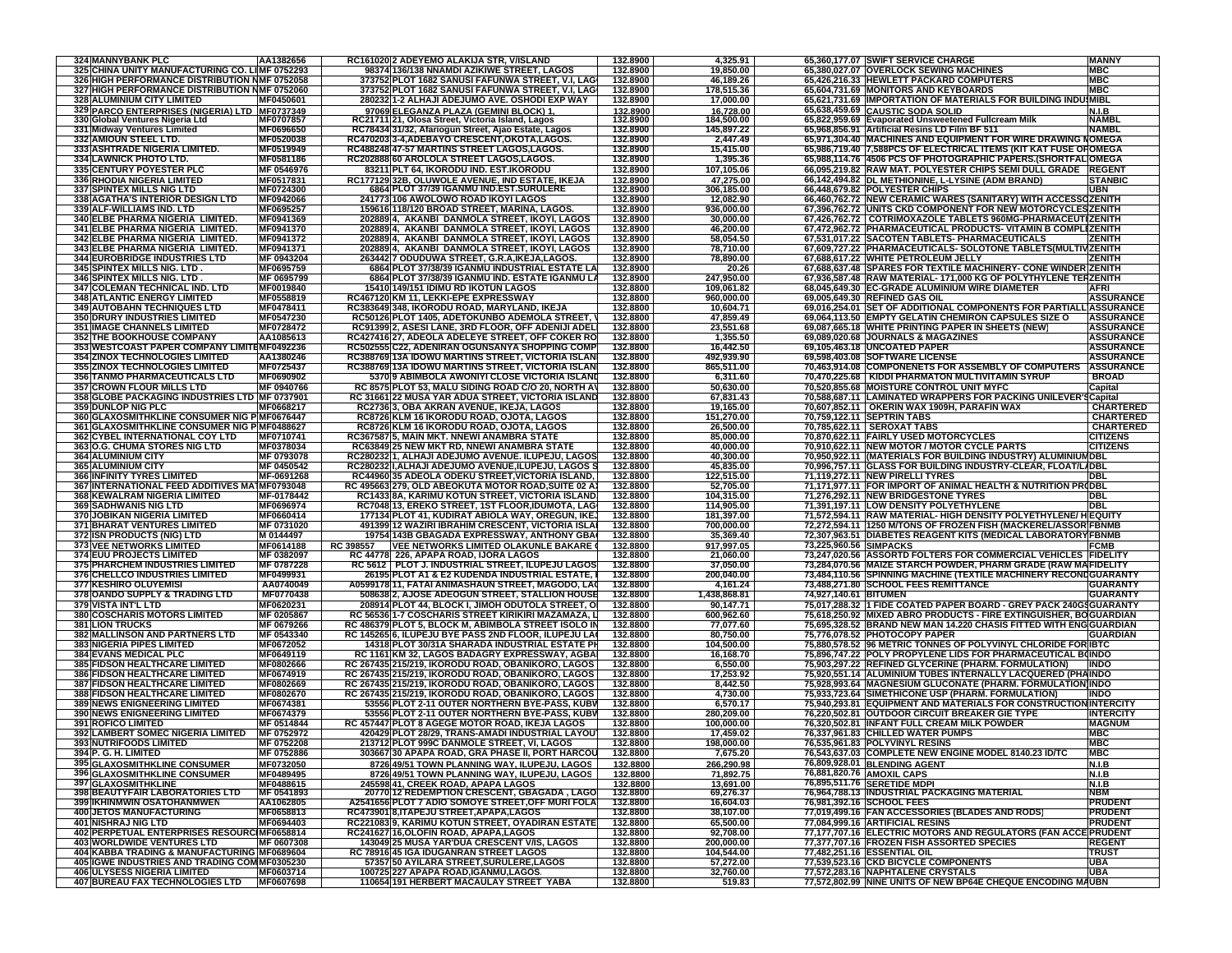| <b>324 MANNYBANK PLC</b>                                                                       | AA1382656               |           | RC161020 2 ADEYEMO ALAKIJA STR. V/ISLAND                                                              | 132.8900             | 4,325.91                 |                        | 65,360,177.07 SWIFT SERVICE CHARGE                                                                                              | <b>MANNY</b>                         |
|------------------------------------------------------------------------------------------------|-------------------------|-----------|-------------------------------------------------------------------------------------------------------|----------------------|--------------------------|------------------------|---------------------------------------------------------------------------------------------------------------------------------|--------------------------------------|
| 325 CHINA UNITY MANUFACTURING CO. LIMF 0752293                                                 |                         |           | 98374 136/138 NNAMDI AZIKIWE STREET, LAGOS                                                            | 132.8900             | 19,850.00                |                        | 65,380,027.07 OVERLOCK SEWING MACHINES                                                                                          | <b>MBC</b>                           |
| 326 HIGH PERFORMANCE DISTRIBUTION NMF 0752058<br>327 HIGH PERFORMANCE DISTRIBUTION NMF 0752060 |                         |           | 373752 PLOT 1682 SANUSI FAFUNWA STREET, V.I, LAG<br>373752 PLOT 1682 SANUSI FAFUNWA STREET, V.I, LAG  | 132.8900<br>132.8900 | 46,189.26<br>178,515.36  |                        | 65,426,216.33 HEWLETT PACKARD COMPUTERS<br>65,604,731.69 MONITORS AND KEYBOARDS                                                 | <b>MBC</b><br><b>MBC</b>             |
| <b>328 ALUMINIUM CITY LIMITED</b>                                                              | MF0450601               |           | 280232 1-2 ALHAJI ADEJUMO AVE. OSHODI EXP WAY                                                         | 132.8900             | 17,000.00                |                        | 65,621,731.69 IMPORTATION OF MATERIALS FOR BUILDING INDUIMIBL                                                                   |                                      |
| 329 PARCO ENTERPRISES (NIGERIA) LTD MF0737349                                                  |                         |           | 97069 ELEGANZA PLAZA (GEMINI BLOCK) 1                                                                 | 132.8900             | 16,728.00                |                        | 65,638,459.69 CAUSTIC SODA SOLID                                                                                                | N.I.B                                |
| 330 Global Ventures Nigeria Ltd                                                                | MF0707857               |           | RC21711 21, Olosa Street, Victoria Island, Lagos                                                      | 132.8900             | 184,500.00               |                        | 65,822,959.69 Evaporated Unsweetened Fullcream Milk                                                                             | <b>NAMBL</b>                         |
| 331 Midway Ventures Limited<br>332 AMIOUN STEEL LTD.                                           | MF0696650<br>MF0520038  |           | RC78434 31/32, Afariogun Street, Ajao Estate, Lagos<br>RC470203 3-4, ADEBAYO CRESCENT, OKOTA, LAGOS.  | 132.8900<br>132.8900 | 145,897.22<br>2,447.49   |                        | 65,968,856.91 Artificial Resins LD Film BF 511<br>65,971,304.40   MACHINES AND EQUIPMENT FOR WIRE DRAWING NOMEGA                | <b>NAMBL</b>                         |
| 333 ASHTRADE NIGERIA LIMITED.                                                                  | MF0519949               |           | RC488248 47-57 MARTINS STREET LAGOS, LAGOS.                                                           | 132.8900             | 15,415.00                |                        | 65,986,719.40 7,588PCS OF ELECTRICAL ITEMS (KIT KAT FUSE OF OMEGA                                                               |                                      |
| 334 LAWNICK PHOTO LTD.                                                                         | MF0581186               |           | RC202888 60 AROLOLA STREET LAGOS,LAGOS.                                                               | 132.8900             | 1,395.36                 |                        | 65,988,114.76 4506 PCS OF PHOTOGRAPHIC PAPERS.(SHORTFAL OMEGA                                                                   |                                      |
| 335 CENTURY POYESTER PLC                                                                       | MF 0546976              |           | 83211 PLT 64, IKORODU IND. EST.IKORODU                                                                | 132.8900             | 107,105.06               |                        | 66,095,219.82 RAW MAT. POLYESTER CHIPS SEMI DULL GRADE REGENT                                                                   |                                      |
| <b>336 RHODIA NIGERIA LIMITED</b>                                                              | MF0517831<br>MF0724300  |           | RC177129 32B, OLUWOLE AVENUE, IND ESTATE, IKEJA<br>6864 PLOT 37/39 IGANMU IND EST.SURULERE            | 132.8900             | 47,275.00                |                        | 66,142,494.82 DL METHIONINE, L-LYSINE (ADM BRAND)                                                                               | <b>STANBIC</b><br>UBN                |
| 337 SPINTEX MILLS NIG LTD<br>338 AGATHA'S INTERIOR DESIGN LTD                                  | MF0942066               |           | 241773 106 AWOLOWO ROAD IKOYI LAGOS                                                                   | 132.8900<br>132.8900 | 306,185.00<br>12,082.90  |                        | 66,448,679.82 POLYESTER CHIPS<br>66,460,762.72 NEW CERAMIC WARES (SANITARY) WITH ACCESSCZENITH                                  |                                      |
| 339 ALF-WILLIAMS IND. LTD                                                                      | MF0695257               |           | 159616 118/120 BROAD STREET, MARINA, LAGOS.                                                           | 132.8900             | 936,000.00               |                        | 67,396,762.72 UNITS CKD COMPONENT FOR NEW MOTORCYCLESZENITH                                                                     |                                      |
| 340 ELBE PHARMA NIGERIA LIMITED.                                                               | MF0941369               |           | 202889 4, AKANBI DANMOLA STREET, IKOYI, LAGOS                                                         | 132.8900             | 30,000.00                |                        | 67,426,762.72 COTRIMOXAZOLE TABLETS 960MG-PHARMACEUTIZENITH                                                                     |                                      |
| 341 ELBE PHARMA NIGERIA LIMITED.                                                               | MF0941370               |           | 202889 4, AKANBI DANMOLA STREET, IKOYI, LAGOS                                                         | 132.8900<br>132.8900 | 46,200.00<br>58,054.50   |                        | 67,472,962.72 PHARMACEUTICAL PRODUCTS- VITAMIN B COMPLIZENITH                                                                   |                                      |
| 342 ELBE PHARMA NIGERIA LIMITED.<br>343 ELBE PHARMA NIGERIA LIMITED.                           | MF0941372<br>MF0941371  |           | 202889 4, AKANBI DANMOLA STREET, IKOYI, LAGOS<br>202889 4, AKANBI DANMOLA STREET, IKOYI, LAGOS        | 132.8900             | 78,710.00                |                        | 67,531,017.22 SACOTEN TABLETS- PHARMACEUTICALS<br>67,609,727.22 PHARMACEUTICALS- SOLOTONE TABLETS(MULTIV ZENITH                 | <b>ZENITH</b>                        |
| <b>344 EUROBRIDGE INDUSTRIES LTD</b>                                                           | MF 0943204              |           | 263442 7 ODUDUWA STREET, G.R.A, IKEJA, LAGOS.                                                         | 132.8900             | 78,890.00                |                        | 67,688,617.22 WHITE PETROLEUM JELLY                                                                                             | <b>ZENITH</b>                        |
| 345 SPINTEX MILLS NIG. LTD                                                                     | MF0695759               |           | 6864 PLOT 37/38/39 IGANMU INDUSTRIAL ESTATE LA                                                        | 132.8900             | 20.26                    |                        | 67,688,637.48 SPARES FOR TEXTILE MACHINERY- CONE WINDER ZENITH                                                                  |                                      |
| <b>346 SPINTEX MILLS NIG. LTD</b>                                                              | MF 0695799              |           | 6864 PLOT 37/38/39 IGANMU IND. ESTATE IGANMU LA                                                       | 132.8900             | 247,950.00               |                        | 67.936.587.48 RAW MATERIAL-171.000 KG OF POLYTHYLENE TERZENITH                                                                  |                                      |
| 347 COLEMAN TECHNICAL IND. LTD<br><b>348 ATLANTIC ENERGY LIMITED</b>                           | MF0019840<br>MF0558819  |           | 15410 149/151 IDIMU RD IKOTUN LAGOS<br>RC467120 KM 11, LEKKI-EPE EXPRESSWAY                           | 132.8800<br>132.8800 | 109,061.82<br>960,000.00 |                        | 68,045,649.30 EC-GRADE ALUMINIUM WIRE DIAMETER<br>69,005,649.30 REFINED GAS OIL                                                 | <b>AFRI</b><br><b>ASSURANCE</b>      |
| 349 AUTOBAHN TECHNIQUES LTD                                                                    | MF0478411               |           | RC383649 348, IKORODU ROAD, MARYLAND, IKEJA                                                           | 132.8800             | 10,604.71                |                        | 69,016,254.01 SET OF ADDITIONAL COMPONENTS FOR PARTIALL ASSURANCE                                                               |                                      |
| <b>350 DRURY INDUSTRIES LIMITED</b>                                                            | MF0547230               |           | RC50126 PLOT 1405, ADETOKUNBO ADEMOLA STREET,                                                         | 132.8800             | 47,859.49                |                        | 69,064,113.50 EMPTY GELATIN CHEMIRON CAPSULES SIZE O                                                                            | <b>ASSURANCE</b>                     |
| <b>351 IMAGE CHANNELS LIMITED</b>                                                              | MF0728472               |           | RC91399 2, ASESI LANE, 3RD FLOOR, OFF ADENIJI ADEL                                                    | 132.8800             | 23,551.68                |                        | 69,087,665.18 WHITE PRINTING PAPER IN SHEETS (NEW)                                                                              | <b>ASSURANCE</b>                     |
| 352 THE BOOKHOUSE COMPANY                                                                      | AA1085613               |           | RC427416 27, ADEOLA ADELEYE STREET, OFF COKER RO                                                      | 132.8800             | 1,355.50                 |                        | 69,089,020.68 JOURNALS & MAGAZINES                                                                                              | <b>ASSURANCE</b>                     |
| 353 WESTCOAST PAPER COMPANY LIMITEMF0492236                                                    | AA1380246               |           | RC502555 C22, ADENIRAN OGUNSANYA SHOPPING COMP<br>RC388769 13A IDOWU MARTINS STREET, VICTORIA ISLANI  | 132.8800<br>132.8800 | 16,442.50                |                        | 69,105,463.18 UNCOATED PAPER                                                                                                    | <b>ASSURANCE</b>                     |
| <b>354 ZINOX TECHNOLOGIES LIMITED</b><br>355 ZINOX TECHNOLOGIES LIMITED                        | MF0725437               |           | RC388769 13A IDOWU MARTINS STREET, VICTORIA ISLAN                                                     | 132.8800             | 492,939.90<br>865,511.00 |                        | 69,598,403.08 SOFTWARE LICENSE<br>70,463,914.08 COMPONENETS FOR ASSEMBLY OF COMPUTERS                                           | <b>ASSURANCE</b><br><b>ASSURANCE</b> |
| <b>356 TANMO PHARMACEUTICALS LTD</b>                                                           | MF0690902               |           | 5370 9 ABIMBOLA AWONIYI CLOSE VICTORIA ISLAND                                                         | 132.8800             | 6,311.60                 |                        | 70,470,225.68 KIDDI PHARMATON MULTIVITAMIN SYRUP                                                                                | <b>BROAD</b>                         |
| 357 CROWN FLOUR MILLS LTD                                                                      | MF 0940766              |           | RC 8575 PLOT 53, MALU SIDING ROAD C/O 20, NORTH AV                                                    | 132.8800             | 50,630.00                |                        | 70,520,855.68 MOISTURE CONTROL UNIT MYFC                                                                                        | Capital                              |
| 358 GLOBE PACKAGING INDUSTRIES LTD MF 0737901                                                  |                         |           | RC 31661 22 MUSA YAR ADUA STREET, VICTORIA ISLAND                                                     | 132.8800             | 67,831.43                |                        | 70,588,687.11 LAMINATED WRAPPERS FOR PACKING UNILEVER                                                                           | 'SCapital                            |
| 359 DUNLOP NIG PLC                                                                             | MF0668217               |           | RC2736 3, OBA AKRAN AVENUE, IKEJA, LAGOS                                                              | 132.8800             | 19,165.00                |                        | 70,607,852.11   OKERIN WAX 1909H, PARAFIN WAX                                                                                   | <b>CHARTERED</b>                     |
| 360 GLAXOSMITHKLINE CONSUMER NIG P MF0676447<br>361 GLAXOSMITHKLINE CONSUMER NIG P MF0488627   |                         |           | RC8726 KLM 16 IKORODU ROAD, OJOTA, LAGOS<br>RC8726 KLM 16 IKORODU ROAD, OJOTA, LAGOS                  | 132.8800<br>132.8800 | 151,270.00<br>26,500.00  |                        | 70,759,122.11 SEPTRIN TABS<br>70,785,622.11 SEROXAT TABS                                                                        | <b>CHARTERED</b><br>CHARTERED        |
| <b>362 CYBEL INTERNATIONAL COY LTD</b>                                                         | MF0710741               |           | RC367587 5. MAIN MKT, NNEWI ANAMBRA STATE                                                             | 132.8800             | 85,000.00                |                        | 70,870,622.11 FAIRLY USED MOTORCYCLES                                                                                           | <b>CITIZENS</b>                      |
| 363 O.G. CHUMA STORES NIG LTD                                                                  | MF0378034               |           | RC63849 25 NEW MKT RD, NNEWI ANAMBRA STATE                                                            | 132.8800             | 40,000.00                |                        | 70,910,622.11 NEW MOTOR / MOTOR CYCLE PARTS                                                                                     | <b>CITIZENS</b>                      |
| 364 ALUMINIUM CITY                                                                             | MF 0793078              |           | RC280232 1, ALHAJI ADEJUMO AVENUE. ILUPEJU, LAGOS                                                     | 132.8800             | 40,300.00                |                        | 70,950,922.11 (MATERIALS FOR BUILDING INDUSTRY) ALUMINIUMDBL                                                                    |                                      |
| 365 ALUMINIUM CITY                                                                             | MF 0450542              |           | RC280232 I,ALHAJI ADEJUMO AVENUE,ILUPEJU, LAGOS S<br>RC44960 35 ADEOLA ODEKU STREET, VICTORIA ISLAND, | 132.8800             | 45,835.00                |                        | 70,996,757.11 GLASS FOR BUILDING INDUSTRY-CLEAR, FLOAT/LADBL                                                                    |                                      |
| 366 INFINITY TYRES LIMITED<br>367 INTERNATIONAL FEED ADDITIVES MA1MF0793048                    | MF-0691268              |           | RC 495663 279, OLD ABEOKUTA MOTOR ROAD, SUITE 02 A)                                                   | 132.8800<br>132.8800 | 122,515.00<br>52.705.00  |                        | 71,119,272.11 NEW PIRELLI TYRES<br>71,171,977.11 FOR IMPORT OF ANIMAL HEALTH & NUTRITION PRODBL                                 | DBL                                  |
| 368 KEWALRAM NIGERIA LIMITED                                                                   | MF-0178442              |           | RC1433 8A, KARIMU KOTUN STREET, VICTORIA ISLAND                                                       | 132.8800             | 104,315.00               |                        | 71,276,292.11 NEW BRIDGESTONE TYRES                                                                                             | <b>DBL</b>                           |
| 369 SADHWANIS NIG LTD                                                                          | MF0696974               |           | RC7048 13, EREKO STREET, 1ST FLOOR, IDUMOTA, LAG                                                      | 132.8800             | 114,905.00               |                        | 71,391,197.11 LOW DENSITY POLYETHYLENE                                                                                          | DBL                                  |
| 370 JOBIKAN NIGERIA LIMITED                                                                    | MF0660414               |           | 177134 PLOT 41, KUDIRAT ABIOLA WAY, OREGUN, IKE.                                                      | 132.8800             | 181,397.00               |                        | 71,572,594.11 RAW MATERIAL- HIGH DENSITY POLYETHYLENE/ H EQUITY                                                                 |                                      |
| <b>371 BHARAT VENTURES LIMITED</b>                                                             | MF 0731020<br>M 0144497 |           | 491399 12 WAZIRI IBRAHIM CRESCENT, VICTORIA ISLAI<br>19754 143B GBAGADA EXPRESSWAY, ANTHONY GBA       | 132.8800<br>132.8800 | 700,000.00<br>35,369.40  |                        | 72,272,594.11 1250 M/TONS OF FROZEN FISH (MACKEREL/ASSOR FBNMB<br>72,307,963.51 DIABETES REAGENT KITS (MEDICAL LABORATORY FBNMB |                                      |
| 372 ISN PRODUCTS (NIG) LTD<br>373 VEE NETWORKS LIMITED                                         | MF0614188               | RC 398557 | VEE NETWORKS LIMITED OLAKUNLE BAKARE                                                                  | 132.8800             | 917,997.05               | 73,225,960.56 SIMPACKS |                                                                                                                                 | <b>FCMB</b>                          |
| 374 EUU PROJECTS LIMITED                                                                       | MF 0382097              |           | RC 44778 226, APAPA ROAD, IJORA LAGOS                                                                 | 132.8800             | 21,060.00                |                        | 73,247,020.56 ASSORTD FOLTERS FOR COMMERCIAL VEHICLES FIDELITY                                                                  |                                      |
| <b>375 PHARCHEM INDUSTRIES LIMITED</b>                                                         | MF 0787228              |           | RC 5612   PLOT J. INDUSTRIAL STREET, ILUPEJU LAGOS                                                    | 132.8800             | 37,050.00                |                        | 73,284,070.56 MAIZE STARCH POWDER, PHARM GRADE (RAW MAFIDELITY                                                                  |                                      |
| 376 CHELLCO INDUSTRIES LIMITED                                                                 | MF0499931               |           | 26195 PLOT A1 & E2 KUDENDA INDUSTRIAL ESTATE,                                                         | 132.8800             | 200,040.00               |                        | 73,484,110.56 SPINNING MACHINE (TEXTILE MACHINERY RECONDGUARANTY                                                                |                                      |
| 377 KESHIRO OLUYEMISI<br>378 OANDO SUPPLY & TRADING LTD                                        | AA0740049<br>MF0770438  |           | A0599178 11, FATAI ANIMASHAUN STREET, MAGODO, LAC<br>508638 2, AJOSE ADEOGUN STREET, STALLION HOUSE   | 132.8800<br>132.8800 | 4,161.24<br>1,438,868.81 | 74,927,140.61 BITUMEN  | 73,488,271.80 SCHOOL FEES REMITTANCE                                                                                            | <b>GUARANTY</b><br><b>GUARANTY</b>   |
| 379 VISTA INT'L LTD                                                                            | MF0620231               |           | 208914 PLOT 44, BLOCK I, JIMOH ODUTOLA STREET, O                                                      | 132.8800             | 90,147.71                |                        | 75,017,288.32  1 FIDE COATED PAPER BOARD - GREY PACK 240GSGUARANTY                                                              |                                      |
| <b>380 COSCHARIS MOTORS LIMITED</b>                                                            | MF 0205867              |           | RC 56536 1-7 COSCHARIS STREET KIRIKIRI MAZAMAZA, L                                                    | 132.8800             | 600,962.60               |                        | 75,618,250.92 MIXED ABRO PRODUCTS - FIRE EXTINGUISHER, BOGUARDIAN                                                               |                                      |
| <b>381 LION TRUCKS</b>                                                                         | MF 0679266              |           | RC 486379 PLOT 5, BLOCK M, ABIMBOLA STREET ISOLO IN                                                   | 132.8800             | 77,077.60                |                        | 75,695,328.52 BRAND NEW MAN 14.220 CHASIS FITTED WITH ENGIGUARDIAN                                                              |                                      |
| 382 MALLINSON AND PARTNERS LTD                                                                 | MF 0543340              |           | RC 145265 6, ILUPEJU BYE PASS 2ND FLOOR, ILUPEJU LA                                                   | 132.8800             | 80,750.00                |                        | 75,776,078.52 PHOTOCOPY PAPER                                                                                                   | GUARDIAN                             |
| <b>383 NIGERIA PIPES LIMITED</b><br><b>384 EVANS MEDICAL PLC</b>                               | MF0672052<br>MF0649119  |           | 14318 PLOT 30/31A SHARADA INDUSTRIAL ESTATE PH<br>RC 1161 KM 32, LAGOS BADAGRY EXPRESSWAY, AGBA       | 132.8800<br>132.8800 | 104,500.00<br>16,168.70  |                        | 75,880,578.52 96 METRIC TONNES OF POLYVINYL CHLORIDE FOR IBTC<br>75,896,747.22 POLY PROPYLENE LIDS FOR PHARMACEUTICAL BOINDO    |                                      |
| 385 FIDSON HEALTHCARE LIMITED                                                                  | MF0802666               |           | RC 267435 215/219, IKORODU ROAD, OBANIKORO, LAGOS                                                     | 132.8800             | 6,550.00                 |                        | 75,903,297.22 REFINED GLYCERINE (PHARM. FORMULATION)                                                                            | <b>INDO</b>                          |
| <b>386 FIDSON HEALTHCARE LIMITED</b>                                                           | MF0674919               |           | RC 267435 215/219, IKORODU ROAD, OBANIKORO, LAGOS                                                     | 132.8800             | 17,253.92                |                        | 75,920,551.14 ALUMINIUM TUBES INTERNALLY LACQUERED (PHAINDO                                                                     |                                      |
| <b>387 FIDSON HEALTHCARE LIMITED</b>                                                           | MF0802669               |           | RC 267435 215/219, IKORODU ROAD, OBANIKORO, LAGOS                                                     | 132.8800             | 8,442.50                 |                        | 75.928.993.64 MAGNESIUM GLUCONATE (PHARM, FORMULATION)INDO                                                                      |                                      |
| 388 FIDSON HEALTHCARE LIMITED                                                                  | MF0802670               |           | RC 267435 215/219, IKORODU ROAD, OBANIKORO, LAGOS                                                     | 132.8800             | 4,730.00                 |                        | 75,933,723.64 SIMETHICONE USP (PHARM. FORMULATION)                                                                              | INDO                                 |
| 389 NEWS ENIGNEERING LIMITED<br>390 NEWS ENIGNEERING LIMITED                                   | MF0674381<br>MF0674379  |           | 53556 PLOT 2-11 OUTER NORTHERN BYE-PASS, KUBV<br>53556 PLOT 2-11 OUTER NORTHERN BYE-PASS, KUBV        | 132.8800<br>132.8800 | 6,570.17<br>280,209.00   |                        | 75,940,293.81 EQUIPMENT AND MATERIALS FOR CONSTRUCTION INTERCITY<br>76,220,502.81 OUTDOOR CIRCUIT BREAKER GIE TYPE              | <b>INTERCITY</b>                     |
| <b>391 ROFICO LIMITED</b>                                                                      | MF 0514844              |           | RC 457447 PLOT 8 AGEGE MOTOR ROAD, IKEJA LAGOS                                                        | 132.8800             | 100,000.00               |                        | 76,320,502.81 INFANT FULL CREAM MILK POWDER                                                                                     | <b>MAGNUM</b>                        |
| 392 LAMBERT SOMEC NIGERIA LIMITED                                                              | MF 0752972              |           | 420429 PLOT 28/29, TRANS-AMADI INDUSTRIAL LAYOU'                                                      | 132.8800             | 17,459.02                |                        | 76,337,961.83 CHILLED WATER PUMPS                                                                                               | <b>MBC</b>                           |
| <b>393 NUTRIFOODS LIMITED</b>                                                                  | MF 0752208              |           | 213712 PLOT 999C DANMOLE STREET, VI, LAGOS                                                            | 132.8800             | 198,000.00               |                        | 76,535,961.83 POLYVINYL RESINS                                                                                                  | <b>MBC</b>                           |
| 394 P. G. H. LIMITED                                                                           | <b>MF 0752886</b>       |           | 303667 30 APAPA ROAD, GRA PHASE II, PORT HARCOU                                                       | 132.8800             | 7,675.20                 |                        | 76,543,637.03 COMPLETE NEW ENGINE MODEL 8140.23 ID/TC                                                                           | MBC                                  |
| 395 GLAXOSMITHKLINE CONSUMER<br>396 GLAXOSMITHKLINE CONSUMER                                   | MF0732050<br>MF0489495  |           | 8726 49/51 TOWN PLANNING WAY, ILUPEJU, LAGOS<br>8726 49/51 TOWN PLANNING WAY, ILUPEJU, LAGOS          | 132.8800<br>132.8800 | 266,290.98<br>71,892.75  |                        | 76,809,928.01 BLENDING AGENT<br>76,881,820.76 AMOXIL CAPS                                                                       | N.I.B<br>N.I.B                       |
|                                                                                                |                         |           |                                                                                                       |                      |                          |                        |                                                                                                                                 |                                      |
| 397 GLAXOSMITHKLINE<br>398 BEAUTYFAIR LABORATORIES LTD                                         | MF0488615<br>MF 0541893 |           | 245598 41, CREEK ROAD, APAPA LAGOS<br>20770 12 REDEMPTION CRESCENT, GBAGADA , LAGO                    | 132.8800<br>132.8800 | 13,691.00<br>69,276.37   |                        | 76,895,511.76 SERETIDE MDPI<br>76,964,788.13 INDUSTRIAL PACKAGING MATERIAL                                                      | $N.I.B$<br>NBM                       |
| 399 IKHINMWIN OSATOHANMWEN                                                                     | AA1062805               |           | A2541656 PLOT 7 ADIO SOMOYE STREET, OFF MURI FOLA                                                     | 132.8800             | 16,604.03                |                        | 76,981,392.16 SCHOOL FEES                                                                                                       | <b>PRUDENT</b>                       |
| <b>400 JETOS MANUFACTURING</b><br>401 NISHRAJ NIG LTD                                          | MF0658813<br>MF0694403  |           | RC473901 8, ITAPEJU STREET, APAPA, LAGOS<br>RC221083 9, KARIMU KOTUN STREET, OYADIRAN ESTATE          | 132.8800<br>132.8800 | 38,107.00<br>65,500.00   |                        | 77,019,499.16 FAN ACCESSORIES (BLADES AND RODS)                                                                                 | <b>PRUDENT</b><br><b>PRUDENT</b>     |
| 402 PERPETUAL ENTERPRISES RESOURCIMF0658814                                                    |                         |           | RC241627 16, OLOFIN ROAD, APAPA, LAGOS                                                                | 132.8800             | 92,708.00                |                        | 77,084,999.16 ARTIFICIAL RESINS<br>77,177,707.16 ELECTRIC MOTORS AND REGULATORS (FAN ACCE PRUDENT                               |                                      |
| <b>403 WORLDWIDE VENTURES LTD</b>                                                              | MF 0607308              |           | 143049 25 MUSA YAR'DUA CRESCENT V/IS, LAGOS                                                           | 132.8800             | 200,000.00               |                        | 77,377,707.16 FROZEN FISH ASSORTED SPECIES                                                                                      | <b>REGENT</b>                        |
| 404 KABBA TRADING & MANUFACTURING MF0689604                                                    |                         |           | <b>RC 78916 45 IGA IDUGANRAN STREET LAGOS</b>                                                         | 132.8800             | 104,544.00               |                        | 77,482,251.16 ESSENTIAL OIL                                                                                                     | <b>TRUST</b>                         |
| 405 IGWE INDUSTRIES AND TRADING COMMF0305230                                                   |                         |           | 57357 50 AYILARA STREET, SURULERE, LAGOS                                                              | 132.8800             | 57,272.00                |                        | 77,539,523.16 CKD BICYCLE COMPONENTS                                                                                            | <b>UBA</b>                           |
| <b>406 ULYSESS NIGERIA LIMITED</b><br><b>407 BUREAU FAX TECHNOLOGIES LTD</b>                   | MF0603714<br>MF0607698  |           | 100725 227 APAPA ROAD, IGANMU, LAGOS.<br>110654 191 HERBERT MACAULAY STREET YABA                      | 132.8800<br>132.8800 | 32,760.00<br>519.83      |                        | 77,572,283.16 NAPHTALENE CRYSTALS<br>77,572,802.99 NINE UNITS OF NEW BP64E CHEQUE ENCODING MAUBN                                | <b>UBA</b>                           |
|                                                                                                |                         |           |                                                                                                       |                      |                          |                        |                                                                                                                                 |                                      |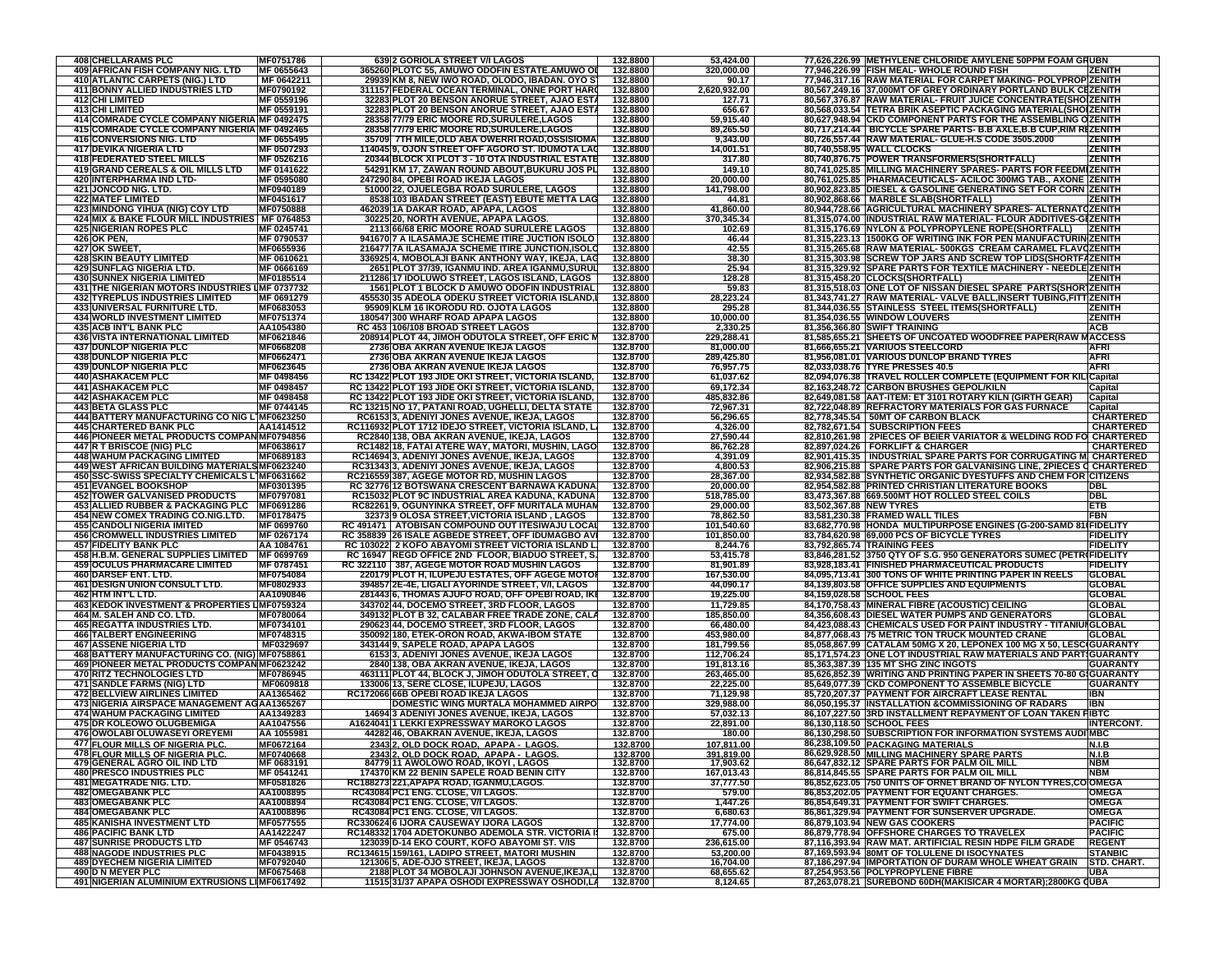| <b>408 CHELLARAMS PLC</b>                                          | MF0751786                | 639 2 GORIOLA STREET V/I LAGOS                                                                  | 132.8800             | 53,424.00               |                         | 77,626,226.99 METHYLENE CHLORIDE AMYLENE 50PPM FOAM GRUBN                                                      |                   |
|--------------------------------------------------------------------|--------------------------|-------------------------------------------------------------------------------------------------|----------------------|-------------------------|-------------------------|----------------------------------------------------------------------------------------------------------------|-------------------|
| 409 AFRICAN FISH COMPANY NIG. LTD                                  | MF 0655643               | 365260 PLOTC 55, AMUWO ODOFIN ESTATE.AMUWO OI                                                   | 132.8800             | 320,000.00              |                         | 77,946,226.99 FISH MEAL-WHOLE ROUND FISH<br><b>ZENITH</b>                                                      |                   |
| 410 ATLANTIC CARPETS (NIG.) LTD                                    | MF 0642211               | 29939 KM 8, NEW IWO ROAD, OLODO, IBADAN. OYO S'                                                 | 132.8800             | 90.17                   |                         | 77,946,317.16 RAW MATERIAL FOR CARPET MAKING- POLYPROP ZENITH                                                  |                   |
|                                                                    |                          |                                                                                                 |                      |                         |                         |                                                                                                                |                   |
| 411 BONNY ALLIED INDUSTRIES LTD                                    | MF0790192                | 311157 FEDERAL OCEAN TERMINAL, ONNE PORT HARO                                                   | 132.8800             | 2,620,932.00            |                         | 80,567,249.16 37,000MT OF GREY ORDINARY PORTLAND BULK CEZENITH                                                 |                   |
| 412 CHI LIMITED                                                    | MF 0559196               | 32283 PLOT 20 BENSON ANORUE STREET, AJAO ESTA                                                   | 132.8800             | 127.71                  |                         | 80,567,376.87 RAW MATERIAL- FRUIT JUICE CONCENTRATE(SHOIZENITH                                                 |                   |
| <b>413 CHI LIMITED</b>                                             | MF 0559191               | 32283 PLOT 20 BENSON ANORUE STREET, AJAO ESTA                                                   | 132.8800             | 656.67                  |                         | 80,568,033.54 TETRA BRIK ASEPTIC PACKAGING MATERIAL(SHOIZENITH                                                 |                   |
| 414 COMRADE CYCLE COMPANY NIGERIA MF 0492475                       |                          | 28358 77/79 ERIC MOORE RD, SURULERE, LAGOS                                                      | 132.8800             | 59,915.40               |                         | 80,627,948.94 CKD COMPONENT PARTS FOR THE ASSEMBLING OZENITH                                                   |                   |
| 415 COMRADE CYCLE COMPANY NIGERIA MF 0492465                       |                          | 28358 77/79 ERIC MOORE RD, SURULERE, LAGOS                                                      | 132.8800             | 89,265.50               |                         | 80,717,214.44   BICYCLE SPARE PARTS- B.B AXLE, B.B CUP, RIM REZENITH                                           |                   |
| 416 CONVERSIONS NIG. LTD                                           | MF 0655495               | 35709 7TH MILE, OLD ABA OWERRI ROAD, OSSISIOMA                                                  | 132.8800             | 9,343.00                |                         | 80,726,557.44 RAW MATERIAL- GLUE-H.S CODE 3505.2000<br><b>ZENITH</b>                                           |                   |
| <b>417 DEVIKA NIGERIA LTD</b>                                      | MF 0507293               | 114045 9, OJON STREET OFF AGORO ST. IDUMOTA LAC                                                 | 132.8800             | 14,001.51               |                         | ZENITH<br>80,740,558.95 WALL CLOCKS                                                                            |                   |
| <b>418 FEDERATED STEEL MILLS</b>                                   | MF 0526216               | 20344 BLOCK XI PLOT 3 - 10 OTA INDUSTRIAL ESTATE                                                | 132.8800             | 317.80                  |                         | 80,740,876.75 POWER TRANSFORMERS(SHORTFALL)<br><b>ZENITH</b>                                                   |                   |
| 419 GRAND CEREALS & OIL MILLS LTD                                  | MF 0141622               | 54291 KM 17, ZAWAN ROUND ABOUT, BUKURU JOS PL                                                   | 132.8800             | 149.10                  |                         | 80,741,025.85 MILLING MACHINERY SPARES- PARTS FOR FEEDMIZENITH                                                 |                   |
| 420 INTERPHARMA IND LTD-                                           | MF 0595080               | 247290 84, OPEBI ROAD IKEJA LAGOS                                                               | 132.8800             | 20,000.00               |                         | 80,761,025.85 PHARMACEUTICALS- ACILOC 300MG TAB., AXONE ZENITH                                                 |                   |
| 421 JONCOD NIG. LTD.                                               | MF0940189                | 51000 22, OJUELEGBA ROAD SURULERE, LAGOS                                                        | 132.8800             | 141,798.00              |                         | 80,902,823.85 DIESEL & GASOLINE GENERATING SET FOR CORN ZENITH                                                 |                   |
|                                                                    |                          |                                                                                                 |                      |                         |                         |                                                                                                                |                   |
| <b>422 MATEF LIMITED</b>                                           | MF0451617                | 8538 103 IBADAN STREET (EAST) EBUTE METTA LAG                                                   | 132.8800             | 44.81                   |                         | 80,902,868.66   MARBLE SLAB(SHORTFALL)<br><b>ZENITH</b>                                                        |                   |
| 423 MINDONG YIHUA (NIG) COY LTD                                    | MF0750888                | 462039 1A DAKAR ROAD, APAPA, LAGOS                                                              | 132.8800             | 41,860.00               |                         | 80,944,728.66 AGRICULTURAL MACHINERY SPARES- ALTERNATCZENITH                                                   |                   |
| 424 MIX & BAKE FLOUR MILL INDUSTRIES MF 0764853                    |                          | 30225 20, NORTH AVENUE, APAPA LAGOS                                                             | 132.8800             | 370,345.34              |                         | 81,315,074.00 INDUSTRIAL RAW MATERIAL- FLOUR ADDITIVES-GIZENITH                                                |                   |
| <b>425 NIGERIAN ROPES PLC</b>                                      | MF 0245741               | 2113 66/68 ERIC MOORE ROAD SURULERE LAGOS                                                       | 132.8800             | 102.69                  |                         | 81,315,176.69 NYLON & POLYPROPYLENE ROPE(SHORTFALL)   ZENITH                                                   |                   |
| 426 OK PEN,                                                        | MF 0790537               | 941670 7 A ILASAMAJE SCHEME ITIRE JUCTION ISOLO                                                 | 132.8800             | 46.44                   |                         | 81,315,223.13 1500KG OF WRITING INK FOR PEN MANUFACTURIN ZENITH                                                |                   |
| 427 OK SWEET,                                                      | MF0655936                | 216477 7A ILASAMAJA SCHEME ITIRE JUNCTION, ISOLO                                                | 132.8800             | 42.55                   |                         | 81,315,265.68 RAW MATERIAL-500KGS CREAM CARAMEL FLAVQZENITH                                                    |                   |
| <b>428 SKIN BEAUTY LIMITED</b>                                     | MF 0610621               | 336925 4, MOBOLAJI BANK ANTHONY WAY, IKEJA, LAG                                                 | 132.8800             | 38.30                   |                         | 81,315,303.98 SCREW TOP JARS AND SCREW TOP LIDS(SHORTFAZENITH                                                  |                   |
| <b>429 SUNFLAG NIGERIA LTD.</b>                                    | MF 0666169               | 2651 PLOT 37/39, IGANMU IND. AREA IGANMU,SURUL                                                  | 132.8800             | 25.94                   |                         | 81,315,329.92 SPARE PARTS FOR TEXTILE MACHINERY - NEEDLE ZENITH                                                |                   |
| <b>430 SUNNEX NIGERIA LIMITED</b>                                  | MF0185514                | 211286 17 IDOLUWO STREET, LAGOS ISLAND, LAGOS                                                   | 132.8800             | 128.28                  |                         | 81,315,458.20 CLOCKS(SHORTFALL)<br><b>ZENITH</b>                                                               |                   |
| 431 THE NIGERIAN MOTORS INDUSTRIES LMF 0737732                     |                          | 1561 PLOT 1 BLOCK D AMUWO ODOFIN INDUSTRIAL                                                     | 132.8800             | 59.83                   |                         | 81,315,518.03 ONE LOT OF NISSAN DIESEL SPARE PARTS(SHORTZENITH                                                 |                   |
| <b>432 TYREPLUS INDUSTRIES LIMITED</b>                             | MF 0691279               | 455530 35 ADEOLA ODEKU STREET VICTORIA ISLAND,I                                                 | 132.8800             | 28,223.24               |                         | 81,343,741.27 RAW MATERIAL- VALVE BALL, INSERT TUBING, FITT ZENITH                                             |                   |
| 433 UNIVERSAL FURNITURE LTD.                                       | MF0683053                | 95909 KLM 16 IKORODU RD. OJOTA LAGOS                                                            | 132.8800             | 295.28                  |                         | 81,344,036.55 STAINLESS STEEL ITEMS(SHORTFALL)<br><b>ZENITH</b>                                                |                   |
|                                                                    | MF0751374                | 180547 300 WHARF ROAD APAPA LAGOS                                                               | 132.8800             | 10,000.00               |                         | <b>ZENITH</b>                                                                                                  |                   |
| <b>434 WORLD INVESTMENT LIMITED</b>                                |                          | RC 453 106/108 BROAD STREET LAGOS                                                               |                      |                         |                         | 81,354,036.55 WINDOW LOUVERS<br><b>ACB</b>                                                                     |                   |
| <b>435 ACB INT'L BANK PLC</b>                                      | AA1054380                |                                                                                                 | 132.8700             | 2,330.25                |                         | 81,356,366.80 SWIFT TRAINING                                                                                   |                   |
| <b>436 VISTA INTERNATIONAL LIMITED</b>                             | MF0621846                | 208914 PLOT 44, JIMOH ODUTOLA STREET, OFF ERIC M                                                | 132.8700             | 229,288.41              |                         | 81,585,655.21 SHEETS OF UNCOATED WOODFREE PAPER(RAW MACCESS                                                    |                   |
| <b>437 DUNLOP NIGERIA PLC</b>                                      | MF0668208                | 2736 OBA AKRAN AVENUE IKEJA LAGOS                                                               | 132.8700             | 81,000.00               |                         | <b>AFRI</b><br>81,666,655.21 VARIUOS STEELCORD                                                                 |                   |
| <b>438 DUNLOP NIGERIA PLC</b>                                      | MF0662471                | 2736 OBA AKRAN AVENUE IKEJA LAGOS                                                               | 132.8700             | 289,425.80              |                         | 81,956,081.01 VARIOUS DUNLOP BRAND TYRES<br><b>AFRI</b>                                                        |                   |
| <b>439 DUNLOP NIGERIA PLC</b>                                      | MF0623645                | 2736 OBA AKRAN AVENUE IKEJA LAGOS                                                               | 132.8700             | 76,957.75               |                         | 82,033,038.76 TYRE PRESSES 40.5<br><b>AFRI</b>                                                                 |                   |
| <b>440 ASHAKACEM PLC</b>                                           | MF 0498456               | RC 13422 PLOT 193 JIDE OKI STREET, VICTORIA ISLAND,                                             | 132.8700             | 61,037.62               |                         | 82,094,076.38 TRAVEL ROLLER COMPLETE (EQUIPMENT FOR K<br><b>Capital</b>                                        |                   |
| <b>441 ASHAKACEM PLC</b>                                           | MF 0498457               | RC 13422 PLOT 193 JIDE OKI STREET, VICTORIA ISLAND,                                             | 132.8700             | 69,172.34               |                         | 82,163,248.72 CARBON BRUSHES GEPOL/KILN<br>Capital                                                             |                   |
| <b>442 ASHAKACEM PLC</b>                                           | MF 0498458               | RC 13422 PLOT 193 JIDE OKI STREET, VICTORIA ISLAND,                                             | 132.8700             | 485.832.86              |                         | 82,649,081.58 AAT-ITEM: ET 3101 ROTARY KILN (GIRTH GEAR)<br>Capital                                            |                   |
| <b>443 BETA GLASS PLC</b>                                          | MF 0744145               | RC 13215 NO 17, PATANI ROAD, UGHELLI, DELTA STATE                                               | 132.8700             | 72,967.31               |                         | 82,722,048.89 REFRACTORY MATERIALS FOR GAS FURNACE<br>Capital                                                  |                   |
| 444 BATTERY MANUFACTURING CO NIG L1MF0623250                       |                          | RC6153 3, ADENIYI JONES AVENUE, IKEJA, LAGOS                                                    | 132.8700             | 56,296.65               |                         | 82,778,345.54 50MT OF CARBON BLACK                                                                             | <b>CHARTERED</b>  |
|                                                                    | AA1414512                |                                                                                                 | 132.8700             |                         |                         |                                                                                                                | <b>CHARTERED</b>  |
| <b>445 CHARTERED BANK PLC</b>                                      |                          | RC116932 PLOT 1712 IDEJO STREET, VICTORIA ISLAND, LI                                            |                      | 4,326.00                |                         | 82,782,671.54 SUBSCRIPTION FEES                                                                                |                   |
| 446 PIONEER METAL PRODUCTS COMPAN MF0794856                        |                          | RC2840 138, OBA AKRAN AVENUE, IKEJA, LAGOS                                                      | 132.8700             | 27,590.44               |                         | 82,810,261.98   2PIECES OF BEIER VARIATOR & WELDING ROD FO CHARTERED                                           |                   |
| 447 R T BRISCOE (NIG) PLC                                          | MF0638617                | RC1482 18, FATAI ATERE WAY, MATORI, MUSHIN, LAGO                                                | 132.8700             | 86,762.28               |                         | 82,897,024.26   FORKLIFT & CHARGER                                                                             | <b>CHARTERED</b>  |
| <b>448 WAHUM PACKAGING LIMITED</b>                                 | MF0689183                | RC14694 3, ADENIYI JONES AVENUE, IKEJA, LAGOS                                                   | 132.8700             | 4,391.09                |                         | 82,901,415.35   INDUSTRIAL SPARE PARTS FOR CORRUGATING M. CHARTERED                                            |                   |
| 449 WEST AFRICAN BUILDING MATERIALS MF0623240                      |                          | RC31343 3, ADENIYI JONES AVENUE, IKEJA, LAGOS                                                   | 132.8700             | 4,800.53                |                         | 82,906,215.88   SPARE PARTS FOR GALVANISING LINE, 2PIECES C CHARTERED                                          |                   |
| 450 SSC-SWISS SPECIALTY CHEMICALS L1MF0631662                      |                          | RC216559 387, AGEGE MOTOR RD, MUSHIN LAGOS                                                      | 132.8700             | 28,367.00               |                         | 82,934,582.88 SYNTHETIC ORGANIC DYESTUFFS AND CHEM FOR CITIZENS                                                |                   |
| <b>451 EVANGEL BOOKSHOP</b>                                        | MF0301395                | RC 32776 12 BOTSWANA CRESCENT BARNAWA KADUNA                                                    | 132.8700             | 20,000.00               |                         | 82.954.582.88 PRINTED CHRISTIAN LITERATURE BOOKS<br>DBL                                                        |                   |
| <b>452 TOWER GALVANISED PRODUCTS</b>                               | MF0797081                | RC15032 PLOT 9C INDUSTRIAL AREA KADUNA, KADUNA                                                  | 132.8700             | 518,785.00              |                         | 83,473,367.88 669.500MT HOT ROLLED STEEL COILS<br><b>DBL</b>                                                   |                   |
| 453 ALLIED RUBBER & PACKAGING PLC                                  | MF0691286                | RC82261 9, OGUNYINKA STREET, OFF MURITALA MUHAM                                                 | 132.8700             | 29,000.00               | 83,502,367.88 NEW TYRES | ETB                                                                                                            |                   |
| 454 NEW COMEX TRADING CO.NIG.LTD.                                  | MF0178475                | 32373 9 OLOSA STREET, VICTORIA ISLAND, LAGOS                                                    | 132.8700             | 78,862.50               |                         | FBN<br>83,581,230.38 FRAMED WALL TILES                                                                         |                   |
| <b>455 CANDOLI NIGERIA IMITED</b>                                  | MF 0699760               | RC 491471   ATOBISAN COMPOUND OUT ITESIWAJU LOCAL                                               | 132.8700             | 101,540.60              |                         | 83,682,770.98 HONDA MULTIPURPOSE ENGINES (G-200-SAMD 81 FIDELITY                                               |                   |
|                                                                    |                          |                                                                                                 |                      |                         |                         | 83,784,620.98 69,000 PCS OF BICYCLE TYRES                                                                      | <b>FIDELITY</b>   |
|                                                                    |                          |                                                                                                 |                      |                         |                         |                                                                                                                |                   |
| <b>456 CROMWELL INDUSTRIES LIMITED</b>                             | MF 0267174               | RC 358839 26 ISALE AGBEDE STREET, OFF IDUMAGBO AVI                                              | 132.8700             | 101,850.00              |                         |                                                                                                                |                   |
| <b>457 FIDELITY BANK PLC</b>                                       | AA 1084761               | RC 103022 2 KOFO ABAYOMI STREET VICTORIA ISLAND L                                               | 132.8700             | 8,244.76                |                         | 83,792,865.74 TRAINING FEES                                                                                    | <b>FIDELITY</b>   |
| 458 H.B.M. GENERAL SUPPLIES LIMITED                                | MF 0699769               | RC 16947 REGD OFFICE 2ND FLOOR, BIADUO STREET, S.                                               | 132.8700             | 53,415.78               |                         | 83,846,281.52 3750 QTY OF S.G. 950 GENERATORS SUMEC (PETRIFIDELITY                                             |                   |
| <b>459 OCULUS PHARMACARE LIMITED</b>                               | MF 0787451               | RC 322110 387, AGEGE MOTOR ROAD MUSHIN LAGOS                                                    | 132.8700             | 81,901.89               |                         | 83,928,183.41 FINISHED PHARMACEUTICAL PRODUCTS                                                                 | <b>FIDELITY</b>   |
| 460 DARSEF ENT. LTD.                                               | MF0754084                | 220179 PLOT H, ILUPEJU ESTATES, OFF AGEGE MOTOR                                                 | 132.8700             | 167,530.00              |                         | 84,095,713.41 300 TONS OF WHITE PRINTING PAPER IN REELS<br><b>GLOBAL</b>                                       |                   |
| <b>461 DESIGN UNION CONSULT LTD.</b>                               | MF0802933                | 394857 2E-4E, LIGALI AYORINDE STREET, V/I, LAGOS                                                | 132.8700             | 44,090.17               |                         | 84,139,803.58 OFFICE SUPPLIES AND EQUIPMENTS                                                                   | <b>GLOBAL</b>     |
| 462 HTM INT'L LTD.                                                 | AA1090846                | 281443 6, THOMAS AJUFO ROAD, OFF OPEBI ROAD, IKI                                                | 132.8700             | 19,225.00               |                         | 84,159,028.58 SCHOOL FEES<br><b>GLOBAL</b>                                                                     |                   |
| 463 KEDOK INVESTMENT & PROPERTIES LIMF0759324                      |                          | 343702 44, DOCEMO STREET, 3RD FLOOR, LAGOS                                                      | 132.8700             | 11,729.85               |                         | 84,170,758.43 MINERAL FIBRE (ACOUSTIC) CEILING<br><b>GLOBAL</b>                                                |                   |
| 464 M. SALEH AND CO. LTD.                                          | MF0780064                | 349132 PLOT B 32, CALABAR FREE TRADE ZONE, CALA                                                 | 132.8700             | 185,850.00              |                         | 84,356,608.43 DIESEL WATER PUMPS AND GENERATORS<br><b>GLOBAL</b>                                               |                   |
| <b>465 REGATTA INDUSTRIES LTD.</b>                                 | MF0734101                | 290623 44, DOCEMO STREET, 3RD FLOOR, LAGOS                                                      | 132.8700             | 66,480.00               |                         | 84,423,088.43 CHEMICALS USED FOR PAINT INDUSTRY - TITANIUI GLOBAL                                              |                   |
| <b>466 TALBERT ENGINEERING</b>                                     | MF0748315                | 350092 180, ETEK-ORON ROAD, AKWA-IBOM STATE                                                     | 132.8700             | 453,980.00              |                         | 84,877,068.43 75 METRIC TON TRUCK MOUNTED CRANE                                                                | <b>GLOBAL</b>     |
| <b>467 ASSENE NIGERIA LTD</b>                                      | MF0329697                |                                                                                                 | 132.8700             | 181,799.56              |                         |                                                                                                                |                   |
|                                                                    |                          | 343144 9, SAPELE ROAD, APAPA LAGOS                                                              |                      |                         |                         | 85,058,867.99 CATALAM 50MG X 20, LEPONEX 100 MG X 50, LESC(GUARANTY                                            |                   |
| 468 BATTERY MANUFACTURING CO. (NIG) MF0758861                      |                          | 6153 3, ADENIYI JONES AVENUE, IKEJA LAGOS                                                       | 132.8700             | 112,706.24              |                         | 85,171,574.23 ONE LOT INDUSTRIAL RAW MATERIALS AND PARTIGUARANTY                                               |                   |
| 469 PIONEER METAL PRODUCTS COMPAN MF0623242                        |                          | 2840 138, OBA AKRAN AVENUE, IKEJA, LAGOS                                                        | 132.8700             | 191,813.16              |                         | 85,363,387.39 135 MT SHG ZINC INGOTS                                                                           | <b>GUARANTY</b>   |
| <b>470 RITZ TECHNOLOGIES LTD</b>                                   | MF0786945                | 463111 PLOT 44, BLOCK J, JIMOH ODUTOLA STREET, C                                                | 132.8700             | 263,465.00              |                         | 85,626,852.39 WRITING AND PRINTING PAPER IN SHEETS 70-80 GIGUARANTY                                            |                   |
| <b>471 SANDLE FARMS (NIG) LTD</b>                                  | MF0609818                | 133006 13. SERE CLOSE. ILUPEJU. LAGOS                                                           | 132.8700             | 22,225.00               |                         | 85.649.077.39 CKD COMPONENT TO ASSEMBLE BICYCLE                                                                | <b>GUARANTY</b>   |
| <b>472 BELLVIEW AIRLINES LIMITED</b>                               | AA1365462                | RC172066 66B OPEBI ROAD IKEJA LAGOS                                                             | 132.8700             | 71,129.98               |                         | 85,720,207.37 PAYMENT FOR AIRCRAFT LEASE RENTAL<br>IBN                                                         |                   |
| 473 NIGERIA AIRSPACE MANAGEMENT AGAA1365267                        |                          | <b>DOMESTIC WING MURTALA MOHAMMED AIRPO</b>                                                     | 132.8700             | 329,988.00              |                         | 86,050,195.37 INSTALLATION &COMMISSIONING OF RADARS<br><b>IBN</b>                                              |                   |
| <b>474 WAHUM PACKAGING LIMITED</b>                                 | AA1349283                | 14694 3 ADENIYI JONES AVENUE, IKEJA, LAGOS                                                      | 132.8700             | 57,032.13               |                         | <b>FIBTC</b><br>86,107,227.50 3RD INSTALLMENT REPAYMENT OF LOAN TAKEN                                          |                   |
| 475 DR KOLEOWO OLUGBEMIGA                                          | AA1047556                | A1624041 1 LEKKI EXPRESSWAY MAROKO LAGOS                                                        | 132.8700             | 22,891.00               |                         | 86,130,118.50 SCHOOL FEES                                                                                      | <b>INTERCONT.</b> |
| <b>476 OWOLABI OLUWASEYI OREYEMI</b>                               | AA 1055981               | 44282 46, OBAKRAN AVENUE, IKEJA, LAGOS                                                          | 132.8700             | 180.00                  |                         | 86,130,298.50 SUBSCRIPTION FOR INFORMATION SYSTEMS AUDI MBC                                                    |                   |
| 477 FLOUR MILLS OF NIGERIA PLC.                                    | MF0672164                | 2343 2. OLD DOCK ROAD. APAPA - LAGOS.                                                           | 132.8700             | 107,811.00              |                         | 86,238,109.50 PACKAGING MATERIALS<br>N.I.B                                                                     |                   |
|                                                                    |                          |                                                                                                 |                      |                         |                         | 86,629,928.50 MILLING MACHINERY SPARE PARTS                                                                    |                   |
| 478 FLOUR MILLS OF NIGERIA PLC.<br>479 GENERAL AGRO OIL IND LTD    | MF0740668                | <u> 2343 2, OLD DOCK ROAD,  APAPA -  LAGOS.</u><br>84779 11 AWOLOWO ROAD, IKOYI, LAGOS          | 132.8700<br>132.8700 |                         |                         | N.I.B<br>NBM<br>86,647,832.12 SPARE PARTS FOR PALM OIL MILL                                                    |                   |
| <b>480 PRESCO INDUSTRIES PLC</b>                                   | MF 0683191<br>MF 0541241 | 174370 KM 22 BENIN SAPELE ROAD BENIN CITY                                                       |                      | 391,819.00<br>17,903.62 |                         | 86,814,845.55 SPARE PARTS FOR PALM OIL MILL<br><b>NBM</b>                                                      |                   |
|                                                                    |                          |                                                                                                 | 132.8700             | 167,013.43              |                         |                                                                                                                |                   |
| 481 MEGATRADE NIG. LTD.                                            | MF0581826                | RC188273 221, APAPA ROAD, IGANMU, LAGOS.                                                        | 132.8700             | 37,777.50               |                         | 86,852,623.05 750 UNITS OF ORNET BRAND OF NYLON TYRES,CO OMEGA                                                 |                   |
| <b>482 OMEGABANK PLC</b>                                           | AA1008895                | RC43084 PC1 ENG. CLOSE, V/I LAGOS.                                                              | 132.8700             | 579.00                  |                         | 86,853,202.05 PAYMENT FOR EQUANT CHARGES.<br><b>OMEGA</b>                                                      |                   |
| <b>483 OMEGABANK PLC</b>                                           | AA1008894                | RC43084 PC1 ENG. CLOSE, V/I LAGOS.                                                              | 132.8700             | 1,447.26                |                         | 86,854,649.31 PAYMENT FOR SWIFT CHARGES.<br><b>OMEGA</b>                                                       |                   |
| <b>484 OMEGABANK PLC</b>                                           | AA1008896                | RC43084 PC1 ENG. CLOSE, V/I LAGOS.                                                              | 132.8700             | 6,680.63                |                         | <b>OMEGA</b><br>86,861,329.94 PAYMENT FOR SUNSERVER UPGRADE.                                                   |                   |
| <b>485 KANISHA INVESTMENT LTD</b>                                  | MF0577555                | RC330624 6 IJORA CAUSEWAY IJORA LAGOS                                                           | 132.8700             | 17,774.00               |                         | <b>PACIFIC</b><br>86,879,103.94 NEW GAS COOKERS                                                                |                   |
| <b>486 PACIFIC BANK LTD</b>                                        | AA1422247                | RC148332 1704 ADETOKUNBO ADEMOLA STR. VICTORIA II                                               | 132.8700             | 675.00                  |                         | 86,879,778.94 OFFSHORE CHARGES TO TRAVELEX<br><b>PACIFIC</b>                                                   |                   |
| <b>487 SUNRISE PRODUCTS LTD</b>                                    | MF 0546743               | 123039 D-14 EKO COURT, KOFO ABAYOMI ST. V/IS                                                    | 132.8700             | 236,615.00              |                         | <b>REGENT</b><br>87,116,393.94 RAW MAT. ARTIFICIAL RESIN HDPE FILM GRADE                                       |                   |
| <b>488 NAGODE INDUSTRIES PLC</b>                                   | MF0438915                | RC134615 159/161, LADIPO STREET, MATORI MUSHIN                                                  | 132.8700             | 53,200.00               |                         | 87,169,593.94 80MT OF TOLULENE DI ISOCYNATES                                                                   | <b>STANBIC</b>    |
| <b>489 DYECHEM NIGERIA LIMITED</b>                                 | MF0792040                | 121306 5, ADE-OJO STREET, IKEJA, LAGOS                                                          | 132.8700             | 16,704.00               |                         | 87.186.297.94 IMPORTATION OF DURAM WHOLE WHEAT GRAIN                                                           | STD. CHART.       |
| 490 D N MEYER PLC<br>491 NIGERIAN ALUMINIUM EXTRUSIONS LIMF0617492 | MF0675468                | 2188 PLOT 34 MOBOLAJI JOHNSON AVENUE, IKEJA, L<br>11515 31/37 APAPA OSHODI EXPRESSWAY OSHODI,LA | 132.8700<br>132.8700 | 68,655.62<br>8,124.65   |                         | 87,254,953.56 POLYPROPYLENE FIBRE<br><b>UBA</b><br>87,263,078.21 SUREBOND 60DH(MAKISICAR 4 MORTAR);2800KG QUBA |                   |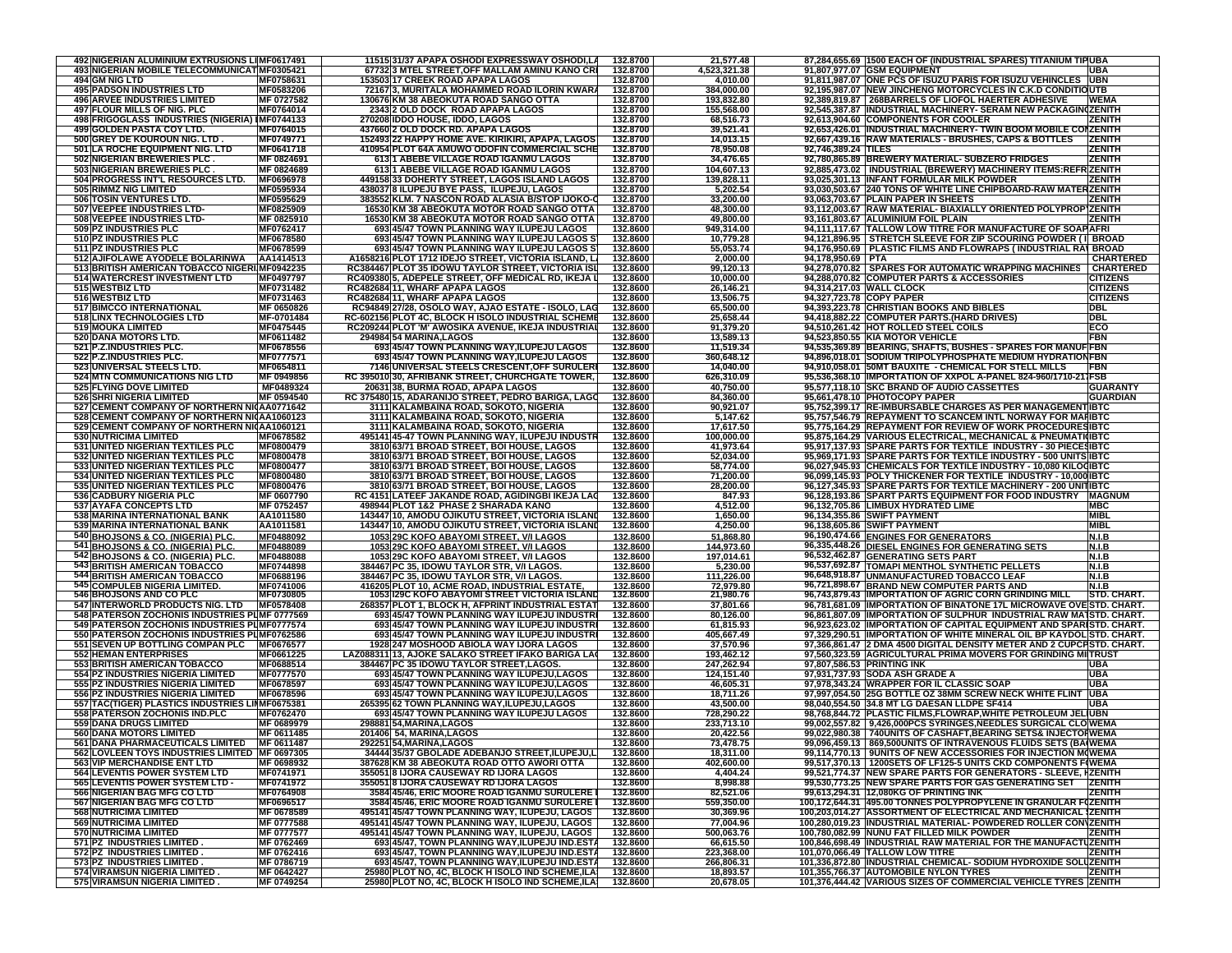| 492 NIGERIAN ALUMINIUM EXTRUSIONS LI MF0617491                                   |                               | 11515 31/37 APAPA OSHODI EXPRESSWAY OSHODI,LA                                                             | 132.8700             | 21,577.48               |                     | 87,284,655.69 1500 EACH OF (INDUSTRIAL SPARES) TITANIUM TIPUBA                                                            |                                    |
|----------------------------------------------------------------------------------|-------------------------------|-----------------------------------------------------------------------------------------------------------|----------------------|-------------------------|---------------------|---------------------------------------------------------------------------------------------------------------------------|------------------------------------|
| 493 NIGERIAN MOBILE TELECOMMUNICAT MF0305421                                     |                               | 67732 3 MTEL STREET, OFF MALLAM AMINU KANO CRI                                                            | 132.8700             | 4,523,321.38            |                     | 91,807,977.07 GSM EQUIPMENT                                                                                               | UBA                                |
| 494 GM NIG LTD                                                                   | MF0758631                     | 153503 17 CREEK ROAD APAPA LAGOS                                                                          | 132.8700             | 4,010.00                |                     | 91,811,987.07 ONE PCS OF ISUZU PARIS FOR ISUZU VEHINCLES UBN                                                              |                                    |
| <b>495 PADSON INDUSTRIES LTD</b>                                                 | MF0583206                     | 72167 3, MURITALA MOHAMMED ROAD ILORIN KWARA                                                              | 132.8700             | 384,000.00              |                     | 92,195,987.07 NEW JINCHENG MOTORCYCLES IN C.K.D CONDITIOUTB                                                               |                                    |
| <b>496 ARVEE INDUSTRIES LIMITED</b>                                              | MF 0727582                    | 130676 KM 38 ABEOKUTA ROAD SANGO OTTA                                                                     | 132.8700             | 193,832.80              |                     | 92,389,819.87 268BARRELS OF LIOFOL HAERTER ADHESIVE                                                                       | <b>WEMA</b>                        |
| 497 FLOUR MILLS OF NIG. PLC                                                      | MF0764014                     | 2343 2 OLD DOCK ROAD APAPA LAGOS                                                                          | 132.8700             | 155.568.00              |                     | 92,545,387.87  INDUSTRIAL MACHINERY- SERAM NEW PACKAGIN(ZENITH                                                            |                                    |
| 498 FRIGOGLASS INDUSTRIES (NIGERIA) IMF0744133                                   |                               | 270208 IDDO HOUSE, IDDO, LAGOS                                                                            | 132.8700             | 68,516.73               |                     | 92,613,904.60 COMPONENTS FOR COOLER                                                                                       | <b>ZENITH</b>                      |
| 499 GOLDEN PASTA COY LTD.<br>500 GREY DE KOUROUN NIG. LTD                        | MF0764015<br>MF0749771        | 437660 2 OLD DOCK RD. APAPA LAGOS<br>152493 22 HAPPY HOME AVE. KIRIKIRI, APAPA, LAGOS                     | 132.8700<br>132.8700 | 39,521.41<br>14,013.15  |                     | 92,653,426.01 INDUSTRIAL MACHINERY- TWIN BOOM MOBILE COIZENITH<br>92,667,439.16 RAW MATERIALS - BRUSHES, CAPS & BOTTLES   | <b>ZENITH</b>                      |
| 501 LA ROCHE EQUIPMENT NIG. LTD                                                  | MF0641718                     | 410954 PLOT 64A AMUWO ODOFIN COMMERCIAL SCHE                                                              | 132.8700             | 78,950.08               | 92,746,389.24 TILES |                                                                                                                           | <b>ZENITH</b>                      |
| 502 NIGERIAN BREWERIES PLC.                                                      | MF 0824691                    | 613 1 ABEBE VILLAGE ROAD IGANMU LAGOS                                                                     | 132.8700             | 34,476.65               |                     | 92,780,865.89 BREWERY MATERIAL- SUBZERO FRIDGES                                                                           | <b>ZENITH</b>                      |
| 503 NIGERIAN BREWERIES PLC                                                       | MF 0824689                    | 613 1 ABEBE VILLAGE ROAD IGANMU LAGOS                                                                     | 132.8700             | 104,607.13              |                     | 92,885,473.02   INDUSTRIAL (BREWERY) MACHINERY ITEMS:REFR ZENITH                                                          |                                    |
| 504 PROGRESS INT'L RESOURCES LTD.                                                | MF0696978                     | 449158 33 DOHERTY STREET, LAGOS ISLAND LAGOS                                                              | 132.8700             | 139,828.11              |                     | 93,025,301.13 INFANT FORMULAR MILK POWDER                                                                                 | <b>ZENITH</b>                      |
| 505 RIMMZ NIG LIMITED                                                            | MF0595934                     | 438037 8 ILUPEJU BYE PASS, ILUPEJU, LAGOS                                                                 | 132.8700             | 5,202.54                |                     | 93,030,503.67 240 TONS OF WHITE LINE CHIPBOARD-RAW MATERZENITH                                                            |                                    |
| 506 TOSIN VENTURES LTD.                                                          | MF0595629                     | 383552 KLM. 7 NASCON ROAD ALASIA B/STOP IJOKO-0                                                           | 132.8700             | 33,200.00               |                     | 93,063,703.67 PLAIN PAPER IN SHEETS                                                                                       | <b>ZENITH</b>                      |
| 507 VEEPEE INDUSTRIES LTD-                                                       | MF0825909                     | 16530 KM 38 ABEOKUTA MOTOR ROAD SANGO OTTA                                                                | 132.8700             | 48,300.00               |                     | 93,112,003.67 RAW MATERIAL- BIAXIALLY ORIENTED POLYPROP ZENITH                                                            |                                    |
| 508 VEEPEE INDUSTRIES LTD-                                                       | MF 0825910                    | 16530 KM 38 ABEOKUTA MOTOR ROAD SANGO OTTA                                                                | 132.8700             | 49,800.00               |                     | 93,161,803.67 ALUMINIUM FOIL PLAIN                                                                                        | <b>ZENITH</b>                      |
| 509 PZ INDUSTRIES PLC                                                            | MF0762417                     | 693 45/47 TOWN PLANNING WAY ILUPEJU LAGOS                                                                 | 132.8600             | 949,314.00              |                     | 94,111,117.67 TALLOW LOW TITRE FOR MANUFACTURE OF SOAP AFRI                                                               |                                    |
| 510 PZ INDUSTRIES PLC                                                            | MF0678580                     | 693 45/47 TOWN PLANNING WAY ILUPEJU LAGOS ST                                                              | 132.8600             | 10,779.28               |                     | 94,121,896.95   STRETCH SLEEVE FOR ZIP SCOURING POWDER (I BROAD                                                           |                                    |
| 511 PZ INDUSTRIES PLC                                                            | MF0678599                     | 693 45/47 TOWN PLANNING WAY ILUPEJU LAGOS S                                                               | 132.8600             | 55,053.74               |                     | 94,176,950.69   PLASTIC FILMS AND FLOWRAPS (INDUSTRIAL RA) BROAD                                                          |                                    |
| 512 AJIFOLAWE AYODELE BOLARINWA                                                  | AA1414513                     | A1658216 PLOT 1712 IDEJO STREET, VICTORIA ISLAND, L.                                                      | 132.8600             | 2,000.00                | 94,178,950.69   PTA |                                                                                                                           | <b>CHARTERED</b>                   |
| 513 BRITISH AMERICAN TOBACCO NIGERI MF0942235                                    |                               | RC384467 PLOT 35 IDOWU TAYLOR STREET, VICTORIA ISL<br>RC409380 5. ADEPELE STREET. OFF MEDICAL RD. IKEJA L | 132.8600             | 99,120.13               |                     | 94,278,070.82 SPARES FOR AUTOMATIC WRAPPING MACHINES                                                                      | <b>CHARTERED</b>                   |
| 514 WATERCREST INVESTMENT LTD<br>515 WESTBIZ LTD                                 | MF0497797<br>MF0731482        | RC482684 11, WHARF APAPA LAGOS                                                                            | 132.8600<br>132.8600 | 10,000.00<br>26,146.21  |                     | 94,288,070.82 COMPUTER PARTS & ACCESSORIES<br>94,314,217.03 WALL CLOCK                                                    | <b>CITIZENS</b><br><b>CITIZENS</b> |
| 516 WESTBIZ LTD                                                                  | MF0731463                     | RC482684 11, WHARF APAPA LAGOS                                                                            | 132.8600             | 13,506.75               |                     | 94,327,723.78 COPY PAPER                                                                                                  | <b>CITIZENS</b>                    |
| <b>517 BIMCCO INTERNATIONAL</b>                                                  | MF 0650826                    | RC94849 27/28, OSOLO WAY, AJAO ESTATE - ISOLO, LAG                                                        | 132.8600             | 65,500.00               |                     | 94,393,223.78 CHRISTIAN BOOKS AND BIBLES                                                                                  | <b>DBL</b>                         |
| 518 LINX TECHNOLOGIES LTD                                                        | MF-0701484                    | RC-602156 PLOT 4C, BLOCK H ISOLO INDUSTRIAL SCHEME                                                        | 132.8600             | 25,658.44               |                     | 94,418,882.22 COMPUTER PARTS.(HARD DRIVES)                                                                                | <b>DBL</b>                         |
| <b>519 MOUKA LIMITED</b>                                                         | MF0475445                     | RC209244 PLOT 'M' AWOSIKA AVENUE, IKEJA INDUSTRIAI                                                        | 132.8600             | 91,379.20               |                     | 94,510,261.42 HOT ROLLED STEEL COILS                                                                                      | ECO                                |
| 520 DANA MOTORS LTD.                                                             | MF0611482                     | 294984 54 MARINA, LAGOS                                                                                   | 132.8600             | 13,589.13               |                     | 94,523,850.55 KIA MOTOR VEHICLE                                                                                           | FBN                                |
| 521 P.Z.INDUSTRIES PLC.                                                          | MF0678556                     | 693 45/47 TOWN PLANNING WAY, ILUPEJU LAGOS                                                                | 132.8600             | 11,519.34               |                     | 94,535,369.89 BEARING, SHAFTS, BUSHES - SPARES FOR MANUF FBN                                                              |                                    |
| 522 P.Z.INDUSTRIES PLC.                                                          | MF0777571                     | 693 45/47 TOWN PLANNING WAY, ILUPEJU LAGOS                                                                | 132.8600             | 360,648.12              |                     | 94,896,018.01 SODIUM TRIPOLYPHOSPHATE MEDIUM HYDRATIONFBN                                                                 |                                    |
| 523 UNIVERSAL STEELS LTD.                                                        | MF0654811                     | 7146 UNIVERSAL STEELS CRESCENT, OFF SURULERI                                                              | 132.8600             | 14,040.00               |                     | 94,910,058.01 50MT BAUXITE - CHEMICAL FOR STELL MILLS                                                                     | <b>FBN</b>                         |
| 524 MTN COMMUNICATIONS NIG LTD                                                   | MF 0949856                    | RC 395010 30, AFRIBANK STREET, CHURCHGATE TOWER,                                                          | 132.8600             | 626,310.09              |                     | 95,536,368.10 IMPORTATION OF XXPOL A-PANEL 824-960/1710-211 FSB                                                           |                                    |
| 525 FLYING DOVE LIMITED                                                          | MF0489324                     | 20631 38, BURMA ROAD, APAPA LAGOS                                                                         | 132.8600             | 40,750.00               |                     | 95,577,118.10 SKC BRAND OF AUDIO CASSETTES                                                                                | <b>GUARANTY</b>                    |
| 526 SHRI NIGERIA LIMITED                                                         | MF 0594540                    | RC 375480 15, ADARANIJO STREET, PEDRO BARIGA, LAGO                                                        | 132.8600             | 84,360.00               |                     | 95.661.478.10 PHOTOCOPY PAPER                                                                                             | GUARDIAN                           |
| 527 CEMENT COMPANY OF NORTHERN NICAA0771642                                      |                               | 3111 KALAMBAINA ROAD, SOKOTO, NIGERIA                                                                     | 132.8600             | 90,921.07               |                     | 95,752,399.17 RE-IMBURSABLE CHARGES AS PER MANAGEMENTIBTC                                                                 |                                    |
| 528 CEMENT COMPANY OF NORTHERN NICAA1060123                                      |                               | 3111 KALAMBAINA ROAD, SOKOTO, NIGERIA                                                                     | 132.8600             | 5,147.62                |                     | 95,757,546.79 REPAYMENT TO SCANCEM INTL NORWAY FOR MARIBTC                                                                |                                    |
| 529 CEMENT COMPANY OF NORTHERN NICAA1060121                                      | MF0678582                     | 3111 KALAMBAINA ROAD, SOKOTO, NIGERIA                                                                     | 132.8600             | 17,617.50<br>100,000.00 |                     | 95,775,164.29 REPAYMENT FOR REVIEW OF WORK PROCEDURESIBTC<br>95,875,164.29 VARIOUS ELECTRICAL, MECHANICAL & PNEUMATI(IBTC |                                    |
| 530 NUTRICIMA LIMITED<br>531 UNITED NIGERIAN TEXTILES PLC                        | MF0800479                     | 495141 45-47 TOWN PLANNING WAY, ILUPEJU INDUSTR<br>3810 63/71 BROAD STREET, BOI HOUSE, LAGOS              | 132.8600<br>132.8600 | 41,973.64               |                     | 95,917,137.93 SPARE PARTS FOR TEXTILE INDUSTRY - 30 PIECESIBTC                                                            |                                    |
| 532 UNITED NIGERIAN TEXTILES PLC                                                 | MF0800478                     | 3810 63/71 BROAD STREET, BOI HOUSE, LAGOS                                                                 | 132.8600             | 52,034.00               |                     | 95,969,171.93 SPARE PARTS FOR TEXTILE INDUSTRY - 500 UNITS IBTC                                                           |                                    |
| 533 UNITED NIGERIAN TEXTILES PLC                                                 | MF0800477                     | 3810 63/71 BROAD STREET, BOI HOUSE, LAGOS                                                                 | 132.8600             | 58,774.00               |                     | 96,027,945.93 CHEMICALS FOR TEXTILE INDUSTRY - 10,080 KILOGIBTC                                                           |                                    |
| 534 UNITED NIGERIAN TEXTILES PLC                                                 | MF0800480                     | 3810 63/71 BROAD STREET, BOI HOUSE, LAGOS                                                                 | 132.8600             | 71,200.00               |                     | 96,099,145.93 POLY THICKENER FOR TEXTILE INDUSTRY - 10,000 IBTC                                                           |                                    |
| 535 UNITED NIGERIAN TEXTILES PLC                                                 | MF0800476                     | 3810 63/71 BROAD STREET, BOI HOUSE, LAGOS                                                                 | 132.8600             | 28,200.00               |                     | 96,127,345.93 SPARE PARTS FOR TEXTILE MACHINERY - 200 UNITIBTC                                                            |                                    |
| 536 CADBURY NIGERIA PLC                                                          | MF 0607790                    | RC 4151 LATEEF JAKANDE ROAD, AGIDINGBI IKEJA LAC                                                          | 132.8600             | 847.93                  |                     | 96,128,193.86 SPART PARTS EQUIPMENT FOR FOOD INDUSTRY MAGNUM                                                              |                                    |
| 537 AYAFA CONCEPTS LTD                                                           | MF 0752457                    | 498944 PLOT 1&2 PHASE 2 SHARADA KANO                                                                      | 132.8600             | 4,512.00                |                     | 96,132,705.86 LIMBUX HYDRATED LIME                                                                                        | <b>MBC</b>                         |
| 538 MARINA INTERNATIONAL BANK                                                    | AA1011580                     | 143447 10, AMODU OJIKUTU STREET, VICTORIA ISLAND                                                          | 132.8600             | 1,650.00                |                     | 96,134,355.86 SWIFT PAYMENT                                                                                               | <b>MIBL</b>                        |
| 539 MARINA INTERNATIONAL BANK                                                    | AA1011581                     | 143447 10, AMODU OJIKUTU STREET, VICTORIA ISLANI                                                          | 132.8600             | 4,250.00                |                     | 96,138,605.86 SWIFT PAYMENT                                                                                               | <b>MIBL</b>                        |
| 540 BHOJSONS & CO. (NIGERIA) PLC.                                                | MF0488092                     | 1053 29C KOFO ABAYOMI STREET, V/I LAGOS                                                                   | 132.8600             | 51,868.80               |                     | 96,190,474.66 ENGINES FOR GENERATORS                                                                                      | N.I.B                              |
| 541<br><b>BHOJSONS &amp; CO. (NIGERIA) PLC.</b>                                  | MF0488089                     | 1053 29C KOFO ABAYOMI STREET, V/I LAGOS                                                                   | 132.8600             | 144,973.60              |                     | 96,335,448.26 DIESEL ENGINES FOR GENERATING SETS                                                                          | N.I.B                              |
| 542 BHOJSONS & CO. (NIGERIA) PLC.                                                | MF0488088                     | 1053 29C KOFO ABAYOMI STREET, V/I LAGOS                                                                   | 132.8600             | 197,014.61              |                     | 96,532,462.87 GENERATING SETS PART                                                                                        | N.I.B                              |
| 543 BRITISH AMERICAN TOBACCO                                                     | MF0744898                     | 384467 PC 35, IDOWU TAYLOR STR, V/I LAGOS.                                                                | 132.8600             | 5,230.00                |                     | 96,537,692.87 TOMAPI MENTHOL SYNTHETIC PELLETS                                                                            | N.I.B                              |
| 544 BRITISH AMERICAN TOBACCO<br>545 COMPULEB NIGERIA LIMITED.                    | MF0688196                     | 384467 PC 35, IDOWU TAYLOR STR, V/I LAGOS.                                                                | 132.8600             | 111,226.00              |                     | 96,648,918.87 UNMANUFACTURED TOBACCO LEAF                                                                                 | <b>N.I.B</b>                       |
| 546 BHOJSONS AND CO PLC                                                          | MF0741006<br><b>MF0730805</b> | 416205 PLOT 10, ACME ROAD, INDUSTRIAL ESTATE<br>1053 I29C KOFO ABAYOMI STREET VICTORIA ISLAND             | 132.8600<br>132.8600 | 72,979.80<br>21,980.76  |                     | 96,721,898.67 BRAND NEW COMPUTER PARTS AND<br>96,743,879.43 IMPORTATION OF AGRIC CORN GRINDING MILL                       | N.I.B<br><b>STD. CHART.</b>        |
| 547 INTERWORLD PRODUCTS NIG. LTD                                                 | MF0578408                     | 268357 PLOT 1, BLOCK H, AFPRINT INDUSTRIAL ESTAT                                                          | 132.8600             | 37,801.66               |                     | 96,781,681.09 IMPORTATION OF BINATONE 17L MICROWAVE OVE STD. CHART.                                                       |                                    |
| 548 PATERSON ZOCHONIS INDUSTRIES PLMF 0777569                                    |                               | 693 45/47 TOWN PLANNING WAY ILUPEJU INDUSTR                                                               | 132.8600             | 80,126.00               |                     | 96,861,807.09 IMPORTATION OF SULPHUR INDUSTRIAL RAW MATSTD. CHART.                                                        |                                    |
| 549 PATERSON ZOCHONIS INDUSTRIES PLMF0777574                                     |                               | 693 45/47 TOWN PLANNING WAY ILUPEJU INDUSTR                                                               | 132.8600             | 61,815.93               |                     | 96,923,623.02 IMPORTATION OF CAPITAL EQUIPMENT AND SPARISTD. CHART.                                                       |                                    |
| 550 PATERSON ZOCHONIS INDUSTRIES PLMF0762586                                     |                               | 693 45/47 TOWN PLANNING WAY ILUPEJU INDUSTRI                                                              | 132.8600             | 405,667.49              |                     | 97,329,290.51 IMPORTATION OF WHITE MINERAL OIL BP KAYDOL STD. CHART.                                                      |                                    |
| 551 SEVEN UP BOTTLING COMPAN PLC MF0676577                                       |                               | 1928 247 MOSHOOD ABIOLA WAY IJORA LAGOS                                                                   | 132.8600             | 37,570.96               |                     | 97,366,861.47 2 DMA 4500 DIGITAL DENSITY METER AND 2 CUPCFSTD. CHART.                                                     |                                    |
| <b>552 HEMAN ENTERPRISES</b>                                                     | <b>MF0661225</b>              | LAZ088311 13, AJOKE SALAKO STREET IFAKO BARIGA LA                                                         | 132.8600             | 193,462.12              |                     | 97,560,323.59 AGRICULTURAL PRIMA MOVERS FOR GRINDING MI TRUST                                                             |                                    |
| <b>553 BRITISH AMERICAN TOBACCO</b>                                              | MF0688514                     | 384467 PC 35 IDOWU TAYLOR STREET, LAGOS.                                                                  | 132.8600             | 247,262.94              |                     | 97,807,586.53 PRINTING INK                                                                                                | UBA                                |
| 554 PZ INDUSTRIES NIGERIA LIMITED                                                | MF0777570                     | 693 45/47 TOWN PLANNING WAY ILUPEJU,LAGOS                                                                 | 132.8600             | 124,151.40              |                     | 97,931,737.93 SODA ASH GRADE A                                                                                            | <b>UBA</b>                         |
| 555 PZ INDUSTRIES NIGERIA LIMITED                                                | MF0678597                     | 693 45/47 TOWN PLANNING WAY ILUPEJU.LAGOS                                                                 | 132.8600             | 46,605.31               |                     | 97,978,343.24 WRAPPER FOR IL CLASSIC SOAP                                                                                 | <b>UBA</b>                         |
| 556 PZ INDUSTRIES NIGERIA LIMITED                                                | MF0678596                     | 693 45/47 TOWN PLANNING WAY ILUPEJU,LAGOS                                                                 | 132.8600             | 18,711.26               |                     | 97,997,054.50 25G BOTTLE OZ 38MM SCREW NECK WHITE FLINT                                                                   | <b>UBA</b>                         |
| 557 TAC(TIGER) PLASTICS INDUSTRIES LINMF0675381<br>558 PATERSON ZOCHONIS IND.PLC | MF0762470                     | 265395 62 TOWN PLANNING WAY, ILUPEJU, LAGOS<br>693 45/47 TOWN PLANNING WAY ILUPEJU LAGOS                  | 132.8600<br>132.8600 | 43,500.00<br>728,290.22 |                     | 98,040,554.50 34.8 MT LG DAESAN LLDPE SF414<br>98,768,844.72 PLASTIC FILMS,FLOWRAP,WHITE PETROLEUM JELIUBN                | <b>UBA</b>                         |
| <b>559 DANA DRUGS LIMITED</b>                                                    | MF 0689979                    | 298881 54, MARINA, LAGOS                                                                                  | 132.8600             | 233,713.10              |                     | 99,002,557.82 9,426,000PCS SYRINGES, NEEDLES SURGICAL CLOWEMA                                                             |                                    |
| <b>560 DANA MOTORS LIMITED</b>                                                   | MF 0611485                    | 201406 54, MARINA, LAGOS                                                                                  | 132.8600             | 20,422.56               |                     | 99,022,980.38   740UNITS OF CASHAFT, BEARING SETS& INJECTORWEMA                                                           |                                    |
| 561 DANA PHARMACEUTICALS LIMITED   MF 0611487                                    |                               | 292251 54, MARINA, LAGOS                                                                                  | 132.8600             | 73,478.75               |                     | 99,096,459.13 869,500UNITS OF INTRAVENOUS FLUIDS SETS (BA(WEMA                                                            |                                    |
| 562 LOVLEEN TOYS INDUSTRIES LIMITED  MF 0697305                                  |                               | 34444 35/37 GBOLADE ADEBANJO STREET, ILUPEJU,L                                                            | 132.8600             | 18,311.00               |                     | 99,114,770.13   9UNITS OF NEW ACCESSORIES FOR INJECTION MOVEMA                                                            |                                    |
| 563 VIP MERCHANDISE ENT LTD                                                      | MF 0698932                    | 387628 KM 38 ABEOKUTA ROAD OTTO AWORI OTTA                                                                | 132.8600             | 402,600.00              |                     | 99,517,370.13 1200SETS OF LF125-5 UNITS CKD COMPONENTS F(WEMA                                                             |                                    |
| 564 LEVENTIS POWER SYSTEM LTD                                                    | MF0741971                     | 355051 8 IJORA CAUSEWAY RD IJORA LAGOS                                                                    | 132.8600             | 4,404.24                |                     | 99,521,774.37 NEW SPARE PARTS FOR GENERATORS - SLEEVE, HZENITH                                                            |                                    |
| 565 LEVENTIS POWER SYSTEM LTD -                                                  | MF0741972                     | 355051 8 IJORA CAUSEWAY RD IJORA LAGOS                                                                    | 132.8600             | 8,998.88                |                     | 99,530,773.25 NEW SPARE PARTS FOR GAS GENERATING SET   ZENITH                                                             |                                    |
| 566 NIGERIAN BAG MFG CO LTD                                                      | MF0764908                     | 3584 45/46, ERIC MOORE ROAD IGANMU SURULERE                                                               | 132.8600             | 82,521.06               |                     | 99,613,294.31 12,080KG OF PRINTING INK                                                                                    | <b>ZENITH</b>                      |
| 567 NIGERIAN BAG MFG CO LTD                                                      | MF0696517                     | 3584 45/46, ERIC MOORE ROAD IGANMU SURULERE                                                               | 132.8600             | 559,350.00              |                     | 100,172,644.31 495.00 TONNES POLYPROPYLENE IN GRANULAR FOZENITH                                                           |                                    |
| <b>568 NUTRICIMA LIMITED</b>                                                     | MF 0678589                    | 495141 45/47 TOWN PLANNING WAY, ILUPEJU, LAGOS                                                            | 132.8600             | 30,369.96               |                     | 100,203,014.27 ASSORTMENT OF ELECTRICAL AND MECHANICAL (ZENITH                                                            |                                    |
|                                                                                  |                               |                                                                                                           |                      | 77,004.96               |                     | 100,280,019.23  INDUSTRIAL MATERIAL- POWDERED ROLLER CONVZENITH                                                           |                                    |
| <b>569 NUTRICIMA LIMITED</b>                                                     | MF 0777588                    | 495141 45/47 TOWN PLANNING WAY, ILUPEJU, LAGOS                                                            | 132.8600             |                         |                     |                                                                                                                           |                                    |
| <b>570 NUTRICIMA LIMITED</b>                                                     | MF 0777577                    | 495141 45/47 TOWN PLANNING WAY, ILUPEJU, LAGOS                                                            | 132.8600             | 500,063.76              |                     | 100,780,082.99 NUNU FAT FILLED MILK POWDER                                                                                | <b>ZENITH</b>                      |
| 571 PZ INDUSTRIES LIMITED.                                                       | MF 0762469                    | 693 45/47, TOWN PLANNING WAY,ILUPEJU IND.ESTA                                                             | 132.8600             | 66,615.50               |                     | 100,846,698.49 INDUSTRIAL RAW MATERIAL FOR THE MANUFACTUZENITH                                                            |                                    |
| 572 PZ INDUSTRIES LIMITED.                                                       | MF 0762416                    | 693 45/47, TOWN PLANNING WAY,ILUPEJU IND.ESTA                                                             | 132.8600             | 223,368.00              |                     | 101,070,066.49 TALLOW LOW TITRE                                                                                           | <b>ZENITH</b>                      |
| 573 PZ INDUSTRIES LIMITED.                                                       | MF 0786719                    | 693 45/47, TOWN PLANNING WAY, ILUPEJU IND.ESTA                                                            | 132.8600             | 266,806.31              |                     | 101,336,872.80 INDUSTRIAL CHEMICAL- SODIUM HYDROXIDE SOLUZENITH                                                           |                                    |
| 574 VIRAMSUN NIGERIA LIMITED.<br>575 VIRAMSUN NIGERIA LIMITED.                   | MF 0642427<br>MF 0749254      | 25980 PLOT NO, 4C, BLOCK H ISOLO IND SCHEME, ILA<br>25980 PLOT NO, 4C, BLOCK H ISOLO IND SCHEME, ILA      | 132.8600<br>132.8600 | 18,893.57<br>20,678.05  |                     | 101,355,766.37 AUTOMOBILE NYLON TYRES<br>101,376,444.42 VARIOUS SIZES OF COMMERCIAL VEHICLE TYRES ZENITH                  | <b>ZENITH</b>                      |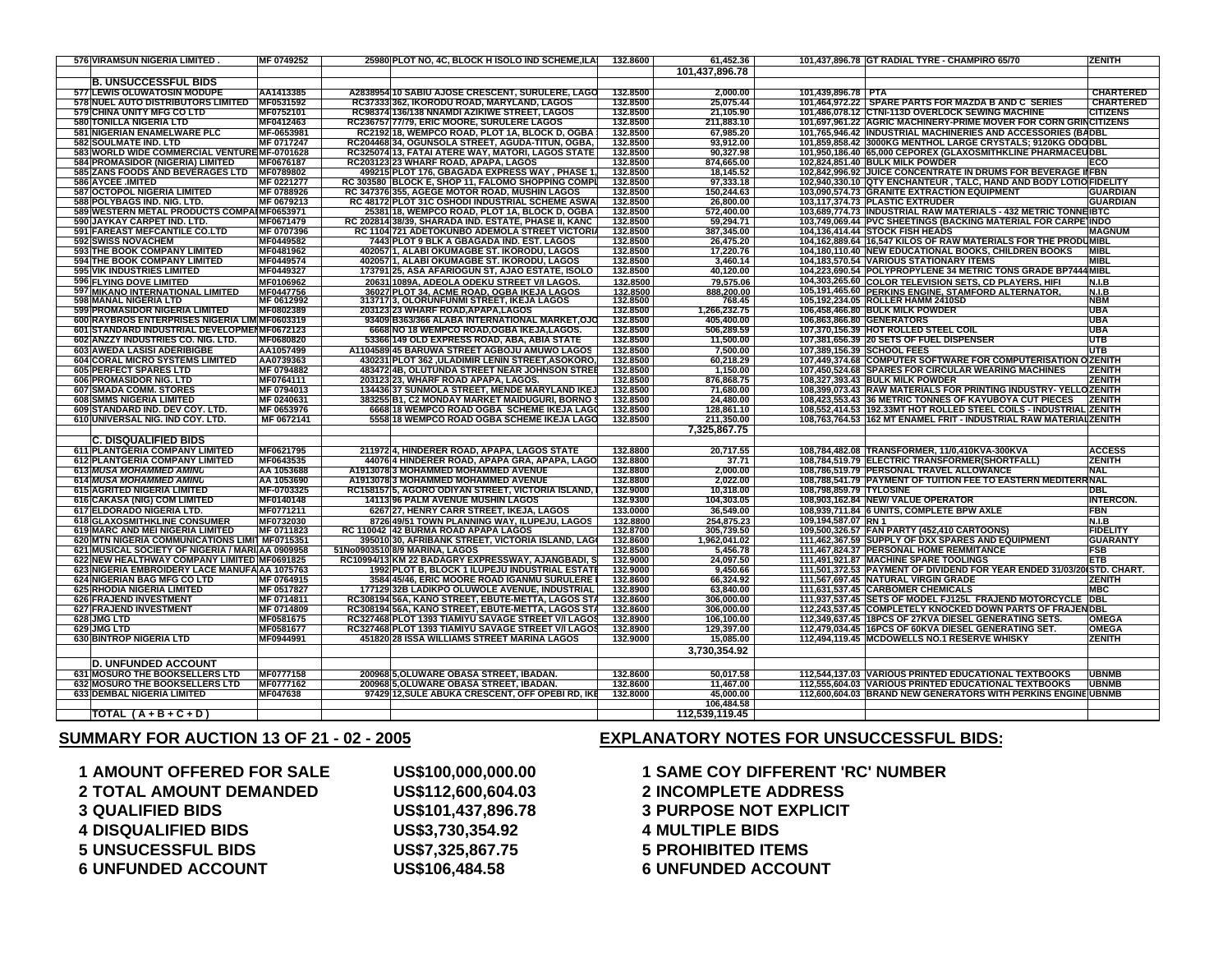| <b>576 VIRAMSUN NIGERIA LIMITED</b><br>MF 0749252                              | 25980 PLOT NO, 4C, BLOCK H ISOLO IND SCHEME,ILA      | 132.8600 | 61,452.36                |                         | 101,437,896.78 GT RADIAL TYRE - CHAMPIRO 65/70                         | <b>ZENITH</b>          |
|--------------------------------------------------------------------------------|------------------------------------------------------|----------|--------------------------|-------------------------|------------------------------------------------------------------------|------------------------|
|                                                                                |                                                      |          | 101,437,896.78           |                         |                                                                        |                        |
| <b>B. UNSUCCESSFUL BIDS</b>                                                    |                                                      |          |                          |                         |                                                                        |                        |
| 577 LEWIS OLUWATOSIN MODUPE<br>AA1413385                                       | A2838954 10 SABIU AJOSE CRESCENT, SURULERE, LAGO     | 132.8500 | 2.000.00                 | 101,439,896.78 PTA      |                                                                        | <b>CHARTERED</b>       |
| 578 NUEL AUTO DISTRIBUTORS LIMITED MF0531592                                   | RC37333 362, IKORODU ROAD, MARYLAND, LAGOS           | 132.8500 | 25,075.44                |                         | 101,464,972.22 SPARE PARTS FOR MAZDA B AND C SERIES                    | <b>CHARTERED</b>       |
| 579 CHINA UNITY MFG CO LTD<br>MF0752101                                        | RC98374 136/138 NNAMDI AZIKIWE STREET, LAGOS         | 132.8500 | 21,105.90                |                         | 101,486,078.12 CTNI-113D OVERLOCK SEWING MACHINE                       | <b>CITIZENS</b>        |
| <b>580 TONILLA NIGERIA LTD</b><br>MF0412463                                    | RC236757 77/79, ERIC MOORE, SURULERE LAGOS           | 132.8500 | 211,883.10               |                         | 101,697,961.22 AGRIC MACHINERY-PRIME MOVER FOR CORN GRINCITIZENS       |                        |
| 581 NIGERIAN ENAMELWARE PLC<br>MF-0653981                                      | RC2192 18, WEMPCO ROAD, PLOT 1A, BLOCK D, OGBA !     | 132.8500 | 67.985.20                |                         | 101,765,946.42 INDUSTRIAL MACHINERIES AND ACCESSORIES (BADBL           |                        |
| 582 SOULMATE IND. LTD<br>MF 0717247                                            | RC204468 34, OGUNSOLA STREET, AGUDA-TITUN, OGBA,     | 132.8500 | 93,912.00                |                         | 101,859,858.42 3000KG MENTHOL LARGE CRYSTALS; 9120KG ODODBL            |                        |
| 583 WORLD WIDE COMMERCIAL VENTURE MF-0701628                                   | RC325074 13, FATAI ATERE WAY, MATORI, LAGOS STATE    | 132.8500 | 90,327.98                |                         | 101,950,186.40 65,000 CEPOREX (GLAXOSMITHKLINE PHARMACEUDBL            |                        |
| 584 PROMASIDOR (NIGERIA) LIMITED<br>MF0676187                                  | RC203123 23 WHARF ROAD, APAPA, LAGOS                 | 132.8500 | 874,665.00               |                         | 102,824,851.40 BULK MILK POWDER                                        | ECO                    |
| 585 ZANS FOODS AND BEVERAGES LTD MF0789802                                     | 499215 PLOT 176, GBAGADA EXPRESS WAY, PHASE 1.       | 132,8500 | 18.145.52                |                         | 102,842,996.92 JUICE CONCENTRATE IN DRUMS FOR BEVERAGE IIFBN           |                        |
| <b>586 AYCEE .IMITED</b><br>MF 0221277                                         | RC 303580 BLOCK E, SHOP 11, FALOMO SHOPPING COMPL    | 132.8500 | 97,333.18                |                         | 102,940,330.10 QTY ENCHANTEUR, TALC, HAND AND BODY LOTIO FIDELITY      |                        |
| <b>587 OCTOPOL NIGERIA LIMITED</b><br>MF 0788926                               | RC 347376 355, AGEGE MOTOR ROAD, MUSHIN LAGOS        | 132.8500 | 150.244.63               |                         | 103,090,574.73 GRANITE EXTRACTION EQUIPMENT                            | <b>GUARDIAN</b>        |
| 588 POLYBAGS IND. NIG. LTD.<br>MF 0679213                                      | RC 48172 PLOT 31C OSHODI INDUSTRIAL SCHEME ASWAL     | 132.8500 | 26,800.00                |                         | 103,117,374.73 PLASTIC EXTRUDER                                        | <b>GUARDIAN</b>        |
| 589 WESTERN METAL PRODUCTS COMPAIMF0653971                                     | 25381 18, WEMPCO ROAD, PLOT 1A, BLOCK D, OGBA !      | 132.8500 | 572.400.00               |                         | 103,689,774.73 INDUSTRIAL RAW MATERIALS - 432 METRIC TONNEIBTC         |                        |
| 590 JAYKAY CARPET IND. LTD.<br>MF0671479                                       | RC 202814 38/39, SHARADA IND. ESTATE, PHASE II, KANC | 132.8500 | 59,294.71                |                         | 103,749,069.44 PVC SHEETINGS (BACKING MATERIAL FOR CARPE INDO          |                        |
| 591 FAREAST MEFCANTILE CO.LTD<br>MF 0707396                                    | RC 1104 721 ADETOKUNBO ADEMOLA STREET VICTORIA       | 132.8500 | 387.345.00               |                         | 104,136,414.44 STOCK FISH HEADS                                        | <b>MAGNUM</b>          |
| <b>592 SWISS NOVACHEM</b><br>MF0449582                                         | 7443 PLOT 9 BLK A GBAGADA IND. EST. LAGOS            | 132.8500 | 26,475.20                |                         | 104,162,889.64 16,547 KILOS OF RAW MATERIALS FOR THE PRODUMIBL         |                        |
| <b>593 THE BOOK COMPANY LIMITED</b><br>MF0481962                               | 402057 1. ALABI OKUMAGBE ST. IKORODU. LAGOS          | 132.8500 |                          |                         |                                                                        | <b>MIBL</b>            |
|                                                                                |                                                      |          | 17.220.76                |                         | 104,180,110.40 NEW EDUCATIONAL BOOKS, CHILDREN BOOKS                   | MIBL                   |
| <b>594 THE BOOK COMPANY LIMITED</b><br>MF0449574                               | 402057 1, ALABI OKUMAGBE ST. IKORODU, LAGOS          | 132.8500 | 3,460.14                 |                         | 104,183,570.54 VARIOUS STATIONARY ITEMS                                |                        |
| 595 VIK INDUSTRIES LIMITED<br>MF0449327                                        | 173791 25, ASA AFARIOGUN ST, AJAO ESTATE, ISOLO      | 132,8500 | 40.120.00                |                         | 104,223,690.54 POLYPROPYLENE 34 METRIC TONS GRADE BP7444 MIBL          |                        |
| 596 FLYING DOVE LIMITED<br>MF0106962                                           | 20631 1089A, ADEOLA ODEKU STREET V/I LAGOS.          | 132.8500 | 79.575.06                |                         | 104,303,265.60 COLOR TELEVISION SETS, CD PLAYERS, HIFI                 | N.I.B                  |
| 597 MIKANO INTERNATIONAL LIMITED<br>MF0447756                                  | 36027 PLOT 34, ACME ROAD, OGBA IKEJA LAGOS           | 132.8500 | 888,200.00               |                         | 105,191,465.60 PERKINS ENGINE, STAMFORD ALTERNATOR.                    | <b>N.I.B</b>           |
| 598 MANAL NIGERIA LTD<br>MF 0612992                                            | 313717 3, OLORUNFUNMI STREET, IKEJA LAGOS            | 132.8500 | 768.45                   |                         | 105,192,234.05 ROLLER HAMM 2410SD                                      | <b>NBM</b>             |
| MF0802389<br><b>599 PROMASIDOR NIGERIA LIMITED</b>                             | 203123 23 WHARF ROAD, APAPA, LAGOS                   | 132.8500 | 1,266,232.75             |                         | 106,458,466.80 BULK MILK POWDER                                        | <b>UBA</b>             |
| 600 RAYBROS ENTERPRISES NIGERIA LIM MF0603319                                  | 93409 B363/366 ALABA INTERNATIONAL MARKET,OJC        | 132.8500 | 405,400.00               |                         | 106,863,866.80 GENERATORS                                              | UBA                    |
| 601 STANDARD INDUSTRIAL DEVELOPMENMF0672123                                    | 6668 NO 18 WEMPCO ROAD.OGBA IKEJA.LAGOS.             | 132.8500 | 506.289.59               |                         | 107.370.156.39 HOT ROLLED STEEL COIL                                   | <b>UBA</b>             |
| 602 ANZZY INDUSTRIES CO. NIG. LTD.<br>MF0680820                                | 53366 149 OLD EXPRESS ROAD, ABA, ABIA STATE          | 132.8500 | 11.500.00                |                         | 107,381,656.39 20 SETS OF FUEL DISPENSER                               | <b>UTB</b>             |
| AA1057499<br>603 AWEDA LASISI ADERIBIGBE                                       | A1104589 45 BARUWA STREET AGBOJU AMUWO LAGOS         | 132,8500 | 7.500.00                 |                         | 107.389.156.39 SCHOOL FEES                                             | <b>UTB</b>             |
| <b>604 CORAL MICRO SYSTEMS LIMITED</b><br>AA0739363                            | 430231 PLOT 362 ,ULADIMIR LENIN STREET,ASOKORO,      | 132.8500 | 60.218.29                |                         | 107,449,374.68 COMPUTER SOFTWARE FOR COMPUTERISATION O ZENITH          |                        |
| <b>605 PERFECT SPARES LTD</b><br>MF 0794882                                    | 483472 4B, OLUTUNDA STREET NEAR JOHNSON STREET       | 132.8500 | 1,150.00                 |                         | 107,450,524.68 SPARES FOR CIRCULAR WEARING MACHINES                    | <b>ZENITH</b>          |
| <b>606 PROMASIDOR NIG. LTD</b><br>MF0764111                                    | 203123 23. WHARF ROAD APAPA, LAGOS.                  | 132.8500 | 876.868.75               |                         | 108.327.393.43 BULK MILK POWDER                                        | <b>ZENITH</b>          |
| 607 SMADA COMM. STORES<br>MF 0794013                                           | 134436 37 SUNMOLA STREET, MENDE MARYLAND IKEJ        | 132.8500 | 71,680.00                |                         | 108,399,073.43 RAW MATERIALS FOR PRINTING INDUSTRY-YELLOZENITH         |                        |
| 608 SMMS NIGERIA LIMITED<br>MF 0240631                                         | 383255 B1, C2 MONDAY MARKET MAIDUGURI, BORNO \$      | 132.8500 | 24,480.00                |                         | 108,423,553.43 36 METRIC TONNES OF KAYUBOYA CUT PIECES                 | <b>ZENITH</b>          |
| 609 STANDARD IND. DEV COY. LTD.<br>MF 0653976                                  | 6668 18 WEMPCO ROAD OGBA SCHEME IKEJA LAGO           | 132.8500 | 128,861.10               |                         | 108,552,414.53 192.33MT HOT ROLLED STEEL COILS - INDUSTRIAL ZENITH     |                        |
| 610 UNIVERSAL NIG. IND COY. LTD.<br>MF 0672141                                 | 5558 18 WEMPCO ROAD OGBA SCHEME IKEJA LAGO           | 132.8500 | 211,350.00               |                         | 108,763,764.53 162 MT ENAMEL FRIT - INDUSTRIAL RAW MATERIALZENITH      |                        |
|                                                                                |                                                      |          | 7,325,867.75             |                         |                                                                        |                        |
| <b>C. DISQUALIFIED BIDS</b>                                                    |                                                      |          |                          |                         |                                                                        |                        |
|                                                                                |                                                      |          |                          |                         |                                                                        |                        |
| 611 PLANTGERIA COMPANY LIMITED<br>MF0621795                                    | 211972 4, HINDERER ROAD, APAPA, LAGOS STATE          | 132.8800 | 20,717.55                |                         | 108,784,482.08 TRANSFORMER, 11/0,410KVA-300KVA                         | <b>ACCESS</b>          |
| 612 PLANTGERIA COMPANY LIMITED<br>MF0643535                                    | 44076 4 HINDERER ROAD, APAPA GRA, APAPA, LAGO        | 132.8800 | 37.71                    |                         | 108,784,519.79 ELECTRIC TRANSFORMER(SHORTFALL)                         | <b>ZENITH</b>          |
| 613 MUSA MOHAMMED AMINU<br>AA 1053688                                          | A1913078 3 MOHAMMED MOHAMMED AVENUE                  | 132.8800 | 2,000.00                 |                         | 108,786,519.79 PERSONAL TRAVEL ALLOWANCE                               | <b>NAL</b>             |
| <b>614 MUSA MOHAMMED AMINU</b><br>AA 1053690                                   | A1913078 3 MOHAMMED MOHAMMED AVENUE                  | 132.8800 | 2,022.00                 |                         | 108,788,541.79 PAYMENT OF TUITION FEE TO EASTERN MEDITER               | <b>RNAL</b>            |
| 615 AGRITED NIGERIA LIMITED<br>MF-0703325                                      | RC158157 5, AGORO ODIYAN STREET, VICTORIA ISLAND,    | 132.9000 | 10,318.00                | 108,798,859.79 TYLOSINE |                                                                        | DBL                    |
| 616 CAKASA (NIG) COM LIMITED<br>MF0140148                                      | 14113 96 PALM AVENUE MUSHIN LAGOS                    | 132.9300 | 104,303.05               |                         | 108,903,162.84 NEW/ VALUE OPERATOR                                     | <b>INTERCON.</b>       |
| 617 ELDORADO NIGERIA LTD.<br>MF0771211                                         | 6267 27, HENRY CARR STREET, IKEJA, LAGOS             | 133.0000 | 36,549.00                |                         | 108,939,711.84 6 UNITS, COMPLETE BPW AXLE                              | FBN                    |
| MF0732030                                                                      | 8726 49/51 TOWN PLANNING WAY, ILUPEJU, LAGOS         | 132.8800 |                          | 109,194,587.07 RN 1     |                                                                        | N.I.B                  |
| 618 GLAXOSMITHKLINE CONSUMER<br>619 MARC AND MEI NIGERIA LIMITED<br>MF 0711823 | RC 110042 42 BURMA ROAD APAPA LAGOS                  | 132.8700 | 254,875.23<br>305,739.50 |                         | 109,500,326.57 FAN PARTY (452,410 CARTOONS)                            | <b>FIDELITY</b>        |
| 620 MTN NIGERIA COMMUNICATIONS LIMIT MF0715351                                 | 395010 30, AFRIBANK STREET, VICTORIA ISLAND, LAGO    | 132.8600 | 1,962,041.02             |                         | 111,462,367.59 SUPPLY OF DXX SPARES AND EQUIPMENT                      | <b>GUARANTY</b>        |
| 621 MUSICAL SOCIETY OF NIGERIA / MARI AA 0909958                               | 51No0903510 8/9 MARINA, LAGOS                        | 132,8500 | 5,456.78                 |                         | 111,467,824.37 PERSONAL HOME REMMITANCE                                | FSB                    |
| 622 NEW HEALTHWAY COMPANY LIMITED MF0691825                                    | RC10994/13 KM 22 BADAGRY EXPRESSWAY, AJANGBADI, S    | 132.9000 | 24,097.50                |                         | 111,491,921.87 MACHINE SPARE TOOLINGS                                  | ETB                    |
| 623 NIGERIA EMBROIDERY LACE MANUFA AA 1075763                                  | 1992 PLOT B, BLOCK 1 ILUPEJU INDUSTRIAL ESTATE       | 132,9000 | 9,450.66                 |                         | 111,501,372.53 PAYMENT OF DIVIDEND FOR YEAR ENDED 31/03/20(STD. CHART. |                        |
| 624 NIGERIAN BAG MFG CO LTD<br>MF 0764915                                      | 3584 45/46, ERIC MOORE ROAD IGANMU SURULERE          | 132.8600 | 66,324.92                |                         | 111,567,697.45 NATURAL VIRGIN GRADE                                    | ZENITH                 |
| 625 RHODIA NIGERIA LIMITED<br>MF 0517827                                       | 177129 32B LADIKPO OLUWOLE AVENUE, INDUSTRIAL        | 132,8900 | 63,840.00                |                         | 111,631,537.45 CARBOMER CHEMICALS                                      | <b>MBC</b>             |
| 626 FRAJEND INVESTMENT<br>MF 0714811                                           | RC308194 56A, KANO STREET, EBUTE-METTA, LAGOS STA    | 132.8600 | 306,000.00               |                         | 111,937,537.45 SETS OF MODEL FJ125L FRAJEND MOTORCYCLE DBL             |                        |
| 627 FRAJEND INVESTMENT<br>MF 0714809                                           | RC308194 56A, KANO STREET, EBUTE-METTA, LAGOS STA    | 132.8600 | 306.000.00               |                         | 112,243,537.45 COMPLETELY KNOCKED DOWN PARTS OF FRAJEN DBL             |                        |
| 628 JMG LTD<br>MF0581675                                                       | RC327468 PLOT 1393 TIAMIYU SAVAGE STREET V/I LAGOS   | 132.8900 | 106,100.00               |                         | 112,349,637.45 18PCS OF 27KVA DIESEL GENERATING SETS.                  | <b>OMEGA</b>           |
| 629 JMG LTD                                                                    | RC327468 PLOT 1393 TIAMIYU SAVAGE STREET V/I LAGOS   | 132.8900 | 129.397.00               |                         | 112,479,034.45 16PCS OF 60KVA DIESEL GENERATING SET.                   |                        |
| MF0581677<br>630 BINTROP NIGERIA LTD<br>MF0944991                              | 451820 28 ISSA WILLIAMS STREET MARINA LAGOS          | 132.9000 | 15,085.00                |                         | 112,494,119.45 MCDOWELLS NO.1 RESERVE WHISKY                           | <b>OMEGA</b><br>ZENITH |
|                                                                                |                                                      |          |                          |                         |                                                                        |                        |
|                                                                                |                                                      |          | 3,730,354.92             |                         |                                                                        |                        |
| <b>D. UNFUNDED ACCOUNT</b>                                                     |                                                      |          |                          |                         |                                                                        |                        |
| 631 MOSURO THE BOOKSELLERS LTD<br>MF0777158                                    | 200968 5, OLUWARE OBASA STREET, IBADAN.              | 132.8600 | 50,017.58                |                         | 112,544,137.03 VARIOUS PRINTED EDUCATIONAL TEXTBOOKS                   | <b>UBNMB</b>           |
| 632 MOSURO THE BOOKSELLERS LTD<br>MF0777162                                    | 200968 5, OLUWARE OBASA STREET, IBADAN.              | 132.8600 | 11,467.00                |                         | 112,555,604.03 VARIOUS PRINTED EDUCATIONAL TEXTBOOKS                   | <b>UBNMB</b>           |
| <b>633 DEMBAL NIGERIA LIMITED</b><br>MF047638                                  | 97429 12, SULE ABUKA CRESCENT, OFF OPEBIRD, IKE      | 132.8000 | 45.000.00                |                         | 112,600,604.03 BRAND NEW GENERATORS WITH PERKINS ENGINE UBNMB          |                        |
|                                                                                |                                                      |          | 106,484.58               |                         |                                                                        |                        |
| TOTAL $(A + B + C + D)$                                                        |                                                      |          | 112,539,119.45           |                         |                                                                        |                        |
|                                                                                |                                                      |          |                          |                         |                                                                        |                        |

### **SUMMARY FOR AUCTION 13 OF 21 - 02 - 2005**

# **AMOUNT OFFERED FOR SALE US\$100,000,000.00 1 SAME COY DIFFERENT 'RC' NUMBER TOTAL AMOUNT DEMANDED US\$112,600,604.03 2 INCOMPLETE ADDRESS QUALIFIED BIDS US\$101,437,896.78 3 PURPOSE NOT EXPLICIT DISQUALIFIED BIDS US\$3,730,354.92 4 MULTIPLE BIDS UNSUCESSFUL BIDS US\$7,325,867.75 5 PROHIBITED ITEMS UNFUNDED ACCOUNT US\$106,484.58 6 UNFUNDED ACCOUNT**

### **EXPLANATORY NOTES FOR UNSUCCESSFUL BIDS:**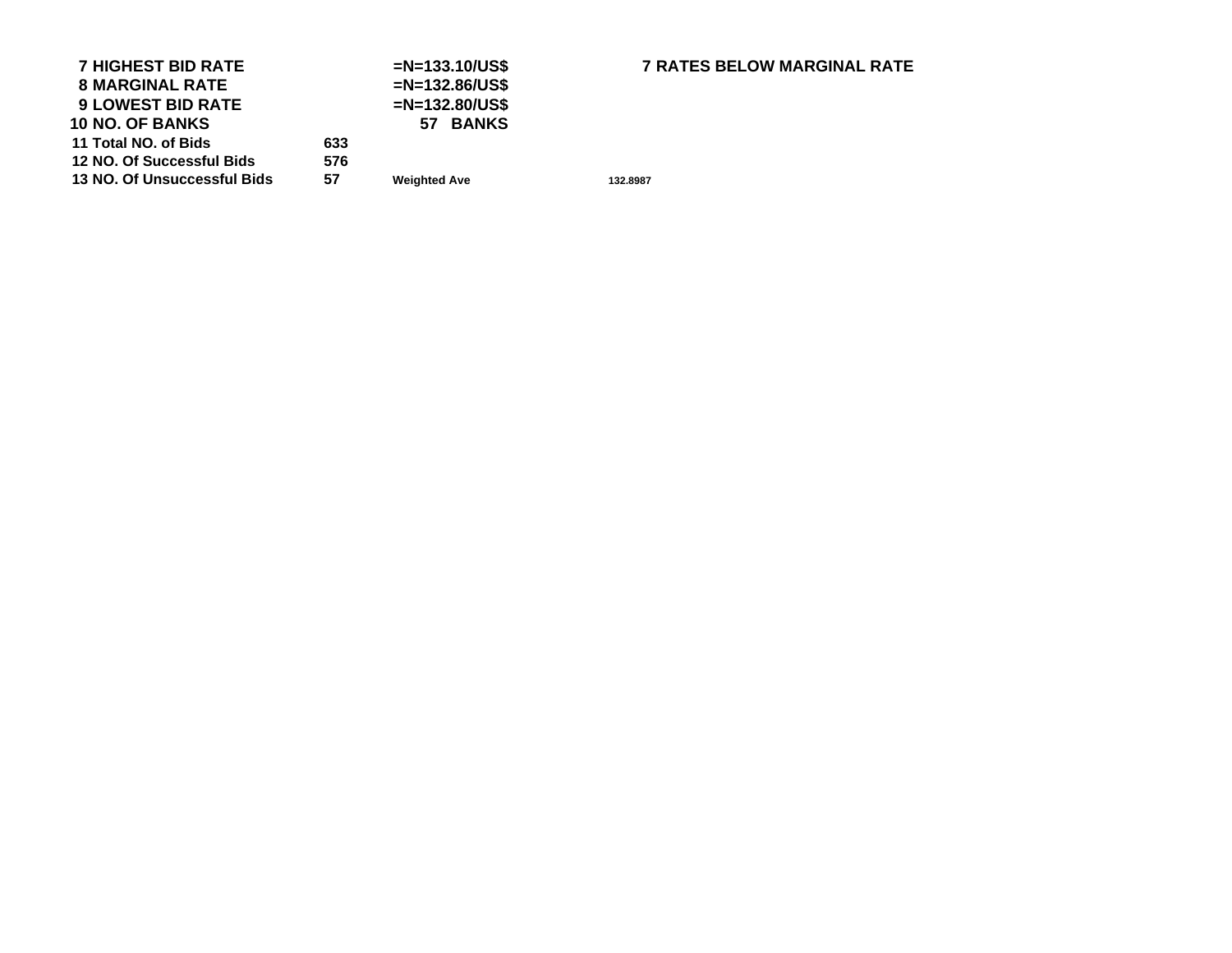| <b>7 HIGHEST BID RATE</b>   |     | $=N=133.10/US$ \$   |
|-----------------------------|-----|---------------------|
| <b>8 MARGINAL RATE</b>      |     | $=N=132.86/US$ \$   |
| <b>9 LOWEST BID RATE</b>    |     | $=N=132.80/US$ \$   |
| <b>10 NO. OF BANKS</b>      |     | 57 BANKS            |
| 11 Total NO. of Bids        | 633 |                     |
| 12 NO. Of Successful Bids   | 576 |                     |
| 13 NO. Of Unsuccessful Bids | 57  | <b>Weighted Ave</b> |
|                             |     |                     |

# **HIGHEST BID RATE =N=133.10/US\$ 7 RATES BELOW MARGINAL RATE**

**Weighted Ave 132.8987**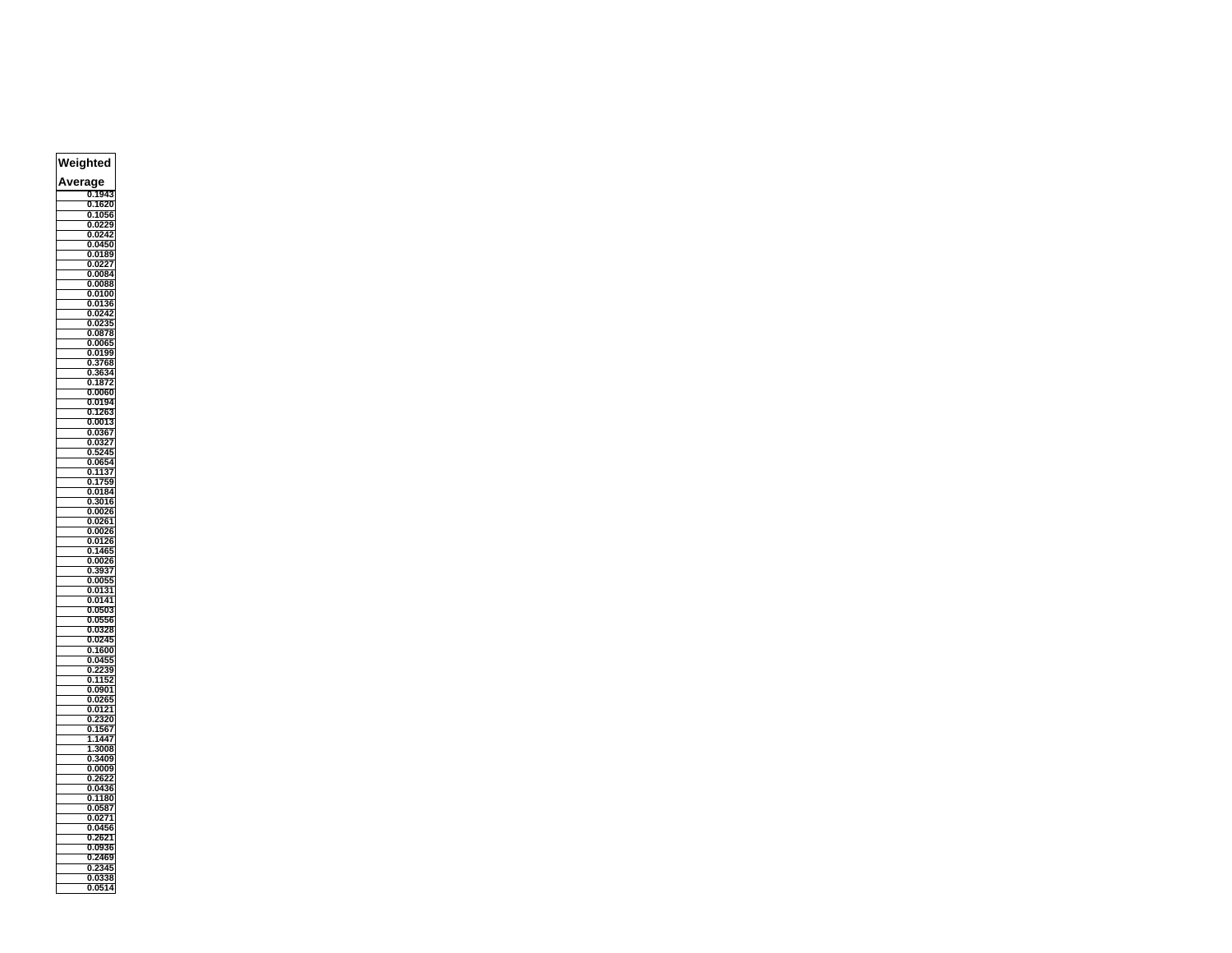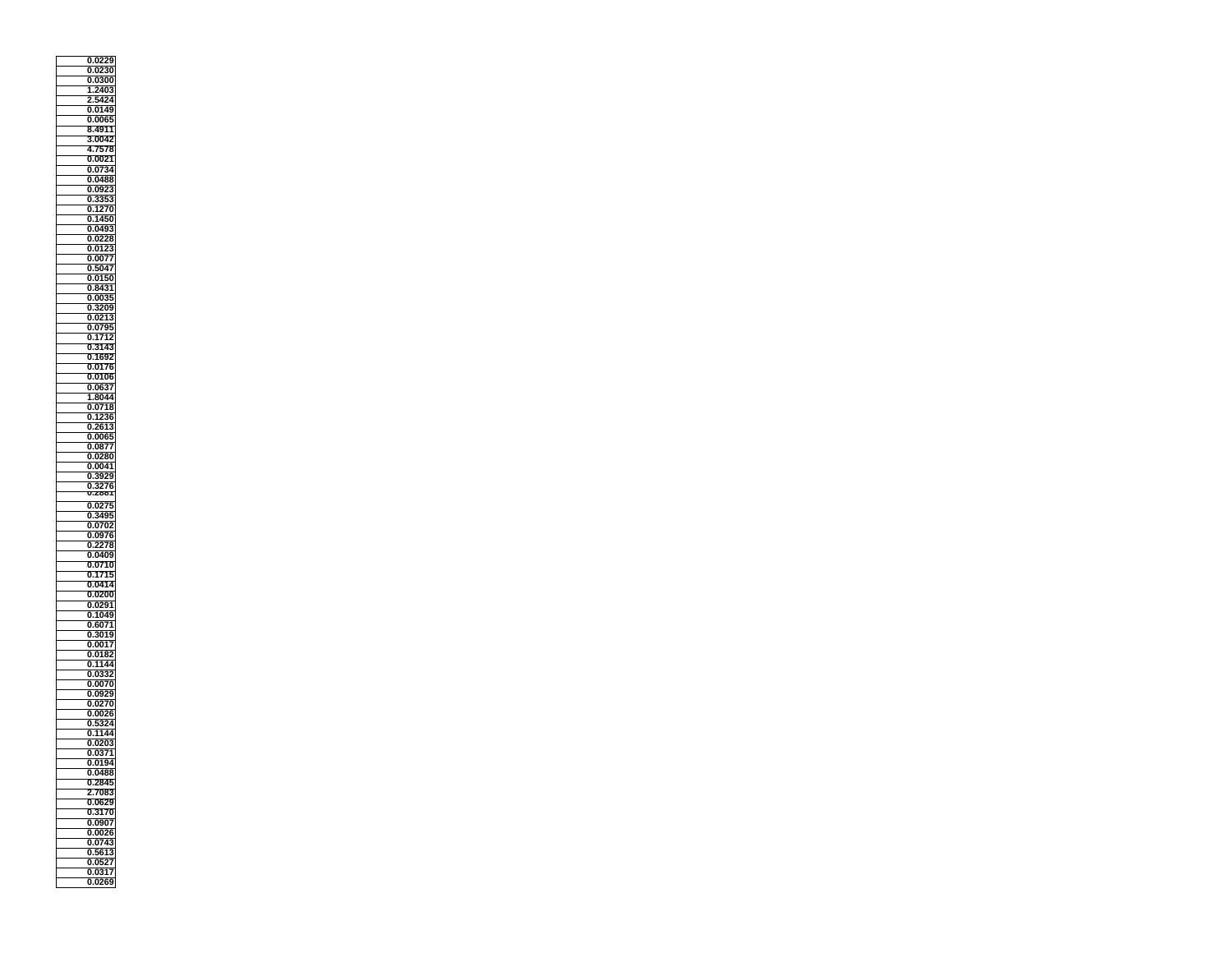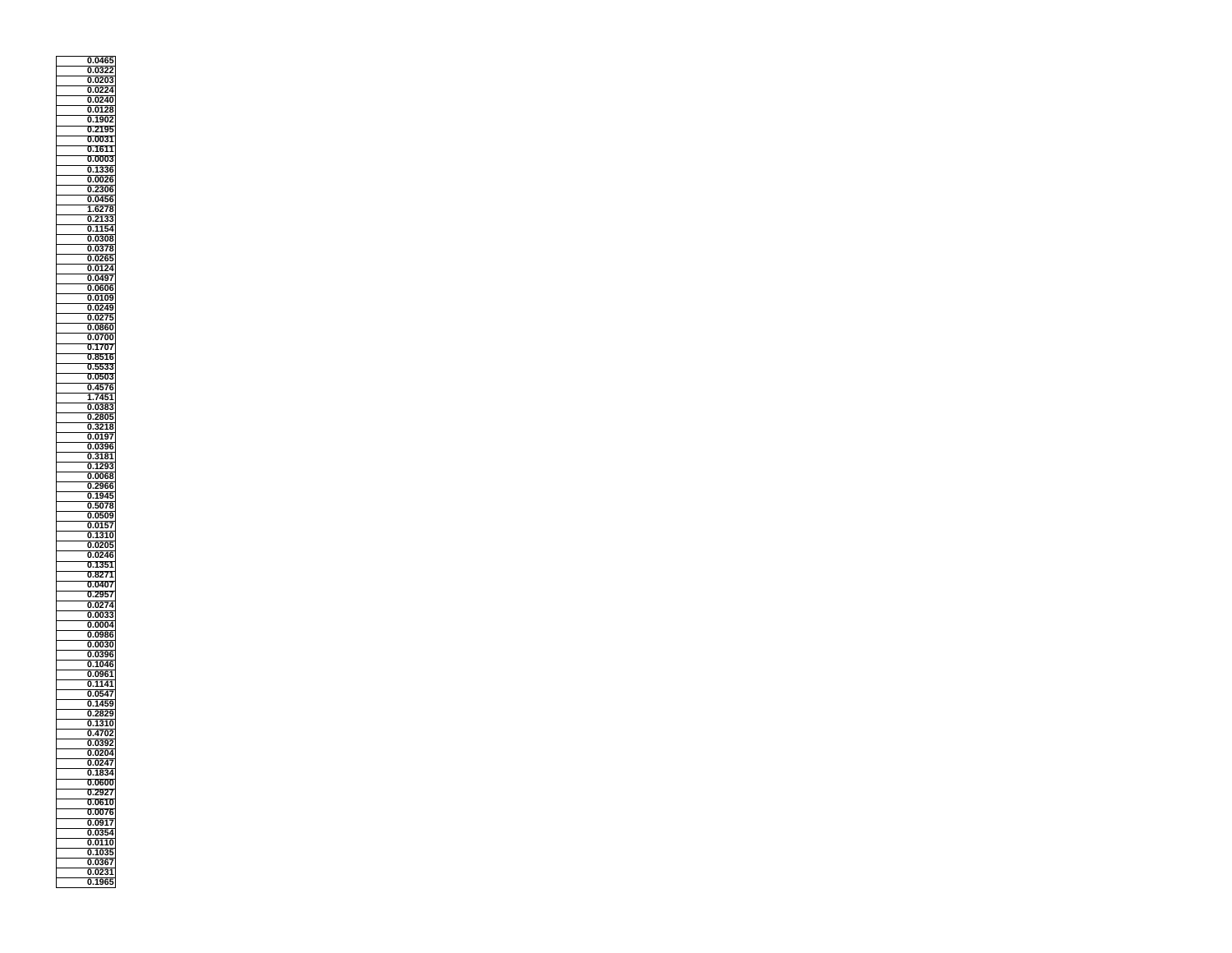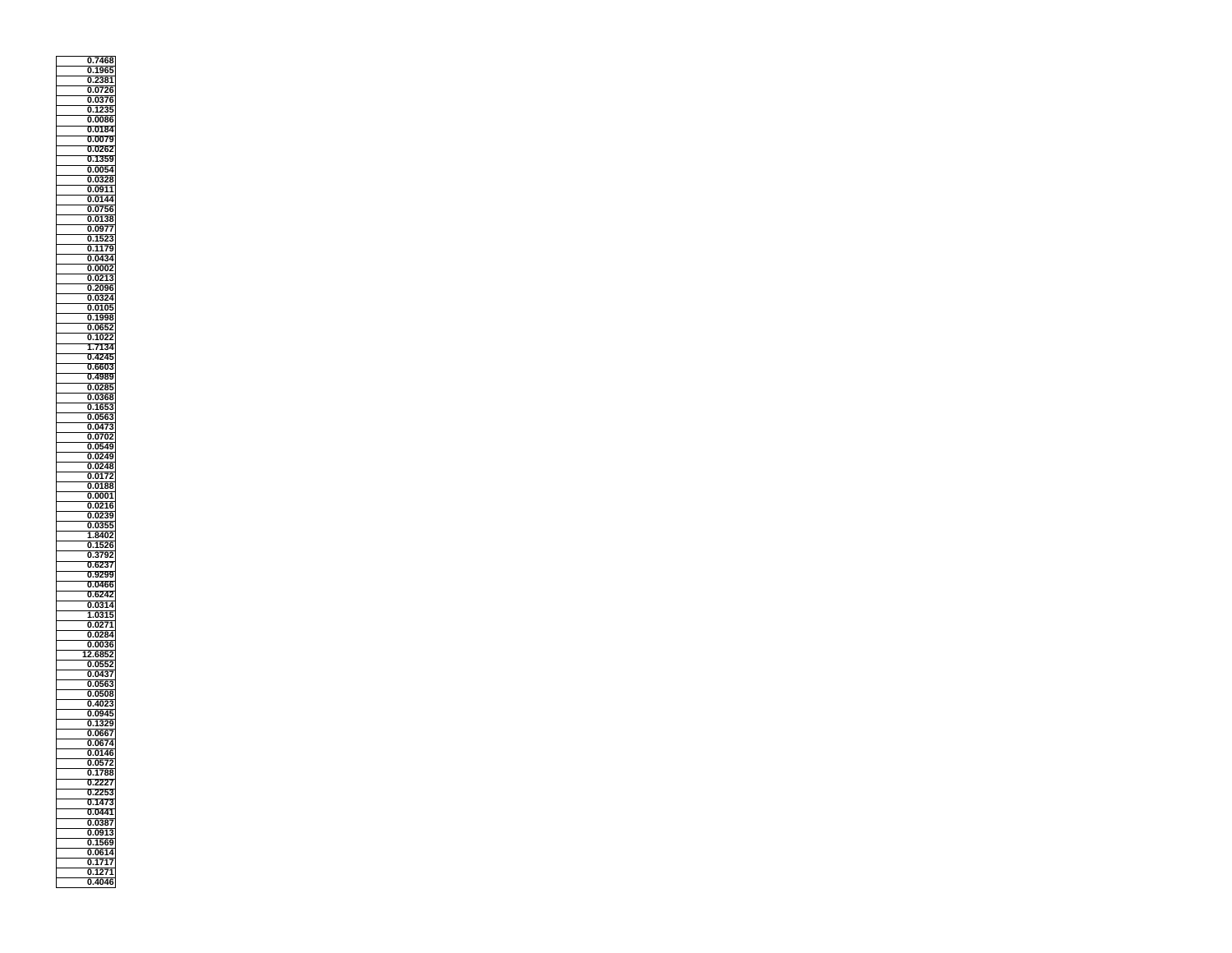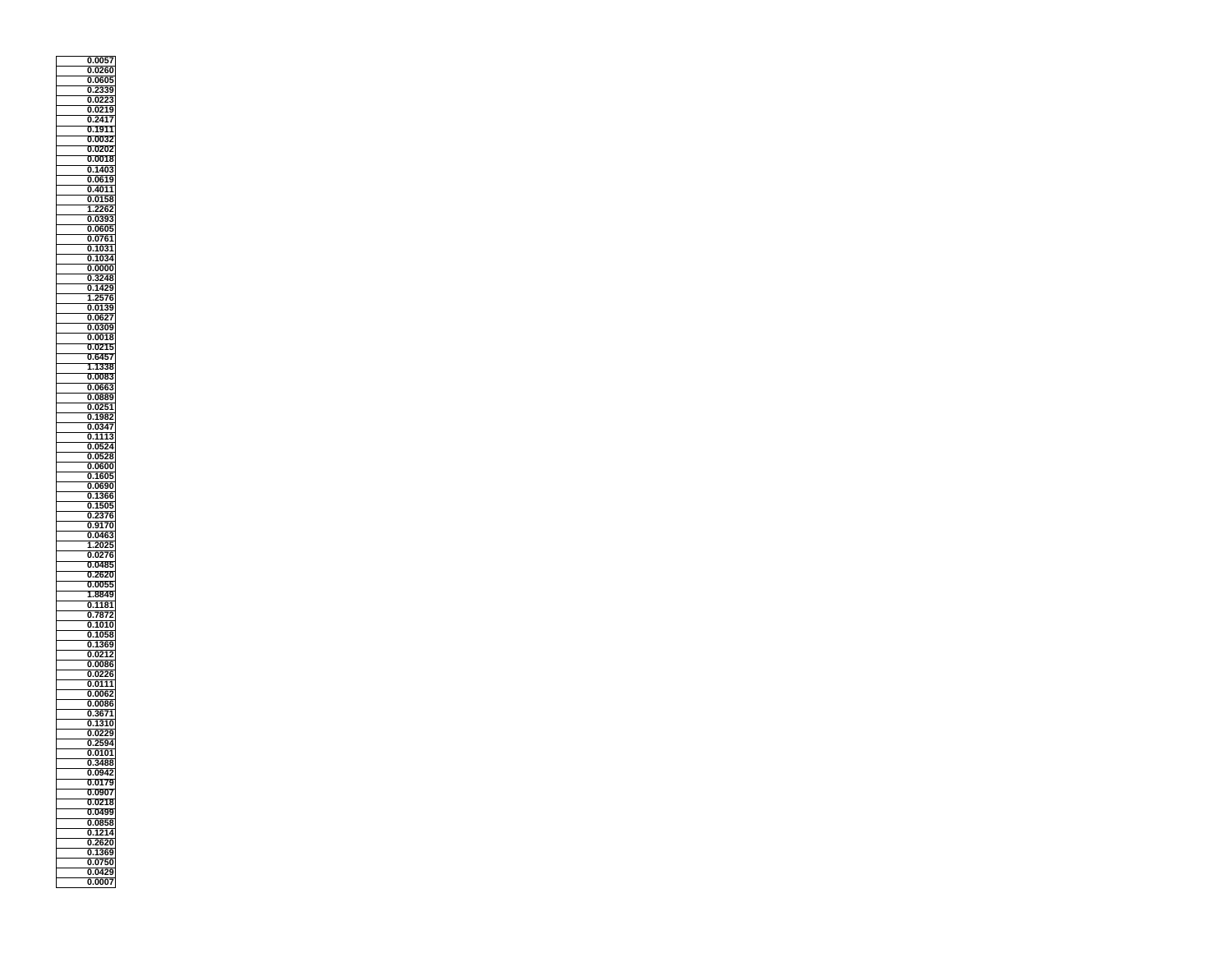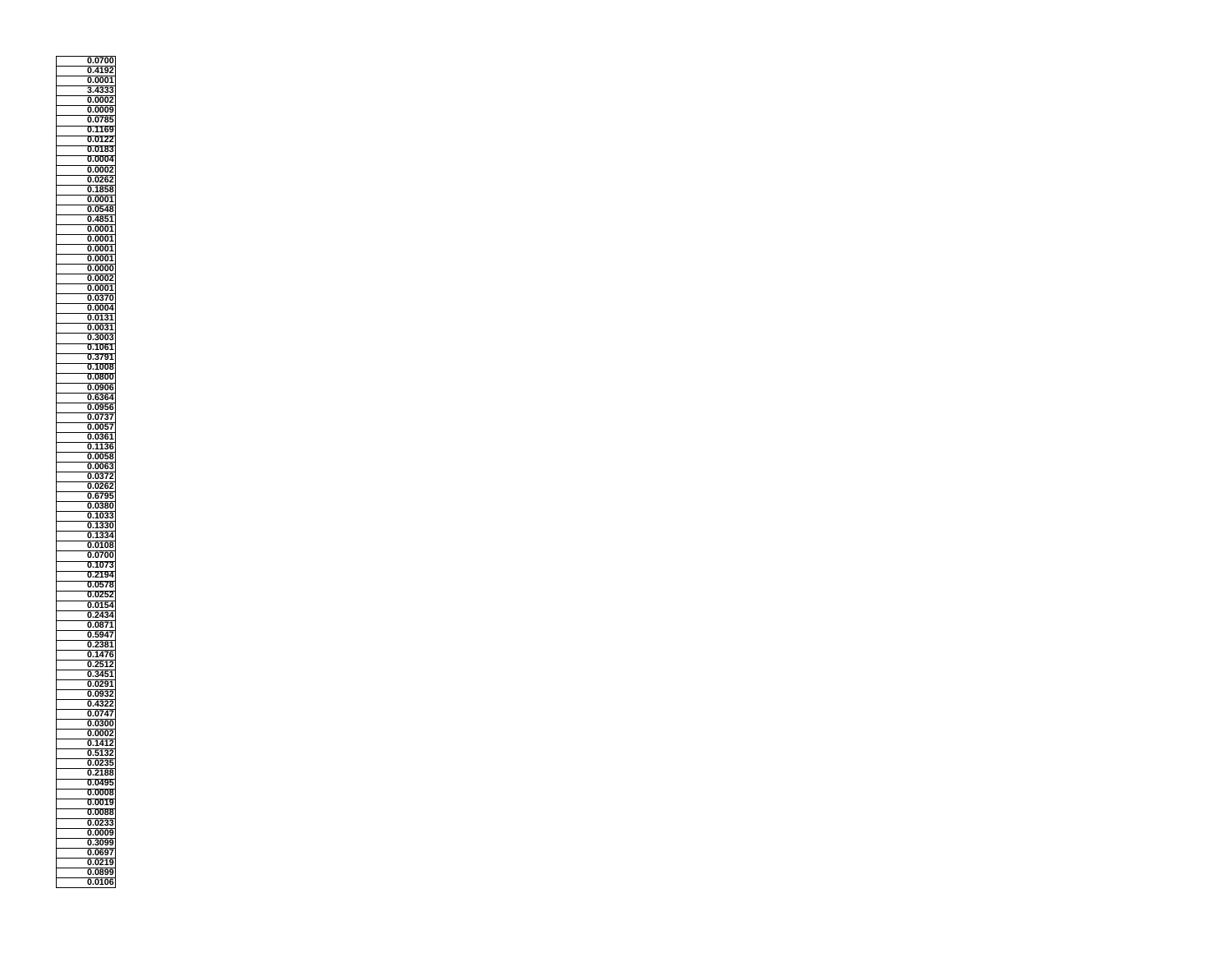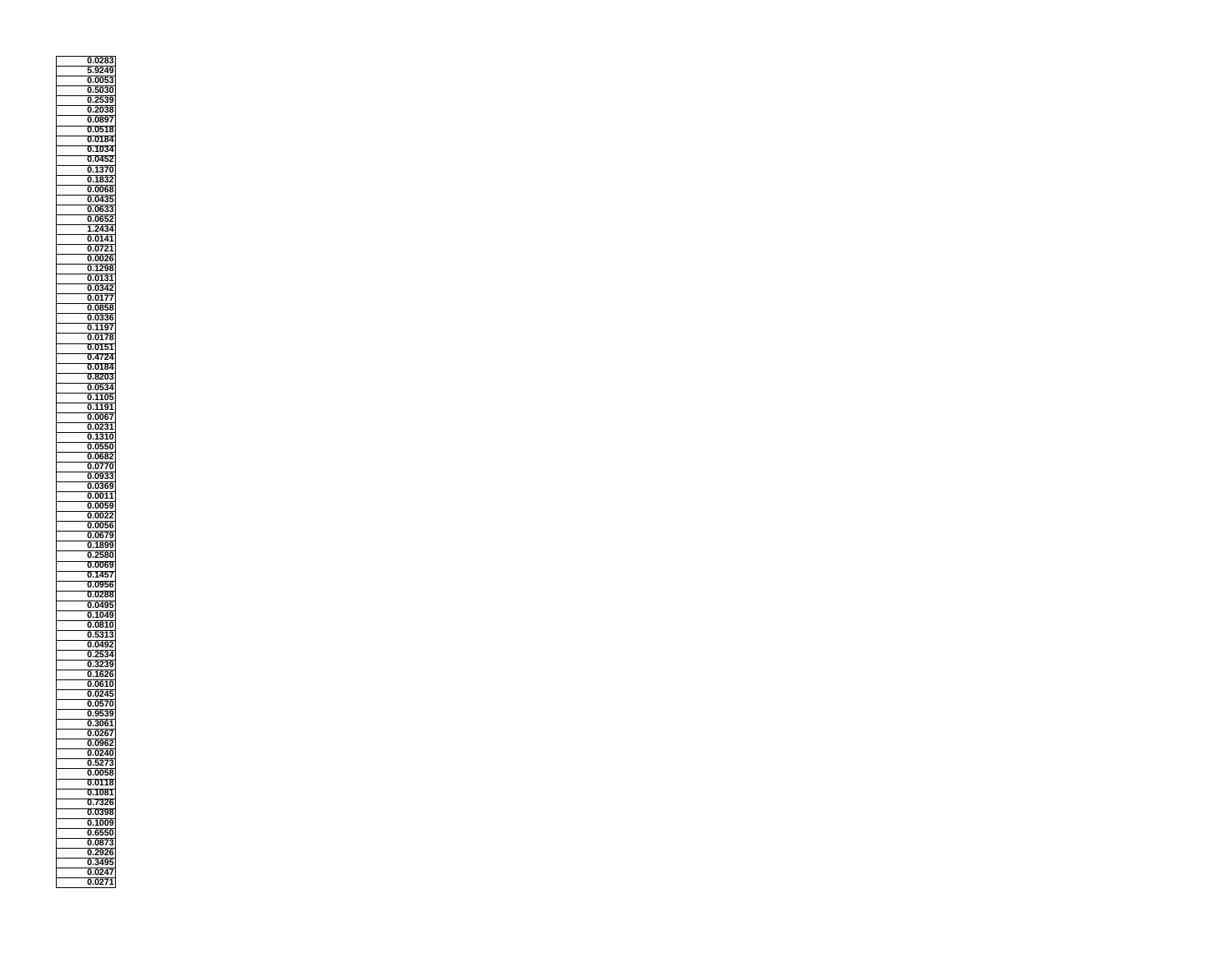